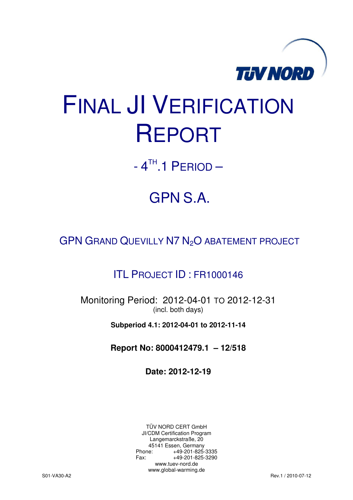

# FINAL JI VERIFICATION REPORT

 $-4$ <sup>TH</sup>.1 PERIOD  $-$ 

## GPN S.A.

GPN GRAND QUEVILLY N7 N<sub>2</sub>O ABATEMENT PROJECT

### ITL PROJECT ID : FR1000146

Monitoring Period: 2012-04-01 TO 2012-12-31 (incl. both days)

**Subperiod 4.1: 2012-04-01 to 2012-11-14**

**Report No: 8000412479.1 – 12/518** 

**Date: 2012-12-19** 

TÜV NORD CERT GmbH JI/CDM Certification Program Langemarckstraße, 20 45141 Essen, Germany<br>+49-201-825-49 +49-201-825-3335 Fax: +49-201-825-3290 www.tuev-nord.de www.global-warming.de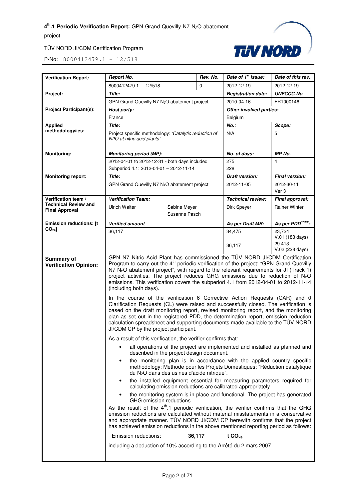



| <b>Verification Report:</b>                          | <b>Report No.</b>                                                                                                                                                                                                                                                                                                                                                                                                                                                                                                                                                                                                                                                                                                                                                                                                                                                                                                                                                                                                                                                                                                                                                                                                                                                                                                                                                                                                                                                                                                                                                                                                                                        | Rev. No. | Date of 1 <sup>st</sup> issue: | Date of this rev.           |
|------------------------------------------------------|----------------------------------------------------------------------------------------------------------------------------------------------------------------------------------------------------------------------------------------------------------------------------------------------------------------------------------------------------------------------------------------------------------------------------------------------------------------------------------------------------------------------------------------------------------------------------------------------------------------------------------------------------------------------------------------------------------------------------------------------------------------------------------------------------------------------------------------------------------------------------------------------------------------------------------------------------------------------------------------------------------------------------------------------------------------------------------------------------------------------------------------------------------------------------------------------------------------------------------------------------------------------------------------------------------------------------------------------------------------------------------------------------------------------------------------------------------------------------------------------------------------------------------------------------------------------------------------------------------------------------------------------------------|----------|--------------------------------|-----------------------------|
|                                                      | $8000412479.1 - 12/518$                                                                                                                                                                                                                                                                                                                                                                                                                                                                                                                                                                                                                                                                                                                                                                                                                                                                                                                                                                                                                                                                                                                                                                                                                                                                                                                                                                                                                                                                                                                                                                                                                                  | $\Omega$ | 2012-12-19                     | 2012-12-19                  |
| Project:                                             | Title:                                                                                                                                                                                                                                                                                                                                                                                                                                                                                                                                                                                                                                                                                                                                                                                                                                                                                                                                                                                                                                                                                                                                                                                                                                                                                                                                                                                                                                                                                                                                                                                                                                                   |          | <b>Registration date:</b>      | <b>UNFCCC-No.:</b>          |
|                                                      | GPN Grand Quevilly N7 N <sub>2</sub> O abatement project                                                                                                                                                                                                                                                                                                                                                                                                                                                                                                                                                                                                                                                                                                                                                                                                                                                                                                                                                                                                                                                                                                                                                                                                                                                                                                                                                                                                                                                                                                                                                                                                 |          | 2010-04-16                     | FR1000146                   |
| <b>Project Participant(s):</b>                       | Host party:                                                                                                                                                                                                                                                                                                                                                                                                                                                                                                                                                                                                                                                                                                                                                                                                                                                                                                                                                                                                                                                                                                                                                                                                                                                                                                                                                                                                                                                                                                                                                                                                                                              |          | Other involved parties:        |                             |
|                                                      | France                                                                                                                                                                                                                                                                                                                                                                                                                                                                                                                                                                                                                                                                                                                                                                                                                                                                                                                                                                                                                                                                                                                                                                                                                                                                                                                                                                                                                                                                                                                                                                                                                                                   |          | Belgium                        |                             |
| <b>Applied</b>                                       | Title:                                                                                                                                                                                                                                                                                                                                                                                                                                                                                                                                                                                                                                                                                                                                                                                                                                                                                                                                                                                                                                                                                                                                                                                                                                                                                                                                                                                                                                                                                                                                                                                                                                                   |          | $No.$ :                        | Scope:                      |
| methodology/ies:                                     | Project specific methodology: 'Catalytic reduction of<br>N2O at nitric acid plants'                                                                                                                                                                                                                                                                                                                                                                                                                                                                                                                                                                                                                                                                                                                                                                                                                                                                                                                                                                                                                                                                                                                                                                                                                                                                                                                                                                                                                                                                                                                                                                      |          | N/A                            | 5                           |
| <b>Monitoring:</b>                                   | <b>Monitoring period (MP):</b>                                                                                                                                                                                                                                                                                                                                                                                                                                                                                                                                                                                                                                                                                                                                                                                                                                                                                                                                                                                                                                                                                                                                                                                                                                                                                                                                                                                                                                                                                                                                                                                                                           |          | No. of days:                   | MP No.                      |
|                                                      | 2012-04-01 to 2012-12-31 - both days included                                                                                                                                                                                                                                                                                                                                                                                                                                                                                                                                                                                                                                                                                                                                                                                                                                                                                                                                                                                                                                                                                                                                                                                                                                                                                                                                                                                                                                                                                                                                                                                                            |          | 275                            | 4                           |
|                                                      | Subperiod 4.1: 2012-04-01 - 2012-11-14                                                                                                                                                                                                                                                                                                                                                                                                                                                                                                                                                                                                                                                                                                                                                                                                                                                                                                                                                                                                                                                                                                                                                                                                                                                                                                                                                                                                                                                                                                                                                                                                                   |          | 228                            |                             |
| <b>Monitoring report:</b>                            | Title:                                                                                                                                                                                                                                                                                                                                                                                                                                                                                                                                                                                                                                                                                                                                                                                                                                                                                                                                                                                                                                                                                                                                                                                                                                                                                                                                                                                                                                                                                                                                                                                                                                                   |          | <b>Draft version:</b>          | <b>Final version:</b>       |
|                                                      | GPN Grand Quevilly N7 N <sub>2</sub> O abatement project                                                                                                                                                                                                                                                                                                                                                                                                                                                                                                                                                                                                                                                                                                                                                                                                                                                                                                                                                                                                                                                                                                                                                                                                                                                                                                                                                                                                                                                                                                                                                                                                 |          | 2012-11-05                     | 2012-30-11<br>Ver 3         |
| Verification team /                                  | <b>Verification Team:</b>                                                                                                                                                                                                                                                                                                                                                                                                                                                                                                                                                                                                                                                                                                                                                                                                                                                                                                                                                                                                                                                                                                                                                                                                                                                                                                                                                                                                                                                                                                                                                                                                                                |          | <b>Technical review:</b>       | Final approval:             |
| <b>Technical Review and</b><br><b>Final Approval</b> | <b>Ulrich Walter</b><br>Sabine Meyer<br>Susanne Pasch                                                                                                                                                                                                                                                                                                                                                                                                                                                                                                                                                                                                                                                                                                                                                                                                                                                                                                                                                                                                                                                                                                                                                                                                                                                                                                                                                                                                                                                                                                                                                                                                    |          | Dirk Speyer                    | <b>Rainer Winter</b>        |
|                                                      |                                                                                                                                                                                                                                                                                                                                                                                                                                                                                                                                                                                                                                                                                                                                                                                                                                                                                                                                                                                                                                                                                                                                                                                                                                                                                                                                                                                                                                                                                                                                                                                                                                                          |          |                                |                             |
| <b>Emission reductions: [t</b><br>CO <sub>2e</sub>   | <b>Verified amount</b>                                                                                                                                                                                                                                                                                                                                                                                                                                                                                                                                                                                                                                                                                                                                                                                                                                                                                                                                                                                                                                                                                                                                                                                                                                                                                                                                                                                                                                                                                                                                                                                                                                   |          | As per Draft MR:               | As per PDD <sup>PDD</sup> : |
|                                                      | 36,117                                                                                                                                                                                                                                                                                                                                                                                                                                                                                                                                                                                                                                                                                                                                                                                                                                                                                                                                                                                                                                                                                                                                                                                                                                                                                                                                                                                                                                                                                                                                                                                                                                                   |          | 34,475                         | 23.724<br>V.01 (183 days)   |
|                                                      |                                                                                                                                                                                                                                                                                                                                                                                                                                                                                                                                                                                                                                                                                                                                                                                                                                                                                                                                                                                                                                                                                                                                                                                                                                                                                                                                                                                                                                                                                                                                                                                                                                                          |          | 36,117                         | 29.413<br>V.02 (228 days)   |
|                                                      | emissions. This verification covers the subperiod 4.1 from 2012-04-01 to 2012-11-14<br>(including both days).<br>In the course of the verification 6 Corrective Action Requests (CAR) and 0<br>Clarification Requests (CL) were raised and successfully closed. The verification is<br>based on the draft monitoring report, revised monitoring report, and the monitoring<br>plan as set out in the registered PDD, the determination report, emission reduction<br>calculation spreadsheet and supporting documents made available to the TÜV NORD<br>JI/CDM CP by the project participant.<br>As a result of this verification, the verifier confirms that:<br>all operations of the project are implemented and installed as planned and<br>described in the project design document.<br>the monitoring plan is in accordance with the applied country specific<br>$\bullet$<br>methodology: Méthode pour les Projets Domestiques: "Réduction catalytique<br>du N <sub>2</sub> O dans des usines d'acide nitrique".<br>the installed equipment essential for measuring parameters required for<br>٠<br>calculating emission reductions are calibrated appropriately.<br>the monitoring system is in place and functional. The project has generated<br>GHG emission reductions.<br>As the result of the 4 <sup>th</sup> .1 periodic verification, the verifier confirms that the GHG<br>emission reductions are calculated without material misstatements in a conservative<br>and appropriate manner. TÜV NORD JI/CDM CP herewith confirms that the project<br>has achieved emission reductions in the above mentioned reporting period as follows: |          |                                |                             |
|                                                      | Emission reductions:<br>36,117<br>t $CO2e$                                                                                                                                                                                                                                                                                                                                                                                                                                                                                                                                                                                                                                                                                                                                                                                                                                                                                                                                                                                                                                                                                                                                                                                                                                                                                                                                                                                                                                                                                                                                                                                                               |          |                                |                             |
|                                                      | including a deduction of 10% according to the Arrêté du 2 mars 2007.                                                                                                                                                                                                                                                                                                                                                                                                                                                                                                                                                                                                                                                                                                                                                                                                                                                                                                                                                                                                                                                                                                                                                                                                                                                                                                                                                                                                                                                                                                                                                                                     |          |                                |                             |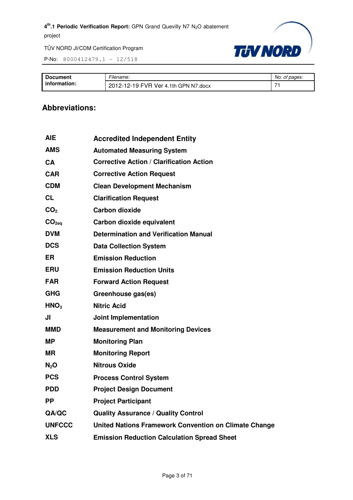P-No: 8000412479.1 – 12/518



| <b>Document</b> | -<br>-ılename:                       | No.<br>of pages: |
|-----------------|--------------------------------------|------------------|
| information:    | 2012-12-19 FVR Ver 4.1th GPN N7.docx | →.               |

#### **Abbreviations:**

| <b>Accredited Independent Entity</b>                         |
|--------------------------------------------------------------|
| <b>Automated Measuring System</b>                            |
| <b>Corrective Action / Clarification Action</b>              |
| <b>Corrective Action Request</b>                             |
| <b>Clean Development Mechanism</b>                           |
| <b>Clarification Request</b>                                 |
| <b>Carbon dioxide</b>                                        |
| Carbon dioxide equivalent                                    |
| <b>Determination and Verification Manual</b>                 |
| <b>Data Collection System</b>                                |
| <b>Emission Reduction</b>                                    |
| <b>Emission Reduction Units</b>                              |
| <b>Forward Action Request</b>                                |
| Greenhouse gas(es)                                           |
| <b>Nitric Acid</b>                                           |
| <b>Joint Implementation</b>                                  |
| <b>Measurement and Monitoring Devices</b>                    |
| <b>Monitoring Plan</b>                                       |
| <b>Monitoring Report</b>                                     |
| <b>Nitrous Oxide</b>                                         |
| <b>Process Control System</b>                                |
| <b>Project Design Document</b>                               |
| <b>Project Participant</b>                                   |
| <b>Quality Assurance / Quality Control</b>                   |
| <b>United Nations Framework Convention on Climate Change</b> |
| <b>Emission Reduction Calculation Spread Sheet</b>           |
|                                                              |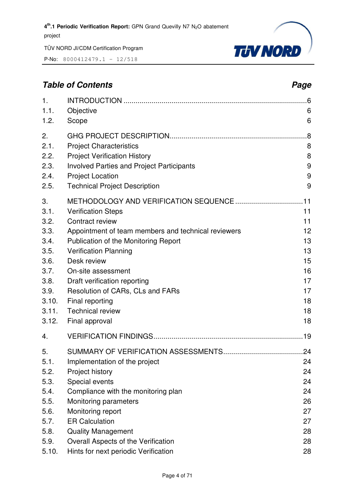P-No: 8000412479.1 – 12/518



#### **Table of Contents** *Page* **Page 2014**

| 1.                                                                                                    |                                                                                                                                                                                                                                                                                                                                                      | .6                                                                   |
|-------------------------------------------------------------------------------------------------------|------------------------------------------------------------------------------------------------------------------------------------------------------------------------------------------------------------------------------------------------------------------------------------------------------------------------------------------------------|----------------------------------------------------------------------|
| 1.1.                                                                                                  | Objective                                                                                                                                                                                                                                                                                                                                            | 6                                                                    |
| 1.2.                                                                                                  | Scope                                                                                                                                                                                                                                                                                                                                                | 6                                                                    |
| 2.                                                                                                    |                                                                                                                                                                                                                                                                                                                                                      | .8                                                                   |
| 2.1.                                                                                                  | <b>Project Characteristics</b>                                                                                                                                                                                                                                                                                                                       | 8                                                                    |
| 2.2.                                                                                                  | <b>Project Verification History</b>                                                                                                                                                                                                                                                                                                                  | 8                                                                    |
| 2.3.                                                                                                  | <b>Involved Parties and Project Participants</b>                                                                                                                                                                                                                                                                                                     | 9                                                                    |
| 2.4.                                                                                                  | <b>Project Location</b>                                                                                                                                                                                                                                                                                                                              | 9                                                                    |
| 2.5.                                                                                                  | <b>Technical Project Description</b>                                                                                                                                                                                                                                                                                                                 | 9                                                                    |
| 3.<br>3.1.<br>3.2.<br>3.3.<br>3.4.<br>3.5.<br>3.6.<br>3.7.<br>3.8.<br>3.9.<br>3.10.<br>3.11.<br>3.12. | <b>Verification Steps</b><br>Contract review<br>Appointment of team members and technical reviewers<br>Publication of the Monitoring Report<br><b>Verification Planning</b><br>Desk review<br>On-site assessment<br>Draft verification reporting<br>Resolution of CARs, CLs and FARs<br>Final reporting<br><b>Technical review</b><br>Final approval | 11<br>11<br>12<br>13<br>13<br>15<br>16<br>17<br>17<br>18<br>18<br>18 |
| 4.                                                                                                    |                                                                                                                                                                                                                                                                                                                                                      |                                                                      |
| 5.<br>5.1.<br>5.2.<br>5.3.<br>5.4.<br>5.5.<br>5.6.<br>5.7.<br>5.8.                                    | Implementation of the project<br>Project history<br>Special events<br>Compliance with the monitoring plan<br>Monitoring parameters<br>Monitoring report<br><b>ER Calculation</b><br><b>Quality Management</b>                                                                                                                                        | 24<br>24<br>24<br>24<br>26<br>27<br>27<br>28                         |
| 5.9.                                                                                                  | Overall Aspects of the Verification                                                                                                                                                                                                                                                                                                                  | 28                                                                   |
| 5.10.                                                                                                 | Hints for next periodic Verification                                                                                                                                                                                                                                                                                                                 | 28                                                                   |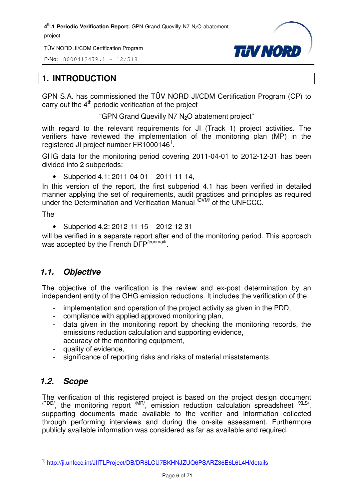TÜV NORD JI/CDM Certification Program

P-No: 8000412479.1 – 12/518



#### **1. INTRODUCTION**

GPN S.A. has commissioned the TÜV NORD JI/CDM Certification Program (CP) to carry out the  $4<sup>th</sup>$  periodic verification of the project

"GPN Grand Quevilly N7 N<sub>2</sub>O abatement project"

with regard to the relevant requirements for JI (Track 1) project activities. The verifiers have reviewed the implementation of the monitoring plan (MP) in the registered JI project number  $FR1000146^1$ .

GHG data for the monitoring period covering 2011-04-01 to 2012-12-31 has been divided into 2 subperiods:

• Subperiod  $4.1: 2011 - 04 - 01 - 2011 - 11 - 14$ ,

In this version of the report, the first subperiod 4.1 has been verified in detailed manner applying the set of requirements, audit practices and principles as required under the Determination and Verification Manual <sup>/DVM/</sup> of the UNFCCC.

The

• Subperiod 4.2: 2012-11-15 – 2012-12-31

will be verified in a separate report after end of the monitoring period. This approach was accepted by the French DFP<sup>/conmail/</sup>.

#### *1.1. Objective*

The objective of the verification is the review and ex-post determination by an independent entity of the GHG emission reductions. It includes the verification of the:

- implementation and operation of the project activity as given in the PDD,
- compliance with applied approved monitoring plan,
- data given in the monitoring report by checking the monitoring records, the emissions reduction calculation and supporting evidence,
- accuracy of the monitoring equipment,
- quality of evidence,
- significance of reporting risks and risks of material misstatements.

#### *1.2. Scope*

The verification of this registered project is based on the project design document  $\mu_{\text{PDD}}$ , the monitoring report  $\mu_{\text{IR}}$ , emission reduction calculation spreadsheet  $\mu_{\text{SND}}$ supporting documents made available to the verifier and information collected through performing interviews and during the on-site assessment. Furthermore publicly available information was considered as far as available and required.

l 1) http://ji.unfccc.int/JIITLProject/DB/DR8LCU7BKHNJZUQ6PSARZ36E6L6L4H/details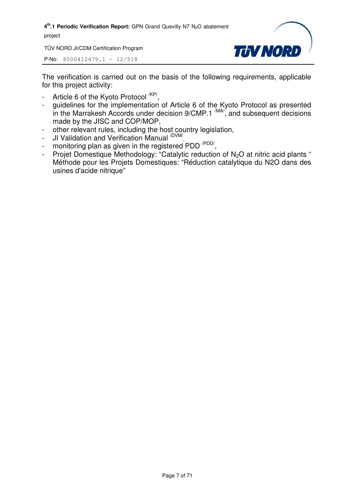TÜV NORD JI/CDM Certification Program



P-No: 8000412479.1 – 12/518

The verification is carried out on the basis of the following requirements, applicable for this project activity:

- Article 6 of the Kyoto Protocol <sup>/KP/</sup>,
- guidelines for the implementation of Article 6 of the Kyoto Protocol as presented in the Marrakesh Accords under decision  $9/CMP.1 \frac{MAV}{M}$ , and subsequent decisions made by the JISC and COP/MOP,
- other relevant rules, including the host country legislation,
- JI Validation and Verification Manual <sup>/DVM/</sup>,
- monitoring plan as given in the registered PDD<sup>/PDD/</sup>,
- Projet Domestique Methodology: "Catalytic reduction of  $N_2O$  at nitric acid plants " Méthode pour les Projets Domestiques: "Réduction catalytique du N2O dans des usines d'acide nitrique"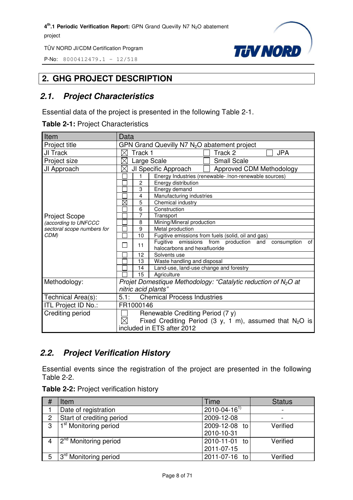P-No: 8000412479.1 – 12/518



#### **2. GHG PROJECT DESCRIPTION**

#### *2.1. Project Characteristics*

Essential data of the project is presented in the following Table 2-1.

**Table 2-1:** Project Characteristics

| Item                                                                                                   | Data                                                                                                                                                                                                                                                                          |  |  |
|--------------------------------------------------------------------------------------------------------|-------------------------------------------------------------------------------------------------------------------------------------------------------------------------------------------------------------------------------------------------------------------------------|--|--|
| Project title                                                                                          | GPN Grand Quevilly N7 N <sub>2</sub> O abatement project                                                                                                                                                                                                                      |  |  |
| JI Track                                                                                               | Track 2<br><b>JPA</b><br>$\times$<br>Track 1                                                                                                                                                                                                                                  |  |  |
| Project size                                                                                           | <b>Small Scale</b><br>$\times$<br>Large Scale                                                                                                                                                                                                                                 |  |  |
| JI Approach                                                                                            | Approved CDM Methodology<br>$\times$<br>JI Specific Approach                                                                                                                                                                                                                  |  |  |
|                                                                                                        | Energy Industries (renewable-/non-renewable sources)<br>1                                                                                                                                                                                                                     |  |  |
|                                                                                                        | $\overline{c}$<br>Energy distribution                                                                                                                                                                                                                                         |  |  |
|                                                                                                        | 3<br>Energy demand                                                                                                                                                                                                                                                            |  |  |
|                                                                                                        | Manufacturing industries<br>4                                                                                                                                                                                                                                                 |  |  |
|                                                                                                        | 5<br>Chemical industry                                                                                                                                                                                                                                                        |  |  |
|                                                                                                        | 6<br>Construction                                                                                                                                                                                                                                                             |  |  |
|                                                                                                        | $\overline{7}$<br>Transport                                                                                                                                                                                                                                                   |  |  |
|                                                                                                        | Mining/Mineral production<br>8                                                                                                                                                                                                                                                |  |  |
| sectoral scope numbers for                                                                             | 9<br>Metal production                                                                                                                                                                                                                                                         |  |  |
| CDM)                                                                                                   | Fugitive emissions from fuels (solid, oil and gas)<br>10                                                                                                                                                                                                                      |  |  |
|                                                                                                        | Fugitive emissions from production and<br>consumption<br>οf                                                                                                                                                                                                                   |  |  |
|                                                                                                        | halocarbons and hexafluoride                                                                                                                                                                                                                                                  |  |  |
|                                                                                                        | 12<br>Solvents use                                                                                                                                                                                                                                                            |  |  |
|                                                                                                        | 13<br>Waste handling and disposal                                                                                                                                                                                                                                             |  |  |
|                                                                                                        | 14                                                                                                                                                                                                                                                                            |  |  |
|                                                                                                        | 15<br>Agriculture                                                                                                                                                                                                                                                             |  |  |
|                                                                                                        |                                                                                                                                                                                                                                                                               |  |  |
|                                                                                                        | nitric acid plants"                                                                                                                                                                                                                                                           |  |  |
|                                                                                                        | 5.1:<br><b>Chemical Process Industries</b>                                                                                                                                                                                                                                    |  |  |
| ITL Project ID No.:                                                                                    | FR1000146                                                                                                                                                                                                                                                                     |  |  |
|                                                                                                        |                                                                                                                                                                                                                                                                               |  |  |
|                                                                                                        |                                                                                                                                                                                                                                                                               |  |  |
|                                                                                                        |                                                                                                                                                                                                                                                                               |  |  |
| <b>Project Scope</b><br>(according to UNFCCC<br>Methodology:<br>Technical Area(s):<br>Crediting period | $\boxtimes$<br>11<br>Land-use, land-use change and forestry<br>Projet Domestique Methodology: "Catalytic reduction of $N_2O$ at<br>Renewable Crediting Period (7 y)<br>$\boxtimes$<br>Fixed Crediting Period (3 y, 1 m), assumed that $N_2O$ is<br>included in ETS after 2012 |  |  |

#### *2.2. Project Verification History*

Essential events since the registration of the project are presented in the following Table 2-2.

| Table 2-2: Project verification history |  |  |
|-----------------------------------------|--|--|
|-----------------------------------------|--|--|

|                | Item                              | Time                 | <b>Status</b> |
|----------------|-----------------------------------|----------------------|---------------|
|                | Date of registration              | $2010 - 04 - 16^{1}$ |               |
| $\overline{2}$ | Start of crediting period         | 2009-12-08           |               |
| 3              | 1 <sup>st</sup> Monitoring period | 2009-12-08 to        | Verified      |
|                |                                   | 2010-10-31           |               |
|                | 2 <sup>nd</sup> Monitoring period | 2010-11-01 to        | Verified      |
|                |                                   | 2011-07-15           |               |
| 5              | 3 <sup>rd</sup> Monitoring period | 2011-07-16 to        | Verified      |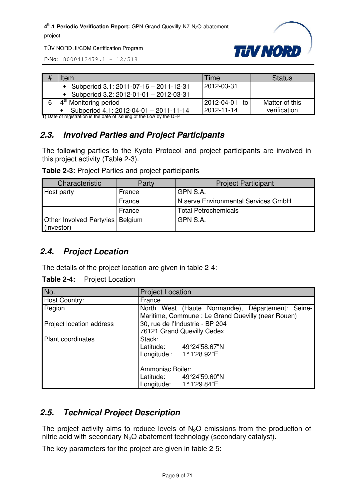

TÜV NORD JI/CDM Certification Program

P-No: 8000412479.1 – 12/518

| Item                                                                                                          | Time          | <b>Status</b>  |
|---------------------------------------------------------------------------------------------------------------|---------------|----------------|
| Subperiod 3.1: 2011-07-16 - 2011-12-31                                                                        | 2012-03-31    |                |
| Subperiod 3.2: 2012-01-01 - 2012-03-31<br>$\bullet$                                                           |               |                |
| $\frac{1}{4}$ <sup>th</sup> Monitoring period                                                                 | 2012-04-01 to | Matter of this |
| Subperiod 4.1: 2012-04-01 - 2011-11-14<br>1) Deta et registration is the deta et jesuing et the LeA buthe DED | 2012-11-14    | verification   |

1) Date of registration is the date of issuing of the LoA by the DFP

#### *2.3. Involved Parties and Project Participants*

The following parties to the Kyoto Protocol and project participants are involved in this project activity (Table 2-3).

| Table 2-3: Project Parties and project participants |  |  |  |  |
|-----------------------------------------------------|--|--|--|--|
|-----------------------------------------------------|--|--|--|--|

| Characteristic                                   | Party  | <b>Project Participant</b>          |
|--------------------------------------------------|--------|-------------------------------------|
| Host party                                       | France | GPN S.A.                            |
|                                                  | France | N.serve Environmental Services GmbH |
|                                                  | France | <b>Total Petrochemicals</b>         |
| Other Involved Party/ies   Belgium<br>(investor) |        | GPN S.A.                            |

#### *2.4. Project Location*

The details of the project location are given in table 2-4:

**Table 2-4:** Project Location

| No.                      | <b>Project Location</b>                           |
|--------------------------|---------------------------------------------------|
| Host Country:            | France                                            |
| Region                   | North West (Haute Normandie), Département: Seine- |
|                          | Maritime, Commune: Le Grand Quevilly (near Rouen) |
| Project location address | 30, rue de l'Industrie - BP 204                   |
|                          | 76121 Grand Quevilly Cedex                        |
| <b>Plant coordinates</b> | Stack:                                            |
|                          | Latitude: 49°24'58.67"N                           |
|                          | Longitude: $1°1'28.92"E$                          |
|                          | Ammoniac Boiler:                                  |
|                          | Latitude: 49°24'59.60"N                           |
|                          | Longitude: 1°1'29.84"E                            |

#### *2.5. Technical Project Description*

The project activity aims to reduce levels of  $N<sub>2</sub>O$  emissions from the production of nitric acid with secondary  $N_2O$  abatement technology (secondary catalyst).

The key parameters for the project are given in table 2-5: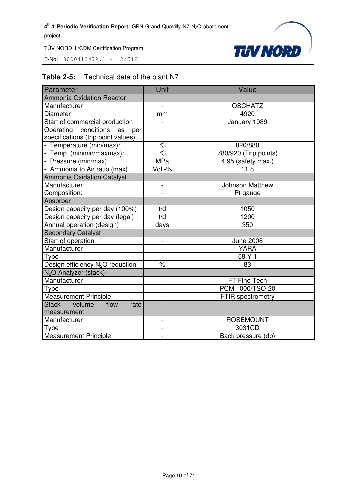P-No: 8000412479.1 – 12/518



#### **Table 2-5:** Technical data of the plant N7

| Parameter                                    | Unit                     | Value                    |
|----------------------------------------------|--------------------------|--------------------------|
| <b>Ammonia Oxidation Reactor</b>             |                          |                          |
| Manufacturer                                 | $\overline{a}$           | <b>OSCHATZ</b>           |
| <b>Diameter</b>                              | mm                       | 4920                     |
| Start of commercial production               | $\overline{\phantom{0}}$ | January 1989             |
| Operating conditions as<br>per               |                          |                          |
| specifications (trip point values)           |                          |                          |
| - Temperature (min/max):                     | $^{\circ}\!{\rm C}$      | 820/880                  |
| - Temp. (minmin/maxmax):                     | $\overline{C}$           | 780/920 (Trip points)    |
| - Pressure (min/max):                        | <b>MPa</b>               | 4.95 (safety max.)       |
| - Ammonia to Air ratio (max)                 | Vol.-%                   | 11.8                     |
| Ammonia Oxidation Catalyst                   |                          |                          |
| Manufacturer                                 |                          | <b>Johnson Matthew</b>   |
| Composition:                                 |                          | Pt gauge                 |
| Absorber                                     |                          |                          |
| Design capacity per day (100%)               | t/d                      | 1050                     |
| Design capacity per day (legal)              | t/d                      | 1200                     |
| Annual operation (design)                    | days                     | 350                      |
| <b>Secondary Catalyst</b>                    |                          |                          |
| Start of operation                           | $\overline{a}$           | <b>June 2008</b>         |
| Manufacturer                                 | $\overline{a}$           | <b>YARA</b>              |
| Type                                         | $\overline{a}$           | 58 Y 1                   |
| Design efficiency N <sub>2</sub> O reduction | $\frac{1}{\sqrt{2}}$     | 83                       |
| N <sub>2</sub> O Analyzer (stack)            |                          |                          |
| Manufacturer                                 | $\overline{a}$           | FT Fine Tech             |
| <b>Type</b>                                  |                          | PCM 1000/TSO-20          |
| <b>Measurement Principle</b>                 |                          | <b>FTIR spectrometry</b> |
| <b>Stack</b><br>volume<br>flow<br>rate       |                          |                          |
| measurement                                  |                          |                          |
| Manufacturer                                 | $\overline{a}$           | <b>ROSEMOUNT</b>         |
| Type                                         | $\overline{a}$           | 3031CD                   |
| <b>Measurement Principle</b>                 | $\overline{a}$           | Back pressure (dp)       |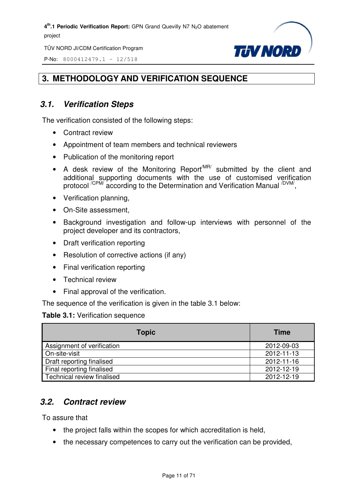TÜV NORD JI/CDM Certification Program

P-No: 8000412479.1 – 12/518



#### **3. METHODOLOGY AND VERIFICATION SEQUENCE**

#### *3.1. Verification Steps*

The verification consisted of the following steps:

- Contract review
- Appointment of team members and technical reviewers
- Publication of the monitoring report
- A desk review of the Monitoring Report<sup>MR/</sup> submitted by the client and additional supporting documents with the use of customised verification protocol <sup>/CPM/</sup> according to the Determination and Verification Manual <sup>/DVM/</sup>,
- Verification planning,
- On-Site assessment,
- Background investigation and follow-up interviews with personnel of the project developer and its contractors,
- Draft verification reporting
- Resolution of corrective actions (if any)
- Final verification reporting
- Technical review
- Final approval of the verification.

The sequence of the verification is given in the table 3.1 below:

#### **Table 3.1:** Verification sequence

| <b>Topic</b>               | <b>Time</b> |
|----------------------------|-------------|
| Assignment of verification | 2012-09-03  |
| On-site-visit              | 2012-11-13  |
| Draft reporting finalised  | 2012-11-16  |
| Final reporting finalised  | 2012-12-19  |
| Technical review finalised | 2012-12-19  |

#### *3.2. Contract review*

To assure that

- the project falls within the scopes for which accreditation is held,
- the necessary competences to carry out the verification can be provided,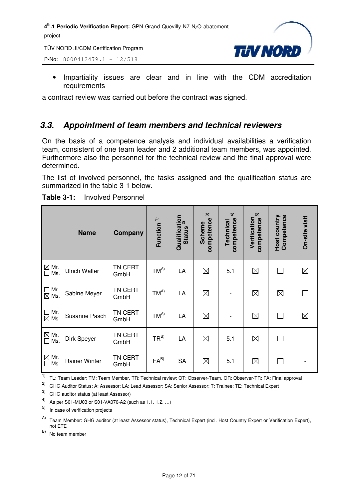TÜV NORD JI/CDM Certification Program

P-No: 8000412479.1 – 12/518



• Impartiality issues are clear and in line with the CDM accreditation requirements

a contract review was carried out before the contract was signed.

#### *3.3. Appointment of team members and technical reviewers*

On the basis of a competence analysis and individual availabilities a verification team, consistent of one team leader and 2 additional team members, was appointed. Furthermore also the personnel for the technical review and the final approval were determined.

The list of involved personnel, the tasks assigned and the qualification status are summarized in the table 3-1 below.

|                                                        | <b>Name</b>          | Company         | Function <sup>1)</sup> | Qualification<br>Cuntus 2)<br><b>Status</b> | $\widehat{\mathcal{D}}$<br>competence<br><b>Scheme</b> | $\hat{+}$<br>competence<br>Technical | 5<br>Verification<br>competence | Host country<br>Competence | On-site visit |
|--------------------------------------------------------|----------------------|-----------------|------------------------|---------------------------------------------|--------------------------------------------------------|--------------------------------------|---------------------------------|----------------------------|---------------|
| $\overline{\bigcirc}$ Mr.<br>$\overline{\bigcirc}$ Ms. | <b>Ulrich Walter</b> | TN CERT<br>GmbH | $TM^{A)}$              | LA                                          | $\boxtimes$                                            | 5.1                                  | $\boxtimes$                     | П                          | $\boxtimes$   |
| $\Box$ Mr.<br>$\boxtimes$ Ms.                          | Sabine Meyer         | TN CERT<br>GmbH | $TM^{A)}$              | LA                                          | $\boxtimes$                                            |                                      | $\boxtimes$                     | $\boxtimes$                |               |
| $\Box$ Mr.<br>$\boxtimes$ Ms.                          | Susanne Pasch        | TN CERT<br>GmbH | $TM^{A)}$              | LA                                          | $\boxtimes$                                            |                                      | $\boxtimes$                     | $\Box$                     | $\boxtimes$   |
| $\overline{\mathsf{M}}$ Mr.<br>$\Box$ Ms.              | Dirk Speyer          | TN CERT<br>GmbH | $TR^{B)}$              | LA                                          | ⊠                                                      | 5.1                                  | $\boxtimes$                     | $\Box$                     |               |
| $\underline{\boxtimes}$ Mr.<br>$\Box$ Ms.              | <b>Rainer Winter</b> | TN CERT<br>GmbH | $FA^{B}$               | <b>SA</b>                                   | ⊠                                                      | 5.1                                  | $\boxtimes$                     | $\Box$                     |               |

**Table 3-1:** Involved Personnel

1) TL: Team Leader; TM: Team Member, TR: Technical review; OT: Observer-Team, OR: Observer-TR; FA: Final approval

2) GHG Auditor Status: A: Assessor; LA: Lead Assessor; SA: Senior Assessor; T: Trainee; TE: Technical Expert

3) GHG auditor status (at least Assessor)

4) As per S01-MU03 or S01-VA070-A2 (such as 1.1, 1.2, …)

In case of verification projects

A) Team Member: GHG auditor (at least Assessor status), Technical Expert (incl. Host Country Expert or Verification Expert), not ETE

 $(B)$  No team member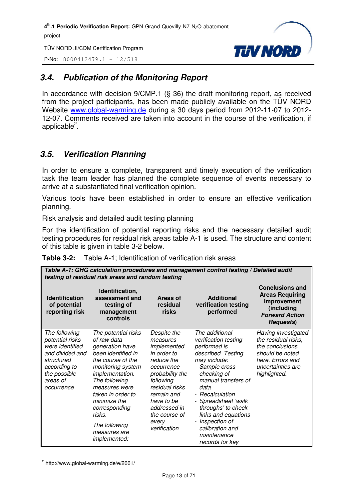TÜV NORD JI/CDM Certification Program

P-No: 8000412479.1 – 12/518



#### *3.4. Publication of the Monitoring Report*

In accordance with decision 9/CMP.1 (§ 36) the draft monitoring report, as received from the project participants, has been made publicly available on the TÜV NORD Website www.global-warming.de during a 30 days period from 2012-11-07 to 2012- 12-07. Comments received are taken into account in the course of the verification, if applicable<sup>2</sup>.

#### *3.5. Verification Planning*

In order to ensure a complete, transparent and timely execution of the verification task the team leader has planned the complete sequence of events necessary to arrive at a substantiated final verification opinion.

Various tools have been established in order to ensure an effective verification planning.

Risk analysis and detailed audit testing planning

For the identification of potential reporting risks and the necessary detailed audit testing procedures for residual risk areas table A-1 is used. The structure and content of this table is given in table 3-2 below.

|                                                                                                                                                 | Table A-1: GHG calculation procedures and management control testing / Detailed audit<br>testing of residual risk areas and random testing                                                                                                                                                  |                                                                                                                                                                                                                            |                                                                                                                                                                                                                                                                                                                                                       |                                                                                                                                           |  |
|-------------------------------------------------------------------------------------------------------------------------------------------------|---------------------------------------------------------------------------------------------------------------------------------------------------------------------------------------------------------------------------------------------------------------------------------------------|----------------------------------------------------------------------------------------------------------------------------------------------------------------------------------------------------------------------------|-------------------------------------------------------------------------------------------------------------------------------------------------------------------------------------------------------------------------------------------------------------------------------------------------------------------------------------------------------|-------------------------------------------------------------------------------------------------------------------------------------------|--|
| <b>Identification</b><br>of potential<br>reporting risk                                                                                         | Identification,<br>assessment and<br>testing of<br>management<br>controls                                                                                                                                                                                                                   | Areas of<br>residual<br>risks                                                                                                                                                                                              | <b>Additional</b><br>verification testing<br>performed                                                                                                                                                                                                                                                                                                | <b>Conclusions and</b><br><b>Areas Requiring</b><br>Improvement<br>(including<br><b>Forward Action</b><br><b>Requests</b> )               |  |
| The following<br>potential risks<br>were identified<br>and divided and<br>structured<br>according to<br>the possible<br>areas of<br>occurrence. | The potential risks<br>of raw data<br>generation have<br>been identified in<br>the course of the<br>monitoring system<br>implementation.<br>The following<br>measures were<br>taken in order to<br>minimize the<br>corresponding<br>risks.<br>The following<br>measures are<br>implemented: | Despite the<br>measures<br>implemented<br>in order to<br>reduce the<br>occurrence<br>probability the<br>following<br>residual risks<br>remain and<br>have to be<br>addressed in<br>the course of<br>every<br>verification. | The additional<br>verification testing<br>performed is<br>described. Testing<br>may include:<br>- Sample cross<br>checking of<br>manual transfers of<br>data<br>- Recalculation<br>- Spreadsheet 'walk<br>throughs' to check<br>links and equations<br>Inspection of<br>$\overline{\phantom{a}}$<br>calibration and<br>maintenance<br>records for key | Having investigated<br>the residual risks,<br>the conclusions<br>should be noted<br>here. Errors and<br>uncertainties are<br>highlighted. |  |

**Table 3-2:** Table A-1; Identification of verification risk areas

 $2$  http://www.global-warming.de/e/2001/

l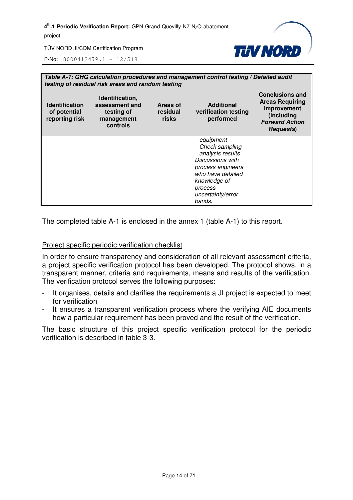

P-No: 8000412479.1 – 12/518

|                                                         | Table A-1: GHG calculation procedures and management control testing / Detailed audit<br>testing of residual risk areas and random testing |                               |                                                                                                                                                                           |                                                                                                                             |  |
|---------------------------------------------------------|--------------------------------------------------------------------------------------------------------------------------------------------|-------------------------------|---------------------------------------------------------------------------------------------------------------------------------------------------------------------------|-----------------------------------------------------------------------------------------------------------------------------|--|
| <b>Identification</b><br>of potential<br>reporting risk | Identification,<br>assessment and<br>testing of<br>management<br>controls                                                                  | Areas of<br>residual<br>risks | <b>Additional</b><br>verification testing<br>performed                                                                                                                    | <b>Conclusions and</b><br><b>Areas Requiring</b><br>Improvement<br>(including<br><b>Forward Action</b><br><b>Requests</b> ) |  |
|                                                         |                                                                                                                                            |                               | equipment<br>- Check sampling<br>analysis results<br>Discussions with<br>process engineers<br>who have detailed<br>knowledge of<br>process<br>uncertainty/error<br>bands. |                                                                                                                             |  |

The completed table A-1 is enclosed in the annex 1 (table A-1) to this report.

#### Project specific periodic verification checklist

In order to ensure transparency and consideration of all relevant assessment criteria, a project specific verification protocol has been developed. The protocol shows, in a transparent manner, criteria and requirements, means and results of the verification. The verification protocol serves the following purposes:

- It organises, details and clarifies the requirements a JI project is expected to meet for verification
- It ensures a transparent verification process where the verifying AIE documents how a particular requirement has been proved and the result of the verification.

The basic structure of this project specific verification protocol for the periodic verification is described in table 3-3.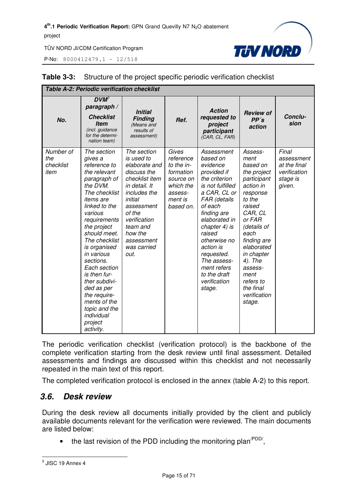P-No: 8000412479.1 – 12/518



| <b>Table A-2: Periodic verification checklist</b> |                                                                                                                                                                                                                                                                                                                                                                                                               |                                                                                                                                                                                                                             |                                                                                                            |                                                                                                                                                                                                                                                                                                                 |                                                                                                                                                                                                                                                                                 |                                                                           |
|---------------------------------------------------|---------------------------------------------------------------------------------------------------------------------------------------------------------------------------------------------------------------------------------------------------------------------------------------------------------------------------------------------------------------------------------------------------------------|-----------------------------------------------------------------------------------------------------------------------------------------------------------------------------------------------------------------------------|------------------------------------------------------------------------------------------------------------|-----------------------------------------------------------------------------------------------------------------------------------------------------------------------------------------------------------------------------------------------------------------------------------------------------------------|---------------------------------------------------------------------------------------------------------------------------------------------------------------------------------------------------------------------------------------------------------------------------------|---------------------------------------------------------------------------|
| No.                                               | $DVM^3$<br>paragraph /<br><b>Checklist</b><br><b>Item</b><br>(incl. guidance<br>for the determi-<br>nation team)                                                                                                                                                                                                                                                                                              | <b>Initial</b><br><b>Finding</b><br>(Means and<br>results of<br>assessment)                                                                                                                                                 | Ref.                                                                                                       | <b>Action</b><br>requested to<br>project<br>participant<br>(CAR, CL, FAR)                                                                                                                                                                                                                                       | <b>Review of</b><br>PP's<br>action                                                                                                                                                                                                                                              | Conclu-<br>sion                                                           |
| Number of<br>the<br>checklist<br>item             | The section<br>gives a<br>reference to<br>the relevant<br>paragraph of<br>the DVM.<br>The checklist<br>items are<br>linked to the<br>various<br>requirements<br>the project<br>should meet.<br>The checklist<br>is organised<br>in various<br>sections.<br>Each section<br>is then fur-<br>ther subdivi-<br>ded as per<br>the require-<br>ments of the<br>topic and the<br>individual<br>project<br>activity. | The section<br>is used to<br>elaborate and<br>discuss the<br>checklist item<br>in detail. It<br>includes the<br>initial<br>assessment<br>of the<br>verification<br>team and<br>how the<br>assessment<br>was carried<br>out. | Gives<br>reference<br>to the in-<br>formation<br>source on<br>which the<br>assess-<br>ment is<br>based on. | Assessment<br>based on<br>evidence<br>provided if<br>the criterion<br>is not fulfilled<br>a CAR, CL or<br>FAR (details<br>of each<br>finding are<br>elaborated in<br>chapter 4) is<br>raised<br>otherwise no<br>action is<br>requested.<br>The assess-<br>ment refers<br>to the draft<br>verification<br>stage. | Assess-<br>ment<br>based on<br>the project<br>participant<br>action in<br>response<br>to the<br>raised<br>CAR, CL<br>or FAR<br>(details of<br>each<br>finding are<br>elaborated<br>in chapter<br>4). The<br>assess-<br>ment<br>refers to<br>the final<br>verification<br>stage. | Final<br>assessment<br>at the final<br>verification<br>stage is<br>given. |

#### **Table 3-3:** Structure of the project specific periodic verification checklist

The periodic verification checklist (verification protocol) is the backbone of the complete verification starting from the desk review until final assessment. Detailed assessments and findings are discussed within this checklist and not necessarily repeated in the main text of this report.

The completed verification protocol is enclosed in the annex (table A-2) to this report.

#### *3.6. Desk review*

During the desk review all documents initially provided by the client and publicly available documents relevant for the verification were reviewed. The main documents are listed below:

• the last revision of the PDD including the monitoring plan<sup> $PDD/$ </sup>,

 3 JISC 19 Annex 4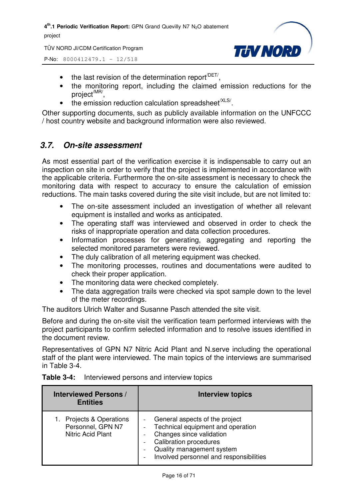TÜV NORD JI/CDM Certification Program



P-No: 8000412479.1 – 12/518

- $\bullet$  the last revision of the determination report<sup> $/$ DET/</sup>,
- the monitoring report, including the claimed emission reductions for the project<sup>/MR/</sup>,
- $\bullet$  the emission reduction calculation spreadsheet<sup>/XLS/</sup>.

Other supporting documents, such as publicly available information on the UNFCCC / host country website and background information were also reviewed.

#### *3.7. On-site assessment*

As most essential part of the verification exercise it is indispensable to carry out an inspection on site in order to verify that the project is implemented in accordance with the applicable criteria. Furthermore the on-site assessment is necessary to check the monitoring data with respect to accuracy to ensure the calculation of emission reductions. The main tasks covered during the site visit include, but are not limited to:

- The on-site assessment included an investigation of whether all relevant equipment is installed and works as anticipated.
- The operating staff was interviewed and observed in order to check the risks of inappropriate operation and data collection procedures.
- Information processes for generating, aggregating and reporting the selected monitored parameters were reviewed.
- The duly calibration of all metering equipment was checked.
- The monitoring processes, routines and documentations were audited to check their proper application.
- The monitoring data were checked completely.
- The data aggregation trails were checked via spot sample down to the level of the meter recordings.

The auditors Ulrich Walter and Susanne Pasch attended the site visit.

Before and during the on-site visit the verification team performed interviews with the project participants to confirm selected information and to resolve issues identified in the document review.

Representatives of GPN N7 Nitric Acid Plant and N.serve including the operational staff of the plant were interviewed. The main topics of the interviews are summarised in Table 3-4.

| <b>Interviewed Persons /</b><br><b>Entities</b>                       | <b>Interview topics</b>                                                                                                                                                                                  |
|-----------------------------------------------------------------------|----------------------------------------------------------------------------------------------------------------------------------------------------------------------------------------------------------|
| Projects & Operations<br>1.<br>Personnel, GPN N7<br>Nitric Acid Plant | General aspects of the project<br>Technical equipment and operation<br>Changes since validation<br><b>Calibration procedures</b><br>Quality management system<br>Involved personnel and responsibilities |

|  | <b>Table 3-4:</b> Interviewed persons and interview topics |  |  |  |
|--|------------------------------------------------------------|--|--|--|
|--|------------------------------------------------------------|--|--|--|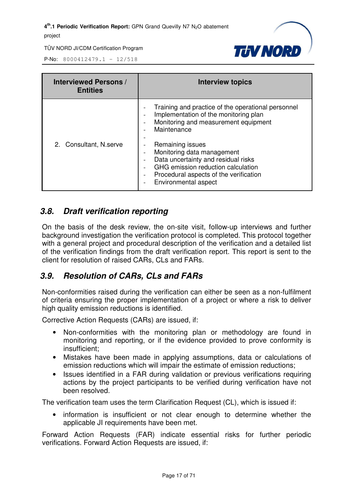

P-No: 8000412479.1 – 12/518

| <b>Interviewed Persons /</b><br><b>Entities</b> | <b>Interview topics</b>                                                                                                                                                                                                                                                                                                                                                         |
|-------------------------------------------------|---------------------------------------------------------------------------------------------------------------------------------------------------------------------------------------------------------------------------------------------------------------------------------------------------------------------------------------------------------------------------------|
| 2. Consultant, N.serve                          | Training and practice of the operational personnel<br>Implementation of the monitoring plan<br>Monitoring and measurement equipment<br>Maintenance<br>Remaining issues<br>Monitoring data management<br>Data uncertainty and residual risks<br>GHG emission reduction calculation<br>Procedural aspects of the verification<br>$\overline{\phantom{a}}$<br>Environmental aspect |

#### *3.8. Draft verification reporting*

On the basis of the desk review, the on-site visit, follow-up interviews and further background investigation the verification protocol is completed. This protocol together with a general project and procedural description of the verification and a detailed list of the verification findings from the draft verification report. This report is sent to the client for resolution of raised CARs, CLs and FARs.

#### *3.9. Resolution of CARs, CLs and FARs*

Non-conformities raised during the verification can either be seen as a non-fulfilment of criteria ensuring the proper implementation of a project or where a risk to deliver high quality emission reductions is identified.

Corrective Action Requests (CARs) are issued, if:

- Non-conformities with the monitoring plan or methodology are found in monitoring and reporting, or if the evidence provided to prove conformity is insufficient;
- Mistakes have been made in applying assumptions, data or calculations of emission reductions which will impair the estimate of emission reductions;
- Issues identified in a FAR during validation or previous verifications requiring actions by the project participants to be verified during verification have not been resolved.

The verification team uses the term Clarification Request (CL), which is issued if:

• information is insufficient or not clear enough to determine whether the applicable JI requirements have been met.

Forward Action Requests (FAR) indicate essential risks for further periodic verifications. Forward Action Requests are issued, if: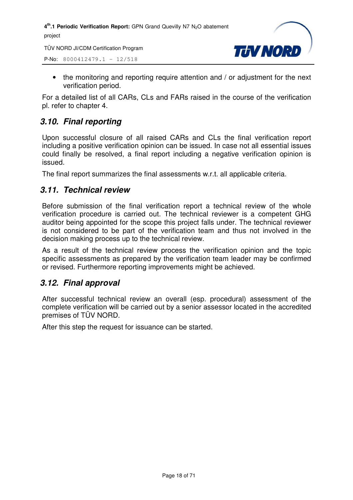TÜV NORD JI/CDM Certification Program

P-No: 8000412479.1 – 12/518



• the monitoring and reporting require attention and / or adjustment for the next verification period.

For a detailed list of all CARs, CLs and FARs raised in the course of the verification pl. refer to chapter 4.

#### *3.10. Final reporting*

Upon successful closure of all raised CARs and CLs the final verification report including a positive verification opinion can be issued. In case not all essential issues could finally be resolved, a final report including a negative verification opinion is issued.

The final report summarizes the final assessments w.r.t. all applicable criteria.

#### *3.11. Technical review*

Before submission of the final verification report a technical review of the whole verification procedure is carried out. The technical reviewer is a competent GHG auditor being appointed for the scope this project falls under. The technical reviewer is not considered to be part of the verification team and thus not involved in the decision making process up to the technical review.

As a result of the technical review process the verification opinion and the topic specific assessments as prepared by the verification team leader may be confirmed or revised. Furthermore reporting improvements might be achieved.

#### *3.12. Final approval*

After successful technical review an overall (esp. procedural) assessment of the complete verification will be carried out by a senior assessor located in the accredited premises of TÜV NORD.

After this step the request for issuance can be started.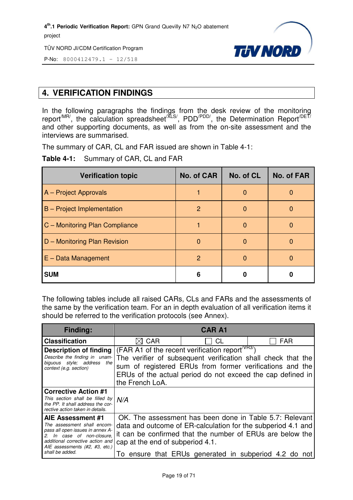TÜV NORD JI/CDM Certification Program



P-No: 8000412479.1 – 12/518

#### **4. VERIFICATION FINDINGS**

In the following paragraphs the findings from the desk review of the monitoring report<sup>/MR/</sup>, the calculation spreadsheet<sup>/XLS/</sup>, PDD<sup>/PDD/</sup>, the Determination Report<sup>/DET/</sup> and other supporting documents, as well as from the on-site assessment and the interviews are summarised.

The summary of CAR, CL and FAR issued are shown in Table 4-1:

**Table 4-1:** Summary of CAR, CL and FAR

| <b>Verification topic</b>         | <b>No. of CAR</b> | No. of CL    | <b>No. of FAR</b> |
|-----------------------------------|-------------------|--------------|-------------------|
| A - Project Approvals             |                   | 0            |                   |
| <b>B</b> – Project Implementation | 2                 | <sup>0</sup> |                   |
| C - Monitoring Plan Compliance    |                   | O            |                   |
| D - Monitoring Plan Revision      | $\Omega$          | <sup>0</sup> |                   |
| $E - Data Management$             | $\overline{2}$    | 0            |                   |
| <b>SUM</b>                        | 6                 |              |                   |

The following tables include all raised CARs, CLs and FARs and the assessments of the same by the verification team. For an in depth evaluation of all verification items it should be referred to the verification protocols (see Annex).

| <b>Finding:</b>                                                                                                                                                                                          |                                  | <b>CAR A1</b>                                                                                                                                                                                                                                  |            |
|----------------------------------------------------------------------------------------------------------------------------------------------------------------------------------------------------------|----------------------------------|------------------------------------------------------------------------------------------------------------------------------------------------------------------------------------------------------------------------------------------------|------------|
| <b>Classification</b>                                                                                                                                                                                    | $\boxtimes$ CAR                  | CL                                                                                                                                                                                                                                             | <b>FAR</b> |
| Description of finding<br>Describe the finding in unam-<br>biguous style; address<br>the<br>context (e.g. section)                                                                                       | the French LoA.                  | (FAR A1 of the recent verification report $V(VRS)$ )<br>The verifier of subsequent verification shall check that the<br>sum of registered ERUs from former verifications and the<br>ERUs of the actual period do not exceed the cap defined in |            |
| <b>Corrective Action #1</b><br>This section shall be filled by<br>the PP. It shall address the cor-<br>rective action taken in details.                                                                  | N/A                              |                                                                                                                                                                                                                                                |            |
| AIE Assessment #1<br>The assessment shall encom-<br>pass all open issues in annex A-<br>In case of non-closure,<br>additional corrective action and<br>AIE assessments (#2, #3, etc.)<br>shall be added. | cap at the end of subperiod 4.1. | OK. The assessment has been done in Table 5.7: Relevant<br>data and outcome of ER-calculation for the subperiod 4.1 and<br>it can be confirmed that the number of ERUs are below the<br>To ensure that ERUs generated in subperiod 4.2 do not  |            |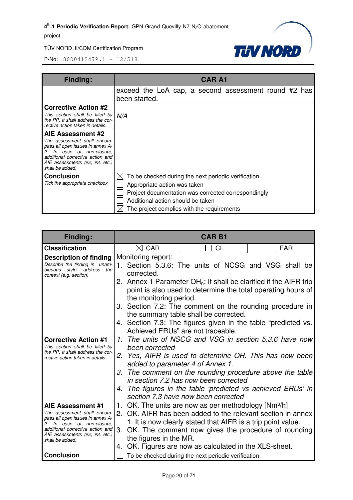

| <b>Finding:</b>                                                                                                                                                                                          | <b>CAR A1</b>                                                                                                                                                                                                                 |
|----------------------------------------------------------------------------------------------------------------------------------------------------------------------------------------------------------|-------------------------------------------------------------------------------------------------------------------------------------------------------------------------------------------------------------------------------|
|                                                                                                                                                                                                          | exceed the LoA cap, a second assessment round #2 has<br>been started.                                                                                                                                                         |
| <b>Corrective Action #2</b><br>This section shall be filled by<br>the PP. It shall address the cor-<br>rective action taken in details.                                                                  | N/A                                                                                                                                                                                                                           |
| AIE Assessment #2<br>The assessment shall encom-<br>pass all open issues in annex A-<br>In case of non-closure.<br>additional corrective action and<br>AIE assessments (#2, #3, etc.)<br>shall be added. |                                                                                                                                                                                                                               |
| <b>Conclusion</b><br>Tick the appropriate checkbox                                                                                                                                                       | To be checked during the next periodic verification<br>Appropriate action was taken<br>Project documentation was corrected correspondingly<br>Additional action should be taken<br>The project complies with the requirements |

| <b>Finding:</b>                                                                               | <b>CAR B1</b>                                                                                                                       |  |  |  |
|-----------------------------------------------------------------------------------------------|-------------------------------------------------------------------------------------------------------------------------------------|--|--|--|
| <b>Classification</b>                                                                         | CAR<br>CL<br><b>FAR</b><br>$\bowtie$                                                                                                |  |  |  |
| <b>Description of finding</b><br>Describe the finding in unam-                                | Monitoring report:<br>1. Section 5.3.6: The units of NCSG and VSG shall be                                                          |  |  |  |
| biguous style; address<br>the<br>context (e.g. section)                                       | corrected.                                                                                                                          |  |  |  |
|                                                                                               | 2. Annex 1 Parameter $OHn$ : It shall be clarified if the AIFR trip<br>point is also used to determine the total operating hours of |  |  |  |
|                                                                                               | the monitoring period.<br>3. Section 7.2: The comment on the rounding procedure in<br>the summary table shall be corrected.         |  |  |  |
|                                                                                               | 4. Section 7.3: The figures given in the table "predicted vs.<br>Achieved ERUs" are not traceable.                                  |  |  |  |
| <b>Corrective Action #1</b><br>This section shall be filled by                                | 1. The units of NSCG and VSG in section 5.3.6 have now<br>been corrected                                                            |  |  |  |
| the PP. It shall address the cor-<br>rective action taken in details.                         | 2. Yes, AIFR is used to determine OH. This has now been<br>added to parameter 4 of Annex 1.                                         |  |  |  |
|                                                                                               | 3. The comment on the rounding procedure above the table<br>in section 7.2 has now been corrected                                   |  |  |  |
|                                                                                               | 4. The figures in the table 'predicted vs achieved ERUs' in<br>section 7.3 have now been corrected                                  |  |  |  |
| AIE Assessment #1                                                                             | 1. OK. The units are now as per methodology [Nm <sup>3</sup> /h]                                                                    |  |  |  |
| The assessment shall encom-<br>pass all open issues in annex A-<br>2. In case of non-closure, | 2. OK, AIFR has been added to the relevant section in annex<br>1. It is now clearly stated that AIFR is a trip point value.         |  |  |  |
| additional corrective action and<br>AIE assessments (#2, #3, etc.)                            | OK. The comment now gives the procedure of rounding<br>3.<br>the figures in the MR.                                                 |  |  |  |
| shall be added.                                                                               | OK. Figures are now as calculated in the XLS-sheet.<br>4.                                                                           |  |  |  |
| <b>Conclusion</b>                                                                             | To be checked during the next periodic verification                                                                                 |  |  |  |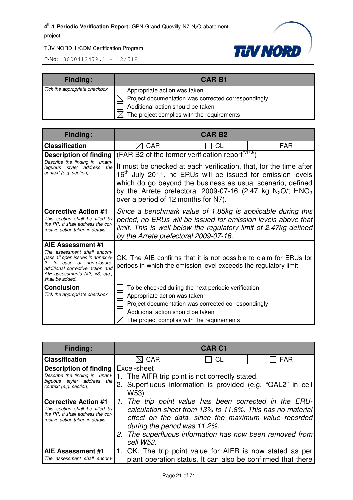

| <b>Finding:</b>               | <b>CAR B1</b>                                             |  |
|-------------------------------|-----------------------------------------------------------|--|
| Tick the appropriate checkbox | Appropriate action was taken                              |  |
|                               | Project documentation was corrected correspondingly<br>XL |  |
|                               | Additional action should be taken                         |  |
|                               | The project complies with the requirements                |  |

| <b>Finding:</b>                                                                                                                                                                                                | CAR <sub>B2</sub>                                                                                                                                                                                                                         |                                                                                                                                                          |                                                                                                                                                                                                                                                                                      |
|----------------------------------------------------------------------------------------------------------------------------------------------------------------------------------------------------------------|-------------------------------------------------------------------------------------------------------------------------------------------------------------------------------------------------------------------------------------------|----------------------------------------------------------------------------------------------------------------------------------------------------------|--------------------------------------------------------------------------------------------------------------------------------------------------------------------------------------------------------------------------------------------------------------------------------------|
| <b>Classification</b>                                                                                                                                                                                          | CAR<br>IЖI                                                                                                                                                                                                                                | СL                                                                                                                                                       | <b>FAR</b>                                                                                                                                                                                                                                                                           |
| <b>Description of finding</b><br>Describe the finding in unam-<br>biguous style; address<br>the<br>context (e.g. section)                                                                                      | over a period of 12 months for N7).                                                                                                                                                                                                       | (FAR B2 of the former verification report <sup>/VR37</sup> )                                                                                             | It must be checked at each verification, that, for the time after<br>16 <sup>th</sup> July 2011, no ERUs will be issued for emission levels<br>which do go beyond the business as usual scenario, defined<br>by the Arrete prefectoral 2009-07-16 (2,47 kg $N_2O/t$ HNO <sub>3</sub> |
| <b>Corrective Action #1</b><br>This section shall be filled by<br>the PP. It shall address the cor-<br>rective action taken in details.                                                                        | Since a benchmark value of 1.85kg is applicable during this<br>period, no ERUs will be issued for emission levels above that<br>limit. This is well below the regulatory limit of 2.47kg defined<br>by the Arrete prefectoral 2009-07-16. |                                                                                                                                                          |                                                                                                                                                                                                                                                                                      |
| AIE Assessment #1<br>The assessment shall encom-<br>pass all open issues in annex A-<br>In case of non-closure.<br>2.<br>additional corrective action and<br>AIE assessments (#2, #3, etc.)<br>shall be added. | OK. The AIE confirms that it is not possible to claim for ERUs for<br>periods in which the emission level exceeds the regulatory limit.                                                                                                   |                                                                                                                                                          |                                                                                                                                                                                                                                                                                      |
| Conclusion<br>Tick the appropriate checkbox                                                                                                                                                                    | Appropriate action was taken<br>Additional action should be taken                                                                                                                                                                         | To be checked during the next periodic verification<br>Project documentation was corrected correspondingly<br>The project complies with the requirements |                                                                                                                                                                                                                                                                                      |

| <b>Finding:</b>                                                                                                                         | <b>CAR C1</b>                                                                                                                                                                                                                                                                        |           |            |
|-----------------------------------------------------------------------------------------------------------------------------------------|--------------------------------------------------------------------------------------------------------------------------------------------------------------------------------------------------------------------------------------------------------------------------------------|-----------|------------|
| <b>Classification</b>                                                                                                                   | $\boxtimes$ CAR                                                                                                                                                                                                                                                                      | <b>CL</b> | <b>FAR</b> |
| <b>Description of finding</b><br>Describe the finding in unam-<br>biguous style; address<br>the I<br>context (e.g. section)             | Excel-sheet<br>1. The AIFR trip point is not correctly stated.<br>2. Superfluous information is provided (e.g. "QAL2" in cell<br>W53)                                                                                                                                                |           |            |
| <b>Corrective Action #1</b><br>This section shall be filled by<br>the PP. It shall address the cor-<br>rective action taken in details. | 1. The trip point value has been corrected in the ERU-<br>calculation sheet from 13% to 11.8%. This has no material<br>effect on the data, since the maximum value recorded<br>during the period was 11.2%.<br>2. The superfluous information has now been removed from<br>cell W53. |           |            |
| AIE Assessment #1<br>The assessment shall encom-                                                                                        | 1. OK. The trip point value for AIFR is now stated as per<br>plant operation status. It can also be confirmed that there                                                                                                                                                             |           |            |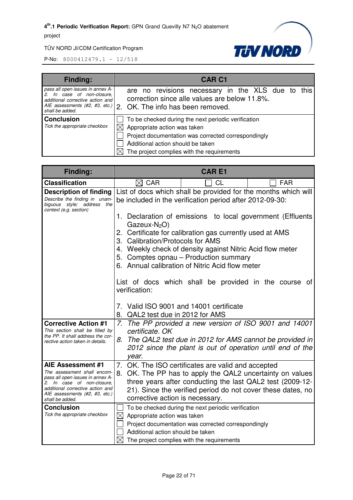

| Finding:                                                                                                           | <b>CAR C1</b>                                                                                                                                                                                                                 |
|--------------------------------------------------------------------------------------------------------------------|-------------------------------------------------------------------------------------------------------------------------------------------------------------------------------------------------------------------------------|
| pass all open issues in annex A-<br>In case of non-closure,<br>additional corrective action and<br>shall be added. | are no revisions necessary in the XLS due to this<br>correction since alle values are below 11.8%.<br>AIE assessments (#2, #3, etc.) 2. OK. The info has been removed.                                                        |
| <b>Conclusion</b><br>Tick the appropriate checkbox                                                                 | To be checked during the next periodic verification<br>Appropriate action was taken<br>Project documentation was corrected correspondingly<br>Additional action should be taken<br>The project complies with the requirements |

| Finding:                                                                                                               | <b>CARE1</b>                                                                                                               |                                                                                                                         |            |
|------------------------------------------------------------------------------------------------------------------------|----------------------------------------------------------------------------------------------------------------------------|-------------------------------------------------------------------------------------------------------------------------|------------|
| <b>Classification</b>                                                                                                  | $\boxtimes$ CAR                                                                                                            | <b>CL</b>                                                                                                               | <b>FAR</b> |
| <b>Description of finding</b><br>Describe the finding in unam-<br>biguous style; address the<br>context (e.g. section) | List of docs which shall be provided for the months which will<br>be included in the verification period after 2012-09-30: |                                                                                                                         |            |
|                                                                                                                        | $Gazeux-N2O$                                                                                                               | 1. Declaration of emissions to local government (Effluents<br>2. Certificate for calibration gas currently used at AMS  |            |
|                                                                                                                        | 3. Calibration/Protocols for AMS                                                                                           |                                                                                                                         |            |
|                                                                                                                        |                                                                                                                            | 4. Weekly check of density against Nitric Acid flow meter<br>5. Comptes opnau - Production summary                      |            |
|                                                                                                                        |                                                                                                                            | 6. Annual calibration of Nitric Acid flow meter                                                                         |            |
|                                                                                                                        | List of docs which shall be provided in the course of<br>verification:                                                     |                                                                                                                         |            |
|                                                                                                                        | 7. Valid ISO 9001 and 14001 certificate<br>8. QAL2 test due in 2012 for AMS                                                |                                                                                                                         |            |
| <b>Corrective Action #1</b><br>This section shall be filled by                                                         | certificate. OK                                                                                                            | 7. The PP provided a new version of ISO 9001 and 14001                                                                  |            |
| the PP. It shall address the cor-<br>rective action taken in details.                                                  | year.                                                                                                                      | 8. The QAL2 test due in 2012 for AMS cannot be provided in<br>2012 since the plant is out of operation until end of the |            |
| AIE Assessment #1<br>The assessment shall encom-                                                                       |                                                                                                                            | 7. OK. The ISO certificates are valid and accepted                                                                      |            |
| pass all open issues in annex A-<br>2. In case of non-closure.                                                         |                                                                                                                            | 8. OK. The PP has to apply the QAL2 uncertainty on values<br>three years after conducting the last QAL2 test (2009-12-  |            |
| additional corrective action and<br>AIE assessments (#2, #3, etc.)                                                     | corrective action is necessary.                                                                                            | 21). Since the verified period do not cover these dates, no                                                             |            |
| shall be added.<br><b>Conclusion</b>                                                                                   |                                                                                                                            | To be checked during the next periodic verification                                                                     |            |
| Tick the appropriate checkbox                                                                                          | Appropriate action was taken<br>$\boxtimes$                                                                                |                                                                                                                         |            |
|                                                                                                                        |                                                                                                                            | Project documentation was corrected correspondingly                                                                     |            |
|                                                                                                                        | Additional action should be taken                                                                                          |                                                                                                                         |            |
|                                                                                                                        |                                                                                                                            | The project complies with the requirements                                                                              |            |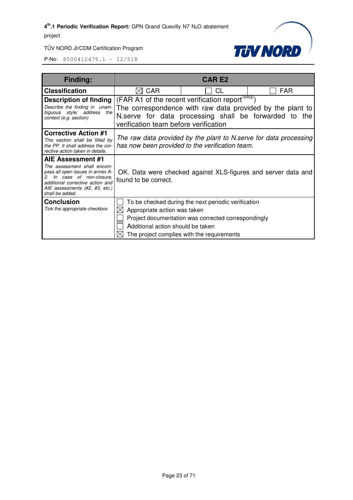

| Finding:                                                                                                                                                                                                       |                                                                   | <b>CAR E2</b>                                                                                                                                            |                                                                                                                    |
|----------------------------------------------------------------------------------------------------------------------------------------------------------------------------------------------------------------|-------------------------------------------------------------------|----------------------------------------------------------------------------------------------------------------------------------------------------------|--------------------------------------------------------------------------------------------------------------------|
| <b>Classification</b>                                                                                                                                                                                          | <b>CAR</b>                                                        | CL                                                                                                                                                       | <b>FAR</b>                                                                                                         |
| <b>Description of finding</b><br>Describe the finding in unam-<br>biguous style; address<br>the<br>context (e.g. section)                                                                                      | verification team before verification                             | (FAR A1 of the recent verification report <sup>/VR3/</sup> )                                                                                             | The correspondence with raw data provided by the plant to<br>N.serve for data processing shall be forwarded to the |
| <b>Corrective Action #1</b><br>This section shall be filled by<br>the PP. It shall address the cor-<br>rective action taken in details.                                                                        |                                                                   | has now been provided to the verification team.                                                                                                          | The raw data provided by the plant to N.serve for data processing                                                  |
| AIE Assessment #1<br>The assessment shall encom-<br>pass all open issues in annex A-<br>In case of non-closure.<br>2.<br>additional corrective action and<br>AIE assessments (#2, #3, etc.)<br>shall be added. | found to be correct.                                              |                                                                                                                                                          | OK. Data were checked against XLS-figures and server data and                                                      |
| <b>Conclusion</b><br>Tick the appropriate checkbox                                                                                                                                                             | Appropriate action was taken<br>Additional action should be taken | To be checked during the next periodic verification<br>Project documentation was corrected correspondingly<br>The project complies with the requirements |                                                                                                                    |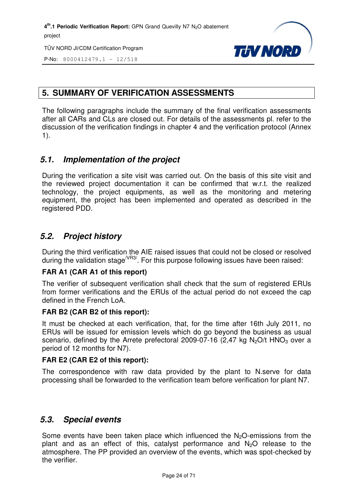TÜV NORD JI/CDM Certification Program



P-No: 8000412479.1 – 12/518

#### **5. SUMMARY OF VERIFICATION ASSESSMENTS**

The following paragraphs include the summary of the final verification assessments after all CARs and CLs are closed out. For details of the assessments pl. refer to the discussion of the verification findings in chapter 4 and the verification protocol (Annex 1).

#### *5.1. Implementation of the project*

During the verification a site visit was carried out. On the basis of this site visit and the reviewed project documentation it can be confirmed that w.r.t. the realized technology, the project equipments, as well as the monitoring and metering equipment, the project has been implemented and operated as described in the registered PDD.

#### *5.2. Project history*

During the third verification the AIE raised issues that could not be closed or resolved during the validation stage<sup>/VR3/</sup>. For this purpose following issues have been raised:

#### **FAR A1 (CAR A1 of this report)**

The verifier of subsequent verification shall check that the sum of registered ERUs from former verifications and the ERUs of the actual period do not exceed the cap defined in the French LoA.

#### **FAR B2 (CAR B2 of this report):**

It must be checked at each verification, that, for the time after 16th July 2011, no ERUs will be issued for emission levels which do go beyond the business as usual scenario, defined by the Arrete prefectoral 2009-07-16 (2,47 kg N<sub>2</sub>O/t HNO<sub>3</sub> over a period of 12 months for N7).

#### **FAR E2 (CAR E2 of this report):**

The correspondence with raw data provided by the plant to N.serve for data processing shall be forwarded to the verification team before verification for plant N7.

#### *5.3. Special events*

Some events have been taken place which influenced the  $N<sub>2</sub>O$ -emissions from the plant and as an effect of this, catalyst performance and  $N_2O$  release to the atmosphere. The PP provided an overview of the events, which was spot-checked by the verifier.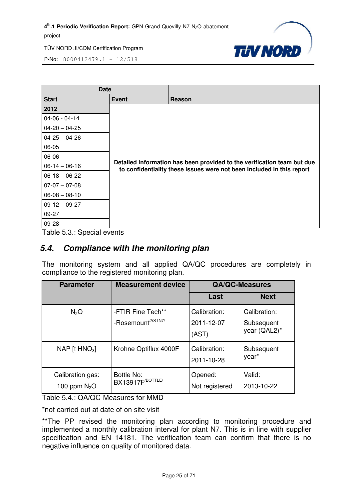

P-No: 8000412479.1 – 12/518

| <b>Date</b>         |       |                                                                                                                                                  |
|---------------------|-------|--------------------------------------------------------------------------------------------------------------------------------------------------|
| <b>Start</b>        | Event | Reason                                                                                                                                           |
| 2012                |       |                                                                                                                                                  |
| $04 - 06 - 04 - 14$ |       |                                                                                                                                                  |
| $04 - 20 - 04 - 25$ |       |                                                                                                                                                  |
| $04 - 25 - 04 - 26$ |       |                                                                                                                                                  |
| 06-05               |       |                                                                                                                                                  |
| 06-06               |       |                                                                                                                                                  |
| $06-14-06-16$       |       | Detailed information has been provided to the verification team but due<br>to confidentiality these issues were not been included in this report |
| $06-18-06-22$       |       |                                                                                                                                                  |
| $07-07 - 07-08$     |       |                                                                                                                                                  |
| $06 - 08 - 08 - 10$ |       |                                                                                                                                                  |
| $09-12-09-27$       |       |                                                                                                                                                  |
| 09-27               |       |                                                                                                                                                  |
| 09-28               |       |                                                                                                                                                  |

Table 5.3.: Special events

#### *5.4. Compliance with the monitoring plan*

The monitoring system and all applied QA/QC procedures are completely in compliance to the registered monitoring plan.

| <b>Parameter</b>                   | <b>Measurement device</b>                               |                                     | <b>QA/QC-Measures</b>                      |
|------------------------------------|---------------------------------------------------------|-------------------------------------|--------------------------------------------|
|                                    |                                                         | Last                                | <b>Next</b>                                |
| N <sub>2</sub> O                   | -FTIR Fine Tech**<br>-Rosemount <sup>/ASTN7/</sup>      | Calibration:<br>2011-12-07<br>(AST) | Calibration:<br>Subsequent<br>year (QAL2)* |
| NAP [t $HNO3$ ]                    | Krohne Optiflux 4000F                                   | Calibration:<br>2011-10-28          | Subsequent<br>year*                        |
| Calibration gas:<br>100 ppm $N_2O$ | <b>Bottle No:</b><br><b>BX13917F</b> <sup>BOTTLE/</sup> | Opened:<br>Not registered           | Valid:<br>2013-10-22                       |

Table 5.4.: QA/QC-Measures for MMD

\*not carried out at date of on site visit

\*\*The PP revised the monitoring plan according to monitoring procedure and implemented a monthly calibration interval for plant N7. This is in line with supplier specification and EN 14181. The verification team can confirm that there is no negative influence on quality of monitored data.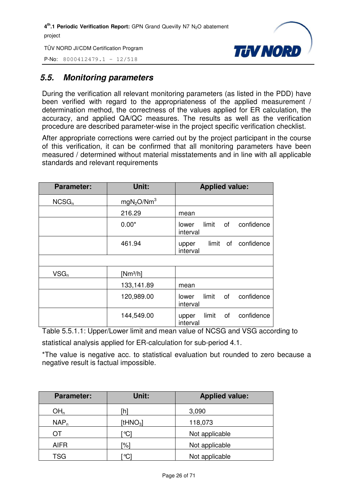P-No: 8000412479.1 – 12/518



#### *5.5. Monitoring parameters*

During the verification all relevant monitoring parameters (as listed in the PDD) have been verified with regard to the appropriateness of the applied measurement / determination method, the correctness of the values applied for ER calculation, the accuracy, and applied QA/QC measures. The results as well as the verification procedure are described parameter-wise in the project specific verification checklist.

After appropriate corrections were carried out by the project participant in the course of this verification, it can be confirmed that all monitoring parameters have been measured / determined without material misstatements and in line with all applicable standards and relevant requirements

| <b>Parameter:</b> | Unit:                              | <b>Applied value:</b>                          |
|-------------------|------------------------------------|------------------------------------------------|
| NCSG <sub>n</sub> | mgN <sub>2</sub> O/Nm <sup>3</sup> |                                                |
|                   | 216.29                             | mean                                           |
|                   | $0.00*$                            | limit<br>confidence<br>of<br>lower<br>interval |
|                   | 461.94                             | limit of confidence<br>upper<br>interval       |
|                   |                                    |                                                |
| $VSG_n$           | $[Nm^3/h]$                         |                                                |
|                   | 133,141.89                         | mean                                           |
|                   | 120,989.00                         | confidence<br>οf<br>limit<br>lower<br>interval |
|                   | 144,549.00                         | confidence<br>limit<br>οf<br>upper<br>interval |

Table 5.5.1.1: Upper/Lower limit and mean value of NCSG and VSG according to

statistical analysis applied for ER-calculation for sub-period 4.1.

\*The value is negative acc. to statistical evaluation but rounded to zero because a negative result is factual impossible.

| <b>Parameter:</b> | Unit:        | <b>Applied value:</b> |
|-------------------|--------------|-----------------------|
| OH <sub>n</sub>   | 'n           | 3,090                 |
| NAP <sub>n</sub>  | [t $HNO3$ ]  | 118,073               |
| OТ                | °Cl          | Not applicable        |
| <b>AIFR</b>       | "%]          | Not applicable        |
| <b>TSG</b>        | $^{\circ}$ C | Not applicable        |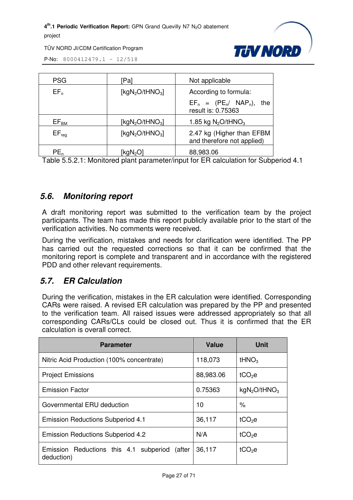TÜV NORD JI/CDM Certification Program



P-No: 8000412479.1 – 12/518

| <b>PSG</b>       | [Pa                     | Not applicable                                          |
|------------------|-------------------------|---------------------------------------------------------|
| $EF_n$           | [kg $N_2O$ /tHN $O_3$ ] | According to formula:                                   |
|                  |                         | $EF_n = (PE_n / NAP_n)$ , the<br>result is: 0.75363     |
| EF <sub>BM</sub> | [ $kgN_2O/tHNO_3$ ]     | 1.85 kg $N_2$ O/tHNO <sub>3</sub>                       |
| $EF_{req}$       | [ $kgN_2O/tHNO_3$ ]     | 2.47 kg (Higher than EFBM<br>and therefore not applied) |
| $PE_n$           | kgN <sub>2</sub> C      | 88,983.06                                               |

Table 5.5.2.1: Monitored plant parameter/input for ER calculation for Subperiod 4.1

#### *5.6. Monitoring report*

A draft monitoring report was submitted to the verification team by the project participants. The team has made this report publicly available prior to the start of the verification activities. No comments were received.

During the verification, mistakes and needs for clarification were identified. The PP has carried out the requested corrections so that it can be confirmed that the monitoring report is complete and transparent and in accordance with the registered PDD and other relevant requirements.

#### *5.7. ER Calculation*

During the verification, mistakes in the ER calculation were identified. Corresponding CARs were raised. A revised ER calculation was prepared by the PP and presented to the verification team. All raised issues were addressed appropriately so that all corresponding CARs/CLs could be closed out. Thus it is confirmed that the ER calculation is overall correct.

| <b>Parameter</b>                                               | <b>Value</b> | <b>Unit</b>                          |
|----------------------------------------------------------------|--------------|--------------------------------------|
| Nitric Acid Production (100% concentrate)                      | 118,073      | tHNO <sub>3</sub>                    |
| <b>Project Emissions</b>                                       | 88,983.06    | $tCO2$ e                             |
| <b>Emission Factor</b>                                         | 0.75363      | kgN <sub>2</sub> O/tHNO <sub>3</sub> |
| Governmental ERU deduction                                     | 10           | %                                    |
| <b>Emission Reductions Subperiod 4.1</b>                       | 36,117       | tCO <sub>2</sub> e                   |
| <b>Emission Reductions Subperiod 4.2</b>                       | N/A          | $tCO2$ e                             |
| Emission Reductions this 4.1 subperiod<br>(after<br>deduction) | 36,117       | $tCO2$ e                             |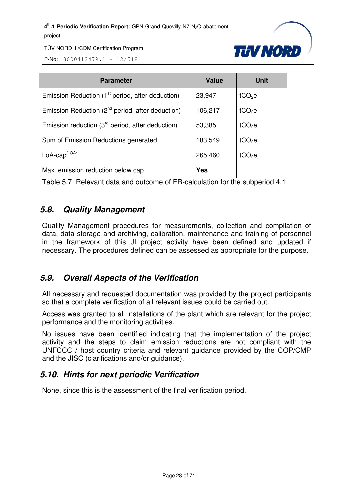

TÜV NORD JI/CDM Certification Program

P-No: 8000412479.1 – 12/518

| <b>Parameter</b>                                             | <b>Value</b> | Unit               |
|--------------------------------------------------------------|--------------|--------------------|
| Emission Reduction (1 <sup>st</sup> period, after deduction) | 23,947       | tCO <sub>2</sub> e |
| Emission Reduction (2 <sup>nd</sup> period, after deduction) | 106,217      | tCO <sub>2</sub> e |
| Emission reduction (3 <sup>rd</sup> period, after deduction) | 53,385       | tCO <sub>2</sub> e |
| Sum of Emission Reductions generated                         | 183,549      | $tCO2$ e           |
| $LoA-cap/LOA/$                                               | 265,460      | tCO <sub>2</sub> e |
| Max. emission reduction below cap                            | <b>Yes</b>   |                    |

Table 5.7: Relevant data and outcome of ER-calculation for the subperiod 4.1

#### *5.8. Quality Management*

Quality Management procedures for measurements, collection and compilation of data, data storage and archiving, calibration, maintenance and training of personnel in the framework of this JI project activity have been defined and updated if necessary. The procedures defined can be assessed as appropriate for the purpose.

#### *5.9. Overall Aspects of the Verification*

All necessary and requested documentation was provided by the project participants so that a complete verification of all relevant issues could be carried out.

Access was granted to all installations of the plant which are relevant for the project performance and the monitoring activities.

No issues have been identified indicating that the implementation of the project activity and the steps to claim emission reductions are not compliant with the UNFCCC / host country criteria and relevant guidance provided by the COP/CMP and the JISC (clarifications and/or guidance).

#### *5.10. Hints for next periodic Verification*

None, since this is the assessment of the final verification period.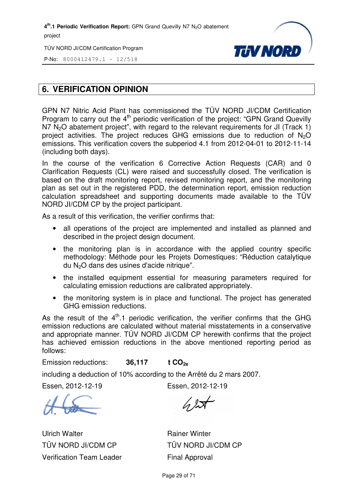TÜV NORD JI/CDM Certification Program



P-No: 8000412479.1 – 12/518

#### **6. VERIFICATION OPINION**

GPN N7 Nitric Acid Plant has commissioned the TÜV NORD JI/CDM Certification Program to carry out the  $4<sup>th</sup>$  periodic verification of the project: "GPN Grand Quevilly  $N$ 7  $N$ <sub>2</sub>O abatement project", with regard to the relevant requirements for JI (Track 1) project activities. The project reduces GHG emissions due to reduction of N <sup>2</sup>O emissions. This verification covers the subperiod 4.1 from 2012-04-01 to 2012-11-14 (including both days).

In the course of the verification 6 Corrective Action Requests (CAR) and 0 Clarification Requests (CL) were raised and successfully closed. The verification is based on the draft monitoring report, revised monitoring report, and the monitoring plan as set out in the registered PDD, the determination report, emission reduction calculation spreadsheet and supporting documents made available to the TÜV NORD JI/CDM CP by the project participant. aft monitoring report, revise<br>in the registered PDD, the c<br>adsheet and supporting do<br>:P by the project participant.

As a result of this verification, the verifier confirms that:

- all operations of the project are implemented and installed as planned and described in the project design document.
- the monitoring plan is in accordance with the applied country specific methodology: Méthode pour les Projets Domestiques: "Réduction catalytique du N2O dans des usines d'acide nitrique".
- the installed equipment essential for measuring parameters required for calculating emission reductions are calibrated appropriate appropriately.
- the monitoring system is in place and functional. The project has generated GHG emission reductions.

As the result of the  $4<sup>th</sup>$ .1 periodic verification, the verifier confirms that the GHG emission reductions are calculated without material misstatements in a conservative and appropriate manner. TÜV NORD JI/CDM CP herewith confirms that the project has achieved emission reductions in the above mentioned reporting period as follows:

Emission reductions: **36,117 t CO2e**

including a deduction of 10% according to the Arrêté du 2 mars 2007.

Essen, 2012-12-19

Ulrich Walter TÜV NORD JI/CDM CP Verification Team Leader Essen, 2012-12-19

Rainer Winter TÜV NORD JI/CDM CP Final Approval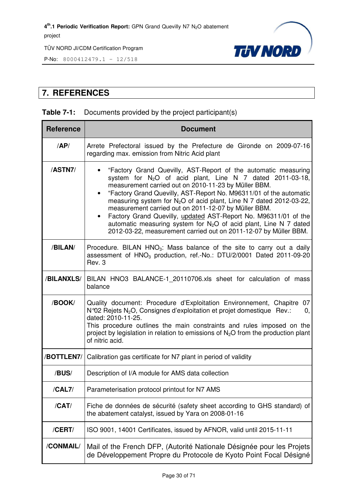

P-No: 8000412479.1 – 12/518

#### **7. REFERENCES**

#### **Table 7-1:** Documents provided by the project participant(s)

| <b>Reference</b> | <b>Document</b>                                                                                                                                                                                                                                                                                                                                                                                                                                                                                                                                                                                                      |  |  |
|------------------|----------------------------------------------------------------------------------------------------------------------------------------------------------------------------------------------------------------------------------------------------------------------------------------------------------------------------------------------------------------------------------------------------------------------------------------------------------------------------------------------------------------------------------------------------------------------------------------------------------------------|--|--|
| AP/              | Arrete Prefectoral issued by the Prefecture de Gironde on 2009-07-16<br>regarding max. emission from Nitric Acid plant                                                                                                                                                                                                                                                                                                                                                                                                                                                                                               |  |  |
| /ASTN7/          | "Factory Grand Quevilly, AST-Report of the automatic measuring<br>system for $N_2O$ of acid plant, Line N 7 dated 2011-03-18,<br>measurement carried out on 2010-11-23 by Müller BBM.<br>"Factory Grand Quevilly, AST-Report No. M96311/01 of the automatic<br>measuring system for N <sub>2</sub> O of acid plant, Line N 7 dated 2012-03-22,<br>measurement carried out on 2011-12-07 by Müller BBM.<br>Factory Grand Quevilly, updated AST-Report No. M96311/01 of the<br>automatic measuring system for $N_2O$ of acid plant, Line N 7 dated<br>2012-03-22, measurement carried out on 2011-12-07 by Müller BBM. |  |  |
| /BILAN/          | Procedure. BILAN HNO <sub>3</sub> : Mass balance of the site to carry out a daily<br>assessment of HNO <sub>3</sub> production, ref.-No.: DTU/2/0001 Dated 2011-09-20<br>Rev. 3                                                                                                                                                                                                                                                                                                                                                                                                                                      |  |  |
| /BILANXLS/       | BILAN HNO3 BALANCE-1_20110706.xls sheet for calculation of mass<br>balance                                                                                                                                                                                                                                                                                                                                                                                                                                                                                                                                           |  |  |
| /BOOK/           | Quality document: Procedure d'Exploitation Environnement, Chapitre 07<br>N°02 Rejets N <sub>2</sub> O, Consignes d'exploitation et projet domestique Rev.:<br>0,<br>dated: 2010-11-25.<br>This procedure outlines the main constraints and rules imposed on the<br>project by legislation in relation to emissions of $N_2O$ from the production plant<br>of nitric acid.                                                                                                                                                                                                                                            |  |  |
| /BOTTLEN7/       | Calibration gas certificate for N7 plant in period of validity                                                                                                                                                                                                                                                                                                                                                                                                                                                                                                                                                       |  |  |
| /BUS/            | Description of I/A module for AMS data collection                                                                                                                                                                                                                                                                                                                                                                                                                                                                                                                                                                    |  |  |
| /CAL7/           | Parameterisation protocol printout for N7 AMS                                                                                                                                                                                                                                                                                                                                                                                                                                                                                                                                                                        |  |  |
| /CAT/            | Fiche de données de sécurité (safety sheet according to GHS standard) of<br>the abatement catalyst, issued by Yara on 2008-01-16                                                                                                                                                                                                                                                                                                                                                                                                                                                                                     |  |  |
| /CERT/           | ISO 9001, 14001 Certificates, issued by AFNOR, valid until 2015-11-11                                                                                                                                                                                                                                                                                                                                                                                                                                                                                                                                                |  |  |
| /CONMAIL/        | Mail of the French DFP, (Autorité Nationale Désignée pour les Projets<br>de Développement Propre du Protocole de Kyoto Point Focal Désigné                                                                                                                                                                                                                                                                                                                                                                                                                                                                           |  |  |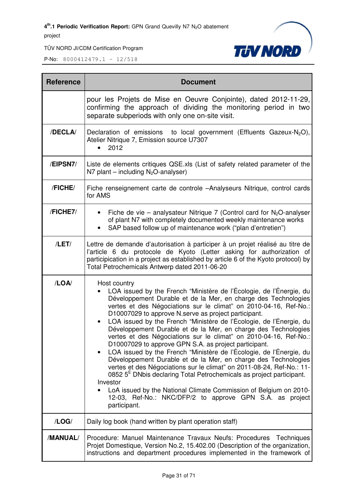TÜV NORD JI/CDM Certification Program



| <b>Reference</b> | <b>Document</b>                                                                                                                                                                                                                                                                                                                                                                                                                                                                                                                                                                                                                                                                                                                                                                                                                                                                                                                                                                                                                           |  |  |
|------------------|-------------------------------------------------------------------------------------------------------------------------------------------------------------------------------------------------------------------------------------------------------------------------------------------------------------------------------------------------------------------------------------------------------------------------------------------------------------------------------------------------------------------------------------------------------------------------------------------------------------------------------------------------------------------------------------------------------------------------------------------------------------------------------------------------------------------------------------------------------------------------------------------------------------------------------------------------------------------------------------------------------------------------------------------|--|--|
|                  | pour les Projets de Mise en Oeuvre Conjointe), dated 2012-11-29,<br>confirming the approach of dividing the monitoring period in two<br>separate subperiods with only one on-site visit.                                                                                                                                                                                                                                                                                                                                                                                                                                                                                                                                                                                                                                                                                                                                                                                                                                                  |  |  |
| /DECLA/          | Declaration of emissions to local government (Effluents Gazeux-N <sub>2</sub> O),<br>Atelier Nitrique 7, Emission source U7307<br>2012                                                                                                                                                                                                                                                                                                                                                                                                                                                                                                                                                                                                                                                                                                                                                                                                                                                                                                    |  |  |
| /EIPSN7/         | Liste de elements critiques QSE.xls (List of safety related parameter of the<br>N7 plant – including $N_2O$ -analyser)                                                                                                                                                                                                                                                                                                                                                                                                                                                                                                                                                                                                                                                                                                                                                                                                                                                                                                                    |  |  |
| /FICHE/          | Fiche renseignement carte de controle -Analyseurs Nitrique, control cards<br>for AMS                                                                                                                                                                                                                                                                                                                                                                                                                                                                                                                                                                                                                                                                                                                                                                                                                                                                                                                                                      |  |  |
| /FICHE7/         | Fiche de vie – analysateur Nitrique 7 (Control card for $N_2O$ -analyser<br>of plant N7 with completely documented weekly maintenance works<br>SAP based follow up of maintenance work ("plan d'entretien")                                                                                                                                                                                                                                                                                                                                                                                                                                                                                                                                                                                                                                                                                                                                                                                                                               |  |  |
| /LET/            | Lettre de demande d'autorisation à participer à un projet réalisé au titre de<br>l'article 6 du protocole de Kyoto (Letter asking for authorization of<br>participication in a project as established by article 6 of the Kyoto protocol) by<br>Total Petrochemicals Antwerp dated 2011-06-20                                                                                                                                                                                                                                                                                                                                                                                                                                                                                                                                                                                                                                                                                                                                             |  |  |
| /LOA/            | Host country<br>LOA issued by the French "Ministère de l'Écologie, de l'Énergie, du<br>Développement Durable et de la Mer, en charge des Technologies<br>vertes et des Négociations sur le climat" on 2010-04-16, Ref-No.:<br>D10007029 to approve N.serve as project participant.<br>LOA issued by the French "Ministère de l'Écologie, de l'Énergie, du<br>$\bullet$<br>Développement Durable et de la Mer, en charge des Technologies<br>vertes et des Négociations sur le climat" on 2010-04-16, Ref-No.:<br>D10007029 to approve GPN S.A. as project participant.<br>LOA issued by the French "Ministère de l'Écologie, de l'Énergie, du<br>Développement Durable et de la Mer, en charge des Technologies<br>vertes et des Négociations sur le climat" on 2011-08-24, Ref-No.: 11-<br>0852 5 <sup>E</sup> DNbis declaring Total Petrochemicals as project participant.<br>Investor<br>LoA issued by the National Climate Commission of Belgium on 2010-<br>12-03, Ref-No.: NKC/DFP/2 to approve GPN S.A. as project<br>participant. |  |  |
| /LOG/            | Daily log book (hand written by plant operation staff)                                                                                                                                                                                                                                                                                                                                                                                                                                                                                                                                                                                                                                                                                                                                                                                                                                                                                                                                                                                    |  |  |
| /MANUAL/         | Procedure: Manuel Maintenance Travaux Neufs: Procedures Techniques<br>Projet Domestique, Version No.2, 15.402.00 (Description of the organization,<br>instructions and department procedures implemented in the framework of                                                                                                                                                                                                                                                                                                                                                                                                                                                                                                                                                                                                                                                                                                                                                                                                              |  |  |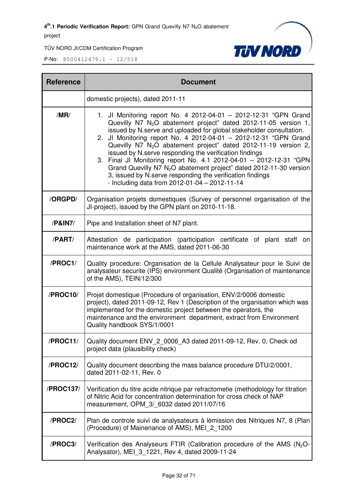

| <b>Reference</b> | <b>Document</b>                                                                                                                                                                                                                                                                                                                                                                                                                                                                                                                                                                                                                                                                                                     |  |  |
|------------------|---------------------------------------------------------------------------------------------------------------------------------------------------------------------------------------------------------------------------------------------------------------------------------------------------------------------------------------------------------------------------------------------------------------------------------------------------------------------------------------------------------------------------------------------------------------------------------------------------------------------------------------------------------------------------------------------------------------------|--|--|
|                  | domestic projects), dated 2011-11                                                                                                                                                                                                                                                                                                                                                                                                                                                                                                                                                                                                                                                                                   |  |  |
| /MR/             | 1. Jl Monitoring report No. 4 2012-04-01 - 2012-12-31 "GPN Grand<br>Quevilly N7 N <sub>2</sub> O abatement project" dated 2012-11-05 version 1,<br>issued by N.serve and uploaded for global stakeholder consultation.<br>2. Jl Monitoring report No. 4 2012-04-01 - 2012-12-31 "GPN Grand<br>Quevilly N7 N <sub>2</sub> O abatement project" dated 2012-11-19 version 2,<br>issued by N.serve responding the verification findings<br>3. Final JI Monitoring report No. 4.1 2012-04-01 - 2012-12-31 "GPN<br>Grand Quevilly N7 N <sub>2</sub> O abatement project" dated 2012-11-30 version<br>3, issued by N.serve responding the verification findings<br>- Including data from $2012 - 01 - 04 - 2012 - 11 - 14$ |  |  |
| /ORGPD/          | Organisation projets domestiques (Survey of personnel organisation of the<br>JI-project), issued by the GPN plant on 2010-11-18.                                                                                                                                                                                                                                                                                                                                                                                                                                                                                                                                                                                    |  |  |
| /P&IN7/          | Pipe and Installation sheet of N7 plant.                                                                                                                                                                                                                                                                                                                                                                                                                                                                                                                                                                                                                                                                            |  |  |
| /PART/           | Attestation de participation (participation certificate of plant staff on<br>maintenance work at the AMS, dated 2011-06-30                                                                                                                                                                                                                                                                                                                                                                                                                                                                                                                                                                                          |  |  |
| /PROC1/          | Quality procedure: Organisation de la Cellule Analysateur pour le Suivi de<br>analysateur securite (IPS) environment Qualité (Organisation of maintenance<br>of the AMS), TEIN/12/300                                                                                                                                                                                                                                                                                                                                                                                                                                                                                                                               |  |  |
| /PROC10/         | Projet domestique (Procedure of organisation, ENV/2/0006 domestic<br>project), dated 2011-09-12, Rev 1 (Description of the organisation which was<br>implemented for the domestic project between the operators, the<br>maintenance and the environment department, extract from Environment<br>Quality handbook SYS/1/0001                                                                                                                                                                                                                                                                                                                                                                                         |  |  |
| /PROC11/         | Quality document ENV_2_0006_A3 dated 2011-09-12, Rev. 0, Check od<br>project data (plausibility check)                                                                                                                                                                                                                                                                                                                                                                                                                                                                                                                                                                                                              |  |  |
| /PROC12/         | Quality document describing the mass balance procedure DTU/2/0001,<br>dated 2011-02-11, Rev. 0                                                                                                                                                                                                                                                                                                                                                                                                                                                                                                                                                                                                                      |  |  |
| /PROC137/        | Verification du titre acide nitrique par refractometie (methodology for titration<br>of Nitric Acid for concentration determination for cross check of NAP<br>measurement, OPM 3/ 6032 dated 2011/07/16                                                                                                                                                                                                                                                                                                                                                                                                                                                                                                             |  |  |
| /PROC2/          | Plan de controle suivi de analysateurs à lèmission des Nitriques N7, 8 (Plan<br>(Procedure) of Mainenance of AMS), MEI 2 1200                                                                                                                                                                                                                                                                                                                                                                                                                                                                                                                                                                                       |  |  |
| /PROC3/          | Verification des Analyseurs FTIR (Calibration procedure of the AMS $(N_2O - N_1)$<br>Analysator), MEI 3_1221, Rev 4, dated 2009-11-24                                                                                                                                                                                                                                                                                                                                                                                                                                                                                                                                                                               |  |  |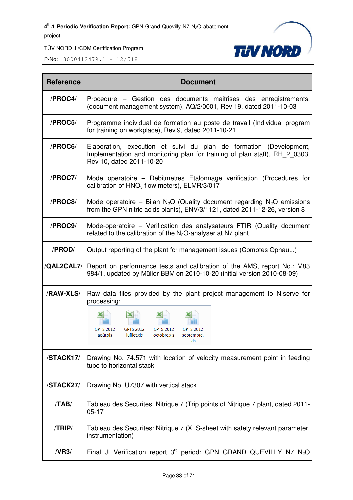

| <b>Reference</b> | <b>Document</b>                                                                                                                                                               |  |
|------------------|-------------------------------------------------------------------------------------------------------------------------------------------------------------------------------|--|
| /PROC4/          | Procedure – Gestion des documents maitrises des enregistrements,<br>(document management system), AQ/2/0001, Rev 19, dated 2011-10-03                                         |  |
| /PROC5/          | Programme individual de formation au poste de travail (Individual program<br>for training on workplace), Rev 9, dated 2011-10-21                                              |  |
| /PROC6/          | Elaboration, execution et suivi du plan de formation (Development,<br>Implementation and monitoring plan for training of plan staff), RH 2 0303,<br>Rev 10, dated 2011-10-20  |  |
| /PROC7/          | Mode operatoire – Debitmetres Etalonnage verification (Procedures for<br>calibration of $HNO3$ flow meters), ELMR/3/017                                                       |  |
| /PROC8/          | Mode operatoire – Bilan N <sub>2</sub> O (Quality document regarding N <sub>2</sub> O emissions<br>from the GPN nitric acids plants), ENV/3/1121, dated 2011-12-26, version 8 |  |
| /PROC9/          | Mode-operatoire – Verification des analysateurs FTIR (Quality document<br>related to the calibration of the $N_2O$ -analyser at N7 plant                                      |  |
| /PROD/           | Output reporting of the plant for management issues (Comptes Opnau)                                                                                                           |  |
| /QAL2CAL7/       | Report on performance tests and calibration of the AMS, report No.: M83<br>984/1, updated by Müller BBM on 2010-10-20 (initial version 2010-08-09)                            |  |
| /RAW-XLS/        | Raw data files provided by the plant project management to N.serve for<br>processing:                                                                                         |  |
|                  | <b>GPTS 2012</b><br><b>GPTS 2012</b><br>GPTS 2012<br><b>GPTS 2012</b><br>juillet.xls<br>août.xls<br>octobre.xls<br>septembre.<br>xls                                          |  |
| /STACK17/        | Drawing No. 74.571 with location of velocity measurement point in feeding<br>tube to horizontal stack                                                                         |  |
| /STACK27/        | Drawing No. U7307 with vertical stack                                                                                                                                         |  |
| /TAB/            | Tableau des Securites, Nitrique 7 (Trip points of Nitrique 7 plant, dated 2011-<br>$05 - 17$                                                                                  |  |
| /TRIP/           | Tableau des Securites: Nitrique 7 (XLS-sheet with safety relevant parameter,<br>instrumentation)                                                                              |  |
| /VR3/            | Final JI Verification report $3^{rd}$ period: GPN GRAND QUEVILLY N7 $N_2O$                                                                                                    |  |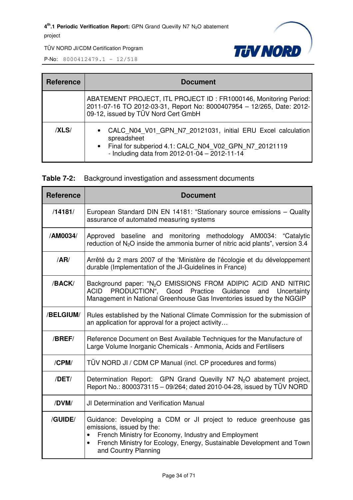

TÜV NORD JI/CDM Certification Program

| <b>Reference</b> | <b>Document</b>                                                                                                                                                                                               |  |  |
|------------------|---------------------------------------------------------------------------------------------------------------------------------------------------------------------------------------------------------------|--|--|
|                  | ABATEMENT PROJECT, ITL PROJECT ID: FR1000146, Monitoring Period:<br>2011-07-16 TO 2012-03-31, Report No: 8000407954 - 12/265, Date: 2012-<br>09-12, issued by TÜV Nord Cert GmbH                              |  |  |
| /XLS/            | CALC N04 V01 GPN N7 20121031, initial ERU Excel calculation<br>$\bullet$<br>spreadsheet<br>• Final for subperiod 4.1: CALC N04 V02 GPN N7 20121119<br>- Including data from $2012 - 01 - 04 - 2012 - 11 - 14$ |  |  |

|  | <b>Table 7-2:</b> Background investigation and assessment documents |
|--|---------------------------------------------------------------------|
|--|---------------------------------------------------------------------|

| <b>Reference</b> | <b>Document</b>                                                                                                                                                                                                                                                      |  |
|------------------|----------------------------------------------------------------------------------------------------------------------------------------------------------------------------------------------------------------------------------------------------------------------|--|
| /14181/          | European Standard DIN EN 14181: "Stationary source emissions - Quality<br>assurance of automated measuring systems                                                                                                                                                   |  |
| /AM0034/         | Approved baseline and monitoring methodology AM0034: "Catalytic<br>reduction of N <sub>2</sub> O inside the ammonia burner of nitric acid plants", version 3.4                                                                                                       |  |
| /AR/             | Arrêté du 2 mars 2007 of the 'Ministère de l'écologie et du développement<br>durable (Implementation of the JI-Guidelines in France)                                                                                                                                 |  |
| /BACK/           | Background paper: "N <sub>2</sub> O EMISSIONS FROM ADIPIC ACID AND NITRIC<br>PRODUCTION", Good Practice<br>ACID<br>Guidance<br>Uncertainty<br>and<br>Management in National Greenhouse Gas Inventories issued by the NGGIP                                           |  |
| /BELGIUM/        | Rules established by the National Climate Commission for the submission of<br>an application for approval for a project activity                                                                                                                                     |  |
| /BREF/           | Reference Document on Best Available Techniques for the Manufacture of<br>Large Volume Inorganic Chemicals - Ammonia, Acids and Fertilisers                                                                                                                          |  |
| /CPM/            | TÜV NORD JI / CDM CP Manual (incl. CP procedures and forms)                                                                                                                                                                                                          |  |
| $/$ DET $/$      | Determination Report: GPN Grand Quevilly N7 N <sub>2</sub> O abatement project,<br>Report No.: 8000373115 - 09/264; dated 2010-04-28, issued by TÜV NORD                                                                                                             |  |
| /DVM/            | JI Determination and Verification Manual                                                                                                                                                                                                                             |  |
| /GUIDE/          | Guidance: Developing a CDM or JI project to reduce greenhouse gas<br>emissions, issued by the:<br>French Ministry for Economy, Industry and Employment<br>French Ministry for Ecology, Energy, Sustainable Development and Town<br>$\bullet$<br>and Country Planning |  |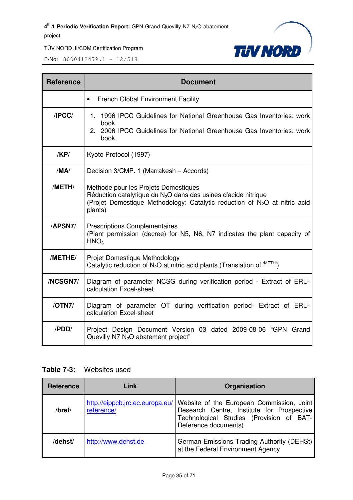

P-No: 8000412479.1 – 12/518

| <b>Reference</b> | <b>Document</b>                                                                                                                                                                                              |  |
|------------------|--------------------------------------------------------------------------------------------------------------------------------------------------------------------------------------------------------------|--|
|                  | <b>French Global Environment Facility</b><br>$\bullet$                                                                                                                                                       |  |
| /IPCC/           | 1. 1996 IPCC Guidelines for National Greenhouse Gas Inventories: work<br>book<br>2. 2006 IPCC Guidelines for National Greenhouse Gas Inventories: work<br>book                                               |  |
| /KP/             | Kyoto Protocol (1997)                                                                                                                                                                                        |  |
| /MA/             | Decision 3/CMP. 1 (Marrakesh - Accords)                                                                                                                                                                      |  |
| /METH/           | Méthode pour les Projets Domestiques<br>Réduction catalytique du $N2O$ dans des usines d'acide nitrique<br>(Projet Domestique Methodology: Catalytic reduction of N <sub>2</sub> O at nitric acid<br>plants) |  |
| /APSN7/          | <b>Prescriptions Complementaires</b><br>(Plant permission (decree) for N5, N6, N7 indicates the plant capacity of<br>HNO <sub>3</sub>                                                                        |  |
| /METHE/          | Projet Domestique Methodology<br>Catalytic reduction of $N_2O$ at nitric acid plants (Translation of $^{METH}$ )                                                                                             |  |
| /NCSGN7/         | Diagram of parameter NCSG during verification period - Extract of ERU-<br>calculation Excel-sheet                                                                                                            |  |
| /OTN7/           | Diagram of parameter OT during verification period- Extract of ERU-<br>calculation Excel-sheet                                                                                                               |  |
| /PDD/            | Project Design Document Version 03 dated 2009-08-06 "GPN Grand<br>Quevilly N7 N <sub>2</sub> O abatement project"                                                                                            |  |

#### **Table 7-3:** Websites used

| <b>Reference</b> | Link                                          | Organisation                                                                                                                                                |
|------------------|-----------------------------------------------|-------------------------------------------------------------------------------------------------------------------------------------------------------------|
| $/$ bref $/$     | http://eippcb.jrc.ec.europa.eu/<br>reference/ | Website of the European Commission, Joint<br>Research Centre, Institute for Prospective<br>Technological Studies (Provision of BAT-<br>Reference documents) |
| /dehst/          | http://www.dehst.de                           | German Emissions Trading Authority (DEHSt)<br>at the Federal Environment Agency                                                                             |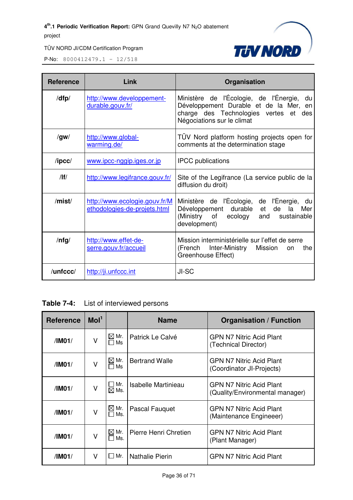

| <b>Reference</b> | Link                                                          | Organisation                                                                                                                                                  |
|------------------|---------------------------------------------------------------|---------------------------------------------------------------------------------------------------------------------------------------------------------------|
| /dfp/            | http://www.developpement-<br>durable.gouv.fr/                 | Ministère de l'Écologie, de l'Énergie, du<br>Développement Durable et de la Mer, en<br>charge des Technologies vertes<br>et des<br>Négociations sur le climat |
| /gw/             | http://www.global-<br>warming.de/                             | TUV Nord platform hosting projects open for<br>comments at the determination stage                                                                            |
| $\sqrt{I}$       | www.ipcc-nggip.iges.or.jp                                     | <b>IPCC</b> publications                                                                                                                                      |
| /                | http://www.legifrance.gouv.fr/                                | Site of the Legifrance (La service public de la<br>diffusion du droit)                                                                                        |
| /mist/           | http://www.ecologie.gouv.fr/M<br>ethodologies-de-projets.html | Ministère de l'Écologie, de l'Énergie, du<br>Développement durable<br>de<br>Mer<br>la<br>et<br>(Ministry of ecology<br>and<br>sustainable<br>development)     |
| $/$ nfg $/$      | http://www.effet-de-<br>serre.gouv.fr/accueil                 | Mission interministérielle sur l'effet de serre<br>Inter-Ministry<br>Mission<br>(French<br>the<br>on<br>Greenhouse Effect)                                    |
| /unfccc/         | http://ji.unfccc.int                                          | JI-SC                                                                                                                                                         |

**Table 7-4:** List of interviewed persons

| <b>Reference</b>                                                     | Mol <sup>1</sup> |                                                              | <b>Name</b>           | <b>Organisation / Function</b>                                     |
|----------------------------------------------------------------------|------------------|--------------------------------------------------------------|-----------------------|--------------------------------------------------------------------|
| /IMO1/                                                               | V                | $\boxtimes$ Mr.<br>$\Box$ Ms                                 | Patrick Le Calvé      | <b>GPN N7 Nitric Acid Plant</b><br>(Technical Director)            |
| $\boxtimes$ Mr.<br><b>Bertrand Walle</b><br>V<br>/IMO1/<br>$\Box$ Ms |                  | <b>GPN N7 Nitric Acid Plant</b><br>(Coordinator JI-Projects) |                       |                                                                    |
| /IM01/                                                               | V                | ∐ Mr.<br>$\boxtimes$ Ms.                                     | Isabelle Martinieau   | <b>GPN N7 Nitric Acid Plant</b><br>(Quality/Environmental manager) |
| /IM01/                                                               | V                | $\boxtimes$ Mr.<br>Ms.                                       | Pascal Fauguet        | <b>GPN N7 Nitric Acid Plant</b><br>(Maintenance Engineeer)         |
| /IM01/                                                               | V                | $\boxtimes$ Mr.<br>$\square$ Ms.                             | Pierre Henri Chretien | GPN N7 Nitric Acid Plant<br>(Plant Manager)                        |
| /IM01/                                                               | V                | $\Box$ Mr.                                                   | Nathalie Pierin       | <b>GPN N7 Nitric Acid Plant</b>                                    |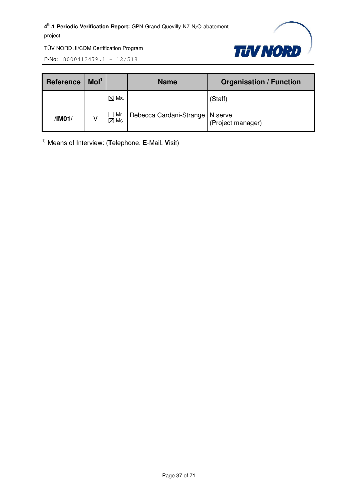

P-No: 8000412479.1 – 12/518

| <b>Reference</b> | Mol <sup>1</sup> |                               | <b>Name</b>                       | <b>Organisation / Function</b> |
|------------------|------------------|-------------------------------|-----------------------------------|--------------------------------|
|                  |                  | $\boxtimes$ Ms.               |                                   | (Staff)                        |
| /IM01/           |                  | $\Box$ Mr.<br>$\boxtimes$ Ms. | Rebecca Cardani-Strange   N.serve | (Project manager)              |

1) Means of Interview: (**T**elephone, **E**-Mail, **V**isit)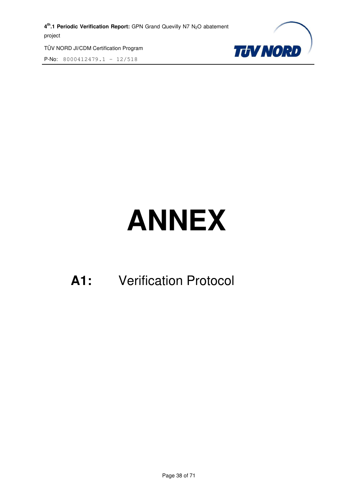TÜV NORD JI/CDM Certification Program P-No: 8000412479.1 – 12/518



# **ANNEX**

### **A1:** Verification Protocol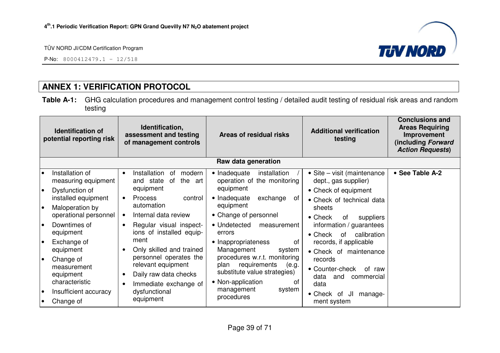P-No: 8000412479.1 – 12/518



#### **ANNEX 1: VERIFICATION PROTOCOL**

**Table A-1:** GHG calculation procedures and management control testing / detailed audit testing of residual risk areas and random testing

| <b>Identification of</b><br>potential reporting risk |                                                                 | Identification,<br>assessment and testing<br>of management controls                                         | Areas of residual risks                                                                                                  | <b>Additional verification</b><br>testing                                                         | <b>Conclusions and</b><br><b>Areas Requiring</b><br>Improvement<br>(including Forward<br><b>Action Requests)</b> |
|------------------------------------------------------|-----------------------------------------------------------------|-------------------------------------------------------------------------------------------------------------|--------------------------------------------------------------------------------------------------------------------------|---------------------------------------------------------------------------------------------------|------------------------------------------------------------------------------------------------------------------|
|                                                      |                                                                 |                                                                                                             | Raw data generation                                                                                                      |                                                                                                   |                                                                                                                  |
| l o<br>$\bullet$                                     | Installation of<br>measuring equipment<br>Dysfunction of        | Installation<br>modern<br>0f<br>$\bullet$<br>the<br>and state<br>0f<br>art<br>equipment                     | • Inadequate<br>installation<br>operation of the monitoring<br>equipment                                                 | • Site – visit (maintenance<br>dept., gas supplier)                                               | • See Table A-2                                                                                                  |
| I۰                                                   | installed equipment<br>Maloperation by<br>operational personnel | <b>Process</b><br>control<br>$\bullet$<br>automation<br>Internal data review                                | • Inadequate<br>exchange<br>0f<br>equipment<br>• Change of personnel                                                     | • Check of equipment<br>• Check of technical data<br>sheets<br>$\bullet$ Check<br>suppliers<br>0f |                                                                                                                  |
| l o                                                  | Downtimes of<br>equipment                                       | Regular visual inspect-<br>$\bullet$<br>ions of installed equip-                                            | • Undetected<br>measurement<br>errors                                                                                    | information / guarantees<br>calibration<br>$\bullet$ Check<br>0f                                  |                                                                                                                  |
| l o                                                  | Exchange of<br>equipment                                        | ment<br>Only skilled and trained<br>$\bullet$                                                               | • Inappropriateness<br>0f<br>Management<br>system                                                                        | records, if applicable<br>• Check of maintenance                                                  |                                                                                                                  |
| $\bullet$                                            | Change of<br>measurement<br>equipment<br>characteristic         | personnel operates the<br>relevant equipment<br>Daily raw data checks<br>$\bullet$<br>Immediate exchange of | procedures w.r.t. monitoring<br>requirements<br>(e.g.<br>plan<br>substitute value strategies)<br>• Non-application<br>0f | records<br>• Counter-check<br>of raw<br>data<br>and<br>commercial<br>data                         |                                                                                                                  |
| $\bullet$                                            | Insufficient accuracy<br>Change of                              | dysfunctional<br>equipment                                                                                  | management<br>system<br>procedures                                                                                       | • Check of<br>JI<br>manage-<br>ment system                                                        |                                                                                                                  |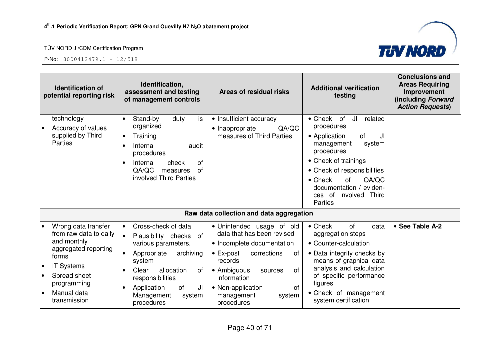



| <b>Identification of</b><br>potential reporting risk             | Identification,<br>assessment and testing<br>of management controls                               | Areas of residual risks                                                               | <b>Additional verification</b><br>testing                                                                                              | <b>Conclusions and</b><br><b>Areas Requiring</b><br>Improvement<br>(including Forward<br><b>Action Requests)</b> |
|------------------------------------------------------------------|---------------------------------------------------------------------------------------------------|---------------------------------------------------------------------------------------|----------------------------------------------------------------------------------------------------------------------------------------|------------------------------------------------------------------------------------------------------------------|
| technology<br>Accuracy of values<br>supplied by Third<br>Parties | Stand-by<br>duty<br>is<br>$\bullet$<br>organized<br>Training<br>٠                                 | • Insufficient accuracy<br>QA/QC<br>• Inappropriate<br>measures of Third Parties      | $\bullet$ Check<br>of<br>JI<br>related<br>procedures<br>• Application<br><b>of</b><br>JI<br>management<br>system                       |                                                                                                                  |
|                                                                  | Internal<br>audit<br>$\bullet$<br>procedures<br>Internal<br>check<br>of<br>٠                      |                                                                                       | procedures<br>• Check of trainings                                                                                                     |                                                                                                                  |
|                                                                  | QA/QC<br>of<br>measures<br>involved Third Parties                                                 |                                                                                       | • Check of responsibilities<br>QA/QC<br>$\bullet$ Check<br>of<br>documentation / eviden-<br>ces of involved<br><b>Third</b><br>Parties |                                                                                                                  |
|                                                                  |                                                                                                   | Raw data collection and data aggregation                                              |                                                                                                                                        |                                                                                                                  |
| Wrong data transfer<br>from raw data to daily<br>and monthly     | Cross-check of data<br>$\bullet$<br>Plausibility checks<br>of<br>$\bullet$<br>various parameters. | • Unintended usage of old<br>data that has been revised<br>• Incomplete documentation | $\bullet$ Check<br>of<br>data<br>aggregation steps<br>• Counter-calculation                                                            | • See Table A-2                                                                                                  |
| aggregated reporting<br>forms<br><b>IT Systems</b>               | Appropriate<br>archiving<br>$\bullet$<br>system                                                   | $\bullet$ Ex-post<br>corrections<br>οf<br>records                                     | • Data integrity checks by<br>means of graphical data<br>analysis and calculation                                                      |                                                                                                                  |
| Spread sheet<br>programming                                      | allocation<br>Clear<br>οf<br>responsibilities<br>of<br>JI<br>Application<br>٠                     | • Ambiguous<br><b>of</b><br>sources<br>information<br><b>of</b><br>• Non-application  | of specific performance<br>figures                                                                                                     |                                                                                                                  |
| Manual data<br>$\bullet$<br>transmission                         | Management<br>system<br>procedures                                                                | management<br>system<br>procedures                                                    | • Check of management<br>system certification                                                                                          |                                                                                                                  |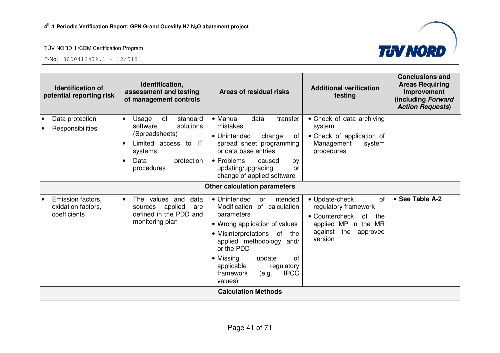



|                 | <b>Identification of</b><br>potential reporting risk    | Identification,<br>assessment and testing<br>of management controls                                                                                                 | Areas of residual risks                                                                                                                                                                                                                                                                                     | <b>Additional verification</b><br>testing                                                                                                           | <b>Conclusions and</b><br><b>Areas Requiring</b><br>Improvement<br>(including Forward<br><b>Action Requests)</b> |
|-----------------|---------------------------------------------------------|---------------------------------------------------------------------------------------------------------------------------------------------------------------------|-------------------------------------------------------------------------------------------------------------------------------------------------------------------------------------------------------------------------------------------------------------------------------------------------------------|-----------------------------------------------------------------------------------------------------------------------------------------------------|------------------------------------------------------------------------------------------------------------------|
| $\bullet$<br>∣∙ | Data protection<br>Responsibilities                     | Usage<br>of<br>standard<br>$\bullet$<br>software<br>solutions<br>(Spreadsheets)<br>Limited access to IT<br>systems<br>Data<br>protection<br>$\bullet$<br>procedures | • Manual<br>data<br>transfer<br>mistakes<br>• Unintended<br>change<br>ot<br>spread sheet programming<br>or data base entries<br>• Problems<br>caused<br>by<br>updating/upgrading<br>or<br>change of applied software                                                                                        | • Check of data archiving<br>system<br>• Check of application of<br>Management<br>system<br>procedures                                              |                                                                                                                  |
|                 |                                                         |                                                                                                                                                                     | <b>Other calculation parameters</b>                                                                                                                                                                                                                                                                         |                                                                                                                                                     |                                                                                                                  |
| $\bullet$       | Emission factors,<br>oxidation factors,<br>coefficients | The values and<br>data<br>$\bullet$<br>applied<br>sources<br>are<br>defined in the PDD and<br>monitoring plan                                                       | • Unintended<br>intended<br><b>or</b><br>Modification<br>of calculation<br>parameters<br>• Wrong application of values<br>• Misinterpretations of<br>the<br>applied methodology and/<br>or the PDD<br>• Missing<br>0f<br>update<br>applicable<br>regulatory<br><b>IPCC</b><br>framework<br>(e.g.<br>values) | • Update-check<br><b>of</b><br>regulatory framework<br>• Countercheck<br>of<br>the<br>applied MP in the MR<br>the<br>against<br>approved<br>version | • See Table A-2                                                                                                  |
|                 |                                                         |                                                                                                                                                                     | <b>Calculation Methods</b>                                                                                                                                                                                                                                                                                  |                                                                                                                                                     |                                                                                                                  |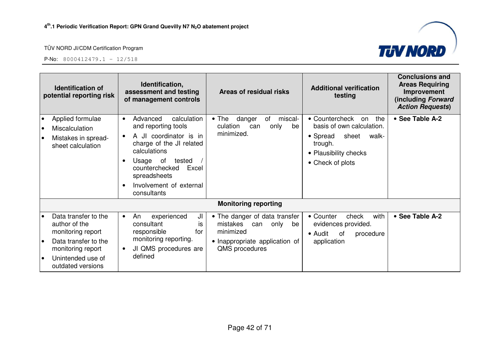

![](_page_41_Picture_3.jpeg)

| <b>Identification of</b><br>potential reporting risk                                                                                                                        | Identification,<br>assessment and testing<br>of management controls                                                                                                                                                                                       | Areas of residual risks                                                                                                         | <b>Additional verification</b><br>testing                                                                                                      | <b>Conclusions and</b><br><b>Areas Requiring</b><br>Improvement<br>(including Forward<br><b>Action Requests)</b> |
|-----------------------------------------------------------------------------------------------------------------------------------------------------------------------------|-----------------------------------------------------------------------------------------------------------------------------------------------------------------------------------------------------------------------------------------------------------|---------------------------------------------------------------------------------------------------------------------------------|------------------------------------------------------------------------------------------------------------------------------------------------|------------------------------------------------------------------------------------------------------------------|
| Applied formulae<br>Miscalculation<br>$\bullet$<br>Mistakes in spread-<br>$\bullet$<br>sheet calculation                                                                    | calculation<br>Advanced<br>$\bullet$<br>and reporting tools<br>A JI coordinator is in<br>charge of the JI related<br>calculations<br>Usage of<br>tested<br>$\bullet$<br>counterchecked<br>Excel<br>spreadsheets<br>Involvement of external<br>consultants | $\bullet$ The<br>danger<br>of<br>miscal-<br>culation<br>only<br>be<br>can<br>minimized.                                         | • Countercheck<br>the<br>on<br>basis of own calculation.<br>• Spread<br>sheet<br>walk-<br>trough.<br>• Plausibility checks<br>• Check of plots | • See Table A-2                                                                                                  |
|                                                                                                                                                                             |                                                                                                                                                                                                                                                           | <b>Monitoring reporting</b>                                                                                                     |                                                                                                                                                |                                                                                                                  |
| Data transfer to the<br>$\bullet$<br>author of the<br>monitoring report<br>Data transfer to the<br>$\bullet$<br>monitoring report<br>Unintended use of<br>outdated versions | JI<br>An<br>experienced<br>$\bullet$<br>consultant<br>is<br>for<br>responsible<br>monitoring reporting.<br>JI QMS procedures are<br>٠<br>defined                                                                                                          | • The danger of data transfer<br>mistakes<br>only<br>can<br>be<br>minimized<br>• Inappropriate application of<br>QMS procedures | with<br>• Counter<br>check<br>evidences provided.<br>• Audit<br>of<br>procedure<br>application                                                 | • See Table A-2                                                                                                  |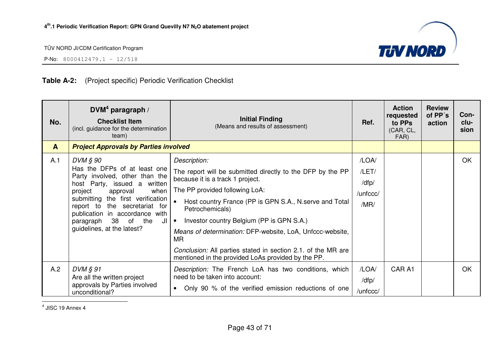![](_page_42_Picture_2.jpeg)

P-No: 8000412479.1 – 12/518

#### **Table A-2:** (Project specific) Periodic Verification Checklist

| No.          | $DVM4$ paragraph /<br><b>Checklist Item</b><br>(incl. guidance for the determination<br>team)                                                                                                                                                                                                                   | <b>Initial Finding</b><br>(Means and results of assessment)                                                                                                                                                                                                                                                                                                                                                                                                                                    | Ref.                                        | <b>Action</b><br>requested<br>to PPs<br>(CAR, CL,<br>FAR) | <b>Review</b><br>of PP's<br>action | Con-<br>clu-<br>sion |
|--------------|-----------------------------------------------------------------------------------------------------------------------------------------------------------------------------------------------------------------------------------------------------------------------------------------------------------------|------------------------------------------------------------------------------------------------------------------------------------------------------------------------------------------------------------------------------------------------------------------------------------------------------------------------------------------------------------------------------------------------------------------------------------------------------------------------------------------------|---------------------------------------------|-----------------------------------------------------------|------------------------------------|----------------------|
| $\mathbf{A}$ | <b>Project Approvals by Parties involved</b>                                                                                                                                                                                                                                                                    |                                                                                                                                                                                                                                                                                                                                                                                                                                                                                                |                                             |                                                           |                                    |                      |
| A.1          | DVM § 90<br>Has the DFPs of at least one<br>Party involved, other than the<br>host Party, issued a written<br>project<br>approval<br>when<br>submitting the first verification<br>report to the secretariat for<br>publication in accordance with<br>38 of the<br>paragraph<br>JI<br>guidelines, at the latest? | Description:<br>The report will be submitted directly to the DFP by the PP<br>because it is a track 1 project.<br>The PP provided following LoA:<br>Host country France (PP is GPN S.A., N.serve and Total<br>$\bullet$<br>Petrochemicals)<br>Investor country Belgium (PP is GPN S.A.)<br>$\bullet$<br>Means of determination: DFP-website, LoA, Unfccc-website,<br>MR.<br>Conclusion: All parties stated in section 2.1. of the MR are<br>mentioned in the provided LoAs provided by the PP. | /LOA/<br>/LET/<br>/dfp/<br>/unfccc/<br>/MR/ |                                                           |                                    | OK                   |
| A.2          | DVM § 91<br>Are all the written project<br>approvals by Parties involved<br>unconditional?                                                                                                                                                                                                                      | Description: The French LoA has two conditions, which<br>need to be taken into account:<br>Only 90 % of the verified emission reductions of one<br>$\bullet$                                                                                                                                                                                                                                                                                                                                   | /LOA/<br>/dfp/<br>/unfccc/                  | CAR A1                                                    |                                    | <b>OK</b>            |

 $<sup>4</sup>$  JISC 19 Annex 4</sup>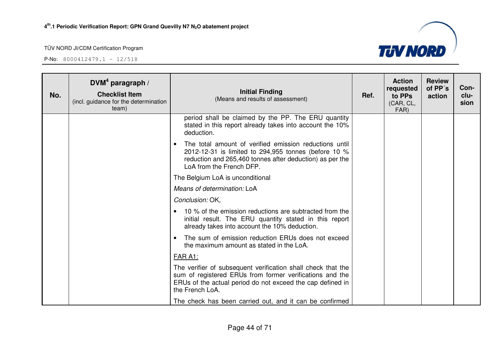![](_page_43_Picture_3.jpeg)

| No. | DVM <sup>4</sup> paragraph /<br><b>Checklist Item</b><br>(incl. guidance for the determination<br>team) | <b>Initial Finding</b><br>(Means and results of assessment)                                                                                                                                                         | Ref. | <b>Action</b><br>requested<br>to PPs<br>(CAR, CL,<br>FAR) | <b>Review</b><br>of PP's<br>action | Con-<br>clu-<br>sion |
|-----|---------------------------------------------------------------------------------------------------------|---------------------------------------------------------------------------------------------------------------------------------------------------------------------------------------------------------------------|------|-----------------------------------------------------------|------------------------------------|----------------------|
|     |                                                                                                         | period shall be claimed by the PP. The ERU quantity<br>stated in this report already takes into account the 10%<br>deduction.                                                                                       |      |                                                           |                                    |                      |
|     |                                                                                                         | The total amount of verified emission reductions until<br>$\bullet$<br>2012-12-31 is limited to 294,955 tonnes (before 10 %<br>reduction and 265,460 tonnes after deduction) as per the<br>LoA from the French DFP. |      |                                                           |                                    |                      |
|     |                                                                                                         | The Belgium LoA is unconditional                                                                                                                                                                                    |      |                                                           |                                    |                      |
|     |                                                                                                         | Means of determination: LoA                                                                                                                                                                                         |      |                                                           |                                    |                      |
|     |                                                                                                         | Conclusion: OK,                                                                                                                                                                                                     |      |                                                           |                                    |                      |
|     |                                                                                                         | 10 % of the emission reductions are subtracted from the<br>initial result. The ERU quantity stated in this report<br>already takes into account the 10% deduction.                                                  |      |                                                           |                                    |                      |
|     |                                                                                                         | The sum of emission reduction ERUs does not exceed<br>the maximum amount as stated in the LoA.                                                                                                                      |      |                                                           |                                    |                      |
|     |                                                                                                         | FAR A1:                                                                                                                                                                                                             |      |                                                           |                                    |                      |
|     |                                                                                                         | The verifier of subsequent verification shall check that the<br>sum of registered ERUs from former verifications and the<br>ERUs of the actual period do not exceed the cap defined in<br>the French LoA.           |      |                                                           |                                    |                      |
|     |                                                                                                         | The check has been carried out, and it can be confirmed                                                                                                                                                             |      |                                                           |                                    |                      |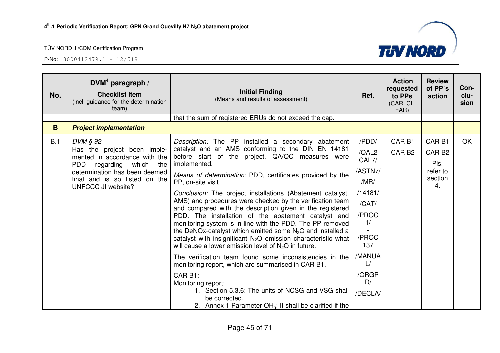P-No: 8000412479.1 – 12/518

| No. | $DVM4$ paragraph /<br><b>Checklist Item</b><br>(incl. guidance for the determination<br>team)                                                                                               | <b>Initial Finding</b><br>(Means and results of assessment)                                                                                                                                                                                                                                                                                                                                                                                                                                                                                                                                                                                                                                                                                                             | Ref.                                                                                          | <b>Action</b><br>requested<br>to PPs<br>(CAR, CL,<br>FAR) | <b>Review</b><br>of PP's<br>action                                     | Con-<br>clu-<br>sion |
|-----|---------------------------------------------------------------------------------------------------------------------------------------------------------------------------------------------|-------------------------------------------------------------------------------------------------------------------------------------------------------------------------------------------------------------------------------------------------------------------------------------------------------------------------------------------------------------------------------------------------------------------------------------------------------------------------------------------------------------------------------------------------------------------------------------------------------------------------------------------------------------------------------------------------------------------------------------------------------------------------|-----------------------------------------------------------------------------------------------|-----------------------------------------------------------|------------------------------------------------------------------------|----------------------|
|     |                                                                                                                                                                                             | that the sum of registered ERUs do not exceed the cap.                                                                                                                                                                                                                                                                                                                                                                                                                                                                                                                                                                                                                                                                                                                  |                                                                                               |                                                           |                                                                        |                      |
| B   | <b>Project implementation</b>                                                                                                                                                               |                                                                                                                                                                                                                                                                                                                                                                                                                                                                                                                                                                                                                                                                                                                                                                         |                                                                                               |                                                           |                                                                        |                      |
| B.1 | DVM § 92<br>Has the project been imple-<br>mented in accordance with the<br>PDD regarding which the<br>determination has been deemed<br>final and is so listed on the<br>UNFCCC JI website? | Description: The PP installed a secondary abatement<br>catalyst and an AMS conforming to the DIN EN 14181<br>before start of the project. QA/QC measures were<br>implemented.<br>Means of determination: PDD, certificates provided by the<br>PP, on-site visit<br>Conclusion: The project installations (Abatement catalyst,<br>AMS) and procedures were checked by the verification team<br>and compared with the description given in the registered<br>PDD. The installation of the abatement catalyst and<br>monitoring system is in line with the PDD. The PP removed<br>the DeNOx-catalyst which emitted some $N_2O$ and installed a<br>catalyst with insignificant $N_2O$ emission characteristic what<br>will cause a lower emission level of $N2O$ in future. | /PDD/<br>/QAL2<br>CAL7/<br>/ASTN7/<br>/MR/<br>/14181/<br>/CAT/<br>/PROC<br>1/<br>/PROC<br>137 | CAR <sub>B1</sub><br>CAR <sub>B2</sub>                    | <b>CARB1</b><br>GAR <sub>B2</sub><br>Pls.<br>refer to<br>section<br>4. | <b>OK</b>            |
|     |                                                                                                                                                                                             | The verification team found some inconsistencies in the<br>monitoring report, which are summarised in CAR B1.<br>CAR <sub>B1</sub> :<br>Monitoring report:<br>1. Section 5.3.6: The units of NCSG and VSG shall<br>be corrected.<br>2. Annex 1 Parameter $OHn$ : It shall be clarified if the                                                                                                                                                                                                                                                                                                                                                                                                                                                                           | /MANUA<br>$\cup$<br>/ORGP<br>D/<br>/DECLA/                                                    |                                                           |                                                                        |                      |

![](_page_44_Picture_5.jpeg)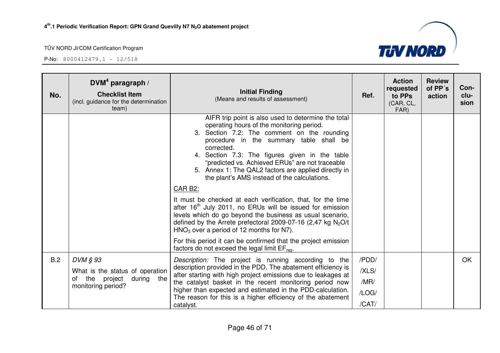![](_page_45_Picture_3.jpeg)

| No. | $DVM4$ paragraph /<br><b>Checklist Item</b><br>(incl. guidance for the determination<br>team)        | <b>Initial Finding</b><br>(Means and results of assessment)                                                                                                                                                                                                                                                                                                                                                                                                                                                                                                                                                                                                                                                                                                                                                                                                                         | Ref.                                     | <b>Action</b><br>requested<br>to PPs<br>(CAR, CL,<br>FAR) | <b>Review</b><br>of PP's<br>action | Con-<br>clu-<br>sion |
|-----|------------------------------------------------------------------------------------------------------|-------------------------------------------------------------------------------------------------------------------------------------------------------------------------------------------------------------------------------------------------------------------------------------------------------------------------------------------------------------------------------------------------------------------------------------------------------------------------------------------------------------------------------------------------------------------------------------------------------------------------------------------------------------------------------------------------------------------------------------------------------------------------------------------------------------------------------------------------------------------------------------|------------------------------------------|-----------------------------------------------------------|------------------------------------|----------------------|
|     |                                                                                                      | AIFR trip point is also used to determine the total<br>operating hours of the monitoring period.<br>3. Section 7.2: The comment on the rounding<br>procedure in the summary table shall be<br>corrected.<br>4. Section 7.3: The figures given in the table<br>"predicted vs. Achieved ERUs" are not traceable<br>5. Annex 1: The QAL2 factors are applied directly in<br>the plant's AMS instead of the calculations.<br>CAR B2:<br>It must be checked at each verification, that, for the time<br>after 16 <sup>th</sup> July 2011, no ERUs will be issued for emission<br>levels which do go beyond the business as usual scenario,<br>defined by the Arrete prefectoral 2009-07-16 (2,47 kg $N_2O/t$<br>$HNO3$ over a period of 12 months for N7).<br>For this period it can be confirmed that the project emission<br>factors do not exceed the legal limit $EF_{\text{rea}}$ . |                                          |                                                           |                                    |                      |
| B.2 | DVM § 93<br>What is the status of operation<br>during the<br>the project<br>of<br>monitoring period? | Description: The project is running according to the<br>description provided in the PDD. The abatement efficiency is<br>after starting with high project emissions due to leakages at<br>the catalyst basket in the recent monitoring period now<br>higher than expected and estimated in the PDD-calculation.<br>The reason for this is a higher efficiency of the abatement<br>catalyst.                                                                                                                                                                                                                                                                                                                                                                                                                                                                                          | /PDD/<br>/XLS/<br>/MR/<br>/LOG/<br>/CAT/ |                                                           |                                    | <b>OK</b>            |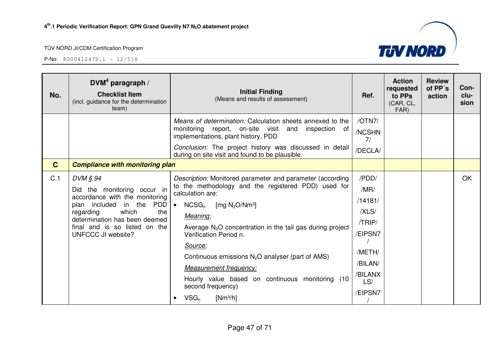P-No: 8000412479.1 – 12/518

![](_page_46_Picture_3.jpeg)

| No.          | DVM <sup>4</sup> paragraph /<br><b>Checklist Item</b><br>(incl. guidance for the determination<br>team)                                                                                                                                 | <b>Initial Finding</b><br>(Means and results of assessment)                                                                                                                                                                                                                                                                                                                                                                                                                                | Ref.                                                                                                     | <b>Action</b><br>requested<br>to PPs<br>(CAR, CL,<br>FAR) | <b>Review</b><br>of PP's<br>action | Con-<br>clu-<br>sion |
|--------------|-----------------------------------------------------------------------------------------------------------------------------------------------------------------------------------------------------------------------------------------|--------------------------------------------------------------------------------------------------------------------------------------------------------------------------------------------------------------------------------------------------------------------------------------------------------------------------------------------------------------------------------------------------------------------------------------------------------------------------------------------|----------------------------------------------------------------------------------------------------------|-----------------------------------------------------------|------------------------------------|----------------------|
|              |                                                                                                                                                                                                                                         | Means of determination: Calculation sheets annexed to the<br>monitoring report, on-site visit and<br>inspection<br>of<br>implementations, plant history, PDD<br>Conclusion: The project history was discussed in detail<br>during on site visit and found to be plausible.                                                                                                                                                                                                                 | /OTN7/<br>/NCSHN<br>7/<br>/DECLA/                                                                        |                                                           |                                    |                      |
| $\mathbf{C}$ | <b>Compliance with monitoring plan</b>                                                                                                                                                                                                  |                                                                                                                                                                                                                                                                                                                                                                                                                                                                                            |                                                                                                          |                                                           |                                    |                      |
| C.1          | DVM § 94<br>Did the monitoring occur in<br>accordance with the monitoring<br>in the<br><b>PDD</b><br>plan included<br>which<br>the<br>regarding<br>determination has been deemed<br>final and is so listed on the<br>UNFCCC JI website? | Description: Monitored parameter and parameter (according<br>to the methodology and the registered PDD) used for<br>calculation are:<br>$NCSG_n$<br>[mg $N_2O/Nm^3$ ]<br>$\bullet$<br>Meaning:<br>Average $N_2O$ concentration in the tail gas during project<br>Verification Period n.<br>Source:<br>Continuous emissions $N_2O$ analyser (part of AMS)<br><b>Measurement frequency:</b><br>Hourly value based on continuous monitoring (10<br>second frequency)<br>$VSG_n$<br>$[Nm^3/h]$ | /PDD/<br>/MR/<br>/14181/<br>/XLS/<br>/TRIP/<br>/EIPSN7<br>/METH/<br>/BILAN/<br>/BILANX<br>LS/<br>/EIPSN7 |                                                           |                                    | OK                   |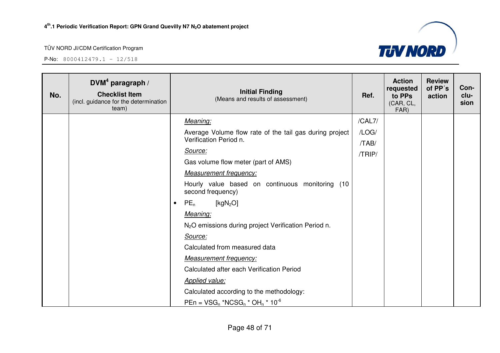![](_page_47_Picture_3.jpeg)

| No. | DVM <sup>4</sup> paragraph /<br><b>Checklist Item</b><br>(incl. guidance for the determination<br>team) |           | <b>Initial Finding</b><br>(Means and results of assessment)          | Ref.   | <b>Action</b><br>requested<br>to PPs<br>(CAR, CL,<br>FAR) | <b>Review</b><br>of PP's<br>action | Con-<br>clu-<br>sion |
|-----|---------------------------------------------------------------------------------------------------------|-----------|----------------------------------------------------------------------|--------|-----------------------------------------------------------|------------------------------------|----------------------|
|     |                                                                                                         |           | Meaning:                                                             | /CAL7/ |                                                           |                                    |                      |
|     |                                                                                                         |           | Average Volume flow rate of the tail gas during project              | /LOG/  |                                                           |                                    |                      |
|     |                                                                                                         |           | Verification Period n.                                               | /TAB/  |                                                           |                                    |                      |
|     |                                                                                                         |           | Source:                                                              | /TRIP/ |                                                           |                                    |                      |
|     |                                                                                                         |           | Gas volume flow meter (part of AMS)                                  |        |                                                           |                                    |                      |
|     |                                                                                                         |           | <b>Measurement frequency:</b>                                        |        |                                                           |                                    |                      |
|     |                                                                                                         |           | Hourly value based on continuous monitoring (10<br>second frequency) |        |                                                           |                                    |                      |
|     |                                                                                                         | $\bullet$ | $PE_n$<br>[ $kgN2O$ ]                                                |        |                                                           |                                    |                      |
|     |                                                                                                         |           | Meaning:                                                             |        |                                                           |                                    |                      |
|     |                                                                                                         |           | N <sub>2</sub> O emissions during project Verification Period n.     |        |                                                           |                                    |                      |
|     |                                                                                                         |           | Source:                                                              |        |                                                           |                                    |                      |
|     |                                                                                                         |           | Calculated from measured data                                        |        |                                                           |                                    |                      |
|     |                                                                                                         |           | <b>Measurement frequency:</b>                                        |        |                                                           |                                    |                      |
|     |                                                                                                         |           | Calculated after each Verification Period                            |        |                                                           |                                    |                      |
|     |                                                                                                         |           | <b>Applied value:</b>                                                |        |                                                           |                                    |                      |
|     |                                                                                                         |           | Calculated according to the methodology:                             |        |                                                           |                                    |                      |
|     |                                                                                                         |           | $PEn = VSG_n * NCSG_n * OH_n * 10^{-6}$                              |        |                                                           |                                    |                      |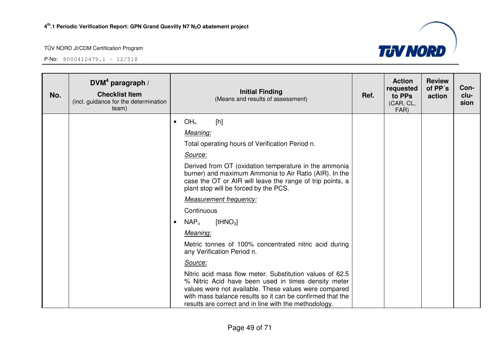![](_page_48_Picture_3.jpeg)

| No. | DVM <sup>4</sup> paragraph /<br><b>Checklist Item</b><br>(incl. guidance for the determination<br>team) | <b>Initial Finding</b><br>(Means and results of assessment)                                                                                                                                                                                                                                    | Ref. | <b>Action</b><br>requested<br>to PPs<br>(CAR, CL,<br>FAR) | <b>Review</b><br>of PP's<br>action | Con-<br>clu-<br>sion |
|-----|---------------------------------------------------------------------------------------------------------|------------------------------------------------------------------------------------------------------------------------------------------------------------------------------------------------------------------------------------------------------------------------------------------------|------|-----------------------------------------------------------|------------------------------------|----------------------|
|     |                                                                                                         | OH <sub>n</sub><br>[h]<br>$\bullet$                                                                                                                                                                                                                                                            |      |                                                           |                                    |                      |
|     |                                                                                                         | Meaning:                                                                                                                                                                                                                                                                                       |      |                                                           |                                    |                      |
|     |                                                                                                         | Total operating hours of Verification Period n.                                                                                                                                                                                                                                                |      |                                                           |                                    |                      |
|     |                                                                                                         | Source:                                                                                                                                                                                                                                                                                        |      |                                                           |                                    |                      |
|     |                                                                                                         | Derived from OT (oxidation temperature in the ammonia<br>burner) and maximum Ammonia to Air Ratio (AIR). In the<br>case the OT or AIR will leave the range of trip points, a<br>plant stop will be forced by the PCS.                                                                          |      |                                                           |                                    |                      |
|     |                                                                                                         | <b>Measurement frequency:</b>                                                                                                                                                                                                                                                                  |      |                                                           |                                    |                      |
|     |                                                                                                         | Continuous                                                                                                                                                                                                                                                                                     |      |                                                           |                                    |                      |
|     |                                                                                                         | [ $tHNO3$ ]<br>$NAP_n$<br>$\bullet$                                                                                                                                                                                                                                                            |      |                                                           |                                    |                      |
|     |                                                                                                         | Meaning:                                                                                                                                                                                                                                                                                       |      |                                                           |                                    |                      |
|     |                                                                                                         | Metric tonnes of 100% concentrated nitric acid during<br>any Verification Period n.                                                                                                                                                                                                            |      |                                                           |                                    |                      |
|     |                                                                                                         | Source:                                                                                                                                                                                                                                                                                        |      |                                                           |                                    |                      |
|     |                                                                                                         | Nitric acid mass flow meter. Substitution values of 62.5<br>% Nitric Acid have been used in times density meter<br>values were not available. These values were compared<br>with mass balance results so it can be confirmed that the<br>results are correct and in line with the methodology. |      |                                                           |                                    |                      |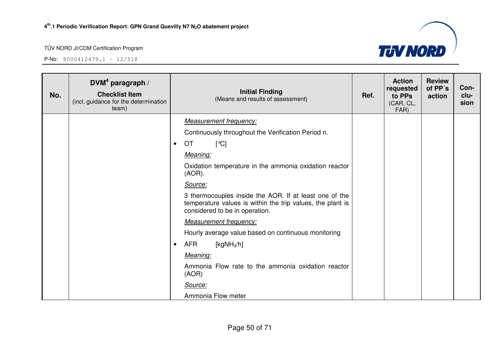![](_page_49_Picture_3.jpeg)

| No. | $DVM4$ paragraph /<br><b>Checklist Item</b><br>(incl. guidance for the determination<br>team) | <b>Initial Finding</b><br>Ref.<br>(Means and results of assessment)                                                                                    | <b>Action</b><br>requested<br>to PPs<br>(CAR, CL,<br>FAR) | <b>Review</b><br>of PP's<br>action | Con-<br>clu-<br>sion |
|-----|-----------------------------------------------------------------------------------------------|--------------------------------------------------------------------------------------------------------------------------------------------------------|-----------------------------------------------------------|------------------------------------|----------------------|
|     |                                                                                               | <b>Measurement frequency:</b>                                                                                                                          |                                                           |                                    |                      |
|     |                                                                                               | Continuously throughout the Verification Period n.                                                                                                     |                                                           |                                    |                      |
|     |                                                                                               | [°C]<br><b>OT</b><br>$\bullet$                                                                                                                         |                                                           |                                    |                      |
|     |                                                                                               | Meaning:                                                                                                                                               |                                                           |                                    |                      |
|     |                                                                                               | Oxidation temperature in the ammonia oxidation reactor<br>$(AOR)$ .                                                                                    |                                                           |                                    |                      |
|     |                                                                                               | Source:                                                                                                                                                |                                                           |                                    |                      |
|     |                                                                                               | 3 thermocouples inside the AOR. If at least one of the<br>temperature values is within the trip values, the plant is<br>considered to be in operation. |                                                           |                                    |                      |
|     |                                                                                               | <b>Measurement frequency:</b>                                                                                                                          |                                                           |                                    |                      |
|     |                                                                                               | Hourly average value based on continuous monitoring                                                                                                    |                                                           |                                    |                      |
|     |                                                                                               | AFR<br>[kg $NH3/h$ ]<br>$\bullet$                                                                                                                      |                                                           |                                    |                      |
|     |                                                                                               | Meaning:                                                                                                                                               |                                                           |                                    |                      |
|     |                                                                                               | Ammonia Flow rate to the ammonia oxidation reactor<br>(AOR)                                                                                            |                                                           |                                    |                      |
|     |                                                                                               | Source:                                                                                                                                                |                                                           |                                    |                      |
|     |                                                                                               | Ammonia Flow meter                                                                                                                                     |                                                           |                                    |                      |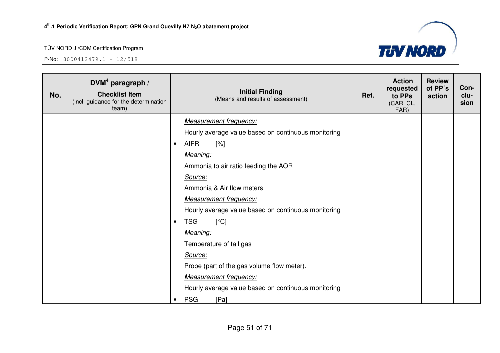![](_page_50_Picture_3.jpeg)

| No. | DVM <sup>4</sup> paragraph /<br><b>Checklist Item</b><br>(incl. guidance for the determination<br>team) | <b>Initial Finding</b><br>(Means and results of assessment) | Ref. | <b>Action</b><br>requested<br>to PPs<br>(CAR, CL,<br>FAR) | <b>Review</b><br>of PP's<br>action | Con-<br>clu-<br>sion |
|-----|---------------------------------------------------------------------------------------------------------|-------------------------------------------------------------|------|-----------------------------------------------------------|------------------------------------|----------------------|
|     |                                                                                                         | <b>Measurement frequency:</b>                               |      |                                                           |                                    |                      |
|     |                                                                                                         | Hourly average value based on continuous monitoring         |      |                                                           |                                    |                      |
|     |                                                                                                         | <b>AIFR</b><br>$[\%]$<br>$\bullet$                          |      |                                                           |                                    |                      |
|     |                                                                                                         | Meaning:                                                    |      |                                                           |                                    |                      |
|     |                                                                                                         | Ammonia to air ratio feeding the AOR                        |      |                                                           |                                    |                      |
|     |                                                                                                         | Source:                                                     |      |                                                           |                                    |                      |
|     |                                                                                                         | Ammonia & Air flow meters                                   |      |                                                           |                                    |                      |
|     |                                                                                                         | <b>Measurement frequency:</b>                               |      |                                                           |                                    |                      |
|     |                                                                                                         | Hourly average value based on continuous monitoring         |      |                                                           |                                    |                      |
|     |                                                                                                         | <b>TSG</b><br>$\lceil$ °C]<br>$\bullet$                     |      |                                                           |                                    |                      |
|     |                                                                                                         | Meaning:                                                    |      |                                                           |                                    |                      |
|     |                                                                                                         | Temperature of tail gas                                     |      |                                                           |                                    |                      |
|     |                                                                                                         | Source:                                                     |      |                                                           |                                    |                      |
|     |                                                                                                         | Probe (part of the gas volume flow meter).                  |      |                                                           |                                    |                      |
|     |                                                                                                         | <b>Measurement frequency:</b>                               |      |                                                           |                                    |                      |
|     |                                                                                                         | Hourly average value based on continuous monitoring         |      |                                                           |                                    |                      |
|     |                                                                                                         | <b>PSG</b><br>[Pa]<br>$\bullet$                             |      |                                                           |                                    |                      |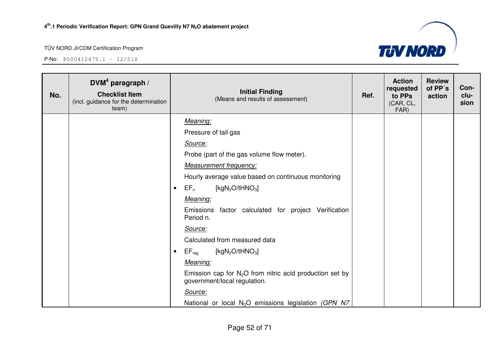![](_page_51_Picture_3.jpeg)

| No. | $DVM4$ paragraph /<br><b>Checklist Item</b><br>(incl. guidance for the determination<br>team) |           | <b>Initial Finding</b><br>(Means and results of assessment)                                | Ref. | <b>Action</b><br>requested<br>to PPs<br>(CAR, CL,<br>FAR) | <b>Review</b><br>of PP's<br>action | Con-<br>clu-<br>sion |
|-----|-----------------------------------------------------------------------------------------------|-----------|--------------------------------------------------------------------------------------------|------|-----------------------------------------------------------|------------------------------------|----------------------|
|     |                                                                                               |           | Meaning:                                                                                   |      |                                                           |                                    |                      |
|     |                                                                                               |           | Pressure of tail gas                                                                       |      |                                                           |                                    |                      |
|     |                                                                                               |           | Source:                                                                                    |      |                                                           |                                    |                      |
|     |                                                                                               |           | Probe (part of the gas volume flow meter).                                                 |      |                                                           |                                    |                      |
|     |                                                                                               |           | <b>Measurement frequency:</b>                                                              |      |                                                           |                                    |                      |
|     |                                                                                               |           | Hourly average value based on continuous monitoring                                        |      |                                                           |                                    |                      |
|     |                                                                                               | $\bullet$ | [ $kgN_2O/tHNO_3$ ]<br>$EF_n$                                                              |      |                                                           |                                    |                      |
|     |                                                                                               |           | Meaning:                                                                                   |      |                                                           |                                    |                      |
|     |                                                                                               |           | Emissions factor calculated for project Verification<br>Period n.                          |      |                                                           |                                    |                      |
|     |                                                                                               |           | Source:                                                                                    |      |                                                           |                                    |                      |
|     |                                                                                               |           | Calculated from measured data                                                              |      |                                                           |                                    |                      |
|     |                                                                                               | $\bullet$ | $EF_{\text{reg}}$<br>[ $kgN_2O/tHNO_3$ ]                                                   |      |                                                           |                                    |                      |
|     |                                                                                               |           | Meaning:                                                                                   |      |                                                           |                                    |                      |
|     |                                                                                               |           | Emission cap for $N_2O$ from nitric acid production set by<br>government/local regulation. |      |                                                           |                                    |                      |
|     |                                                                                               |           | Source:                                                                                    |      |                                                           |                                    |                      |
|     |                                                                                               |           | National or local N <sub>2</sub> O emissions legislation (GPN N7                           |      |                                                           |                                    |                      |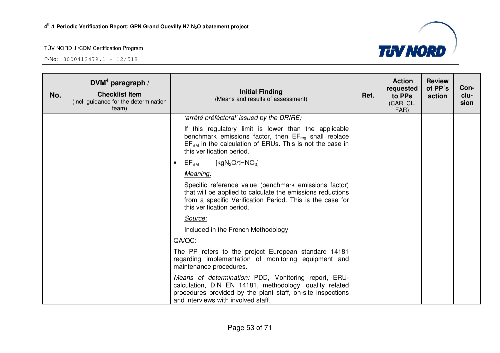![](_page_52_Picture_3.jpeg)

| No. | DVM <sup>4</sup> paragraph /<br><b>Checklist Item</b><br>(incl. guidance for the determination<br>team) | <b>Initial Finding</b><br>(Means and results of assessment)                                                                                                                                                           | Ref. | <b>Action</b><br>requested<br>to PPs<br>(CAR, CL,<br>FAR) | <b>Review</b><br>of PP's<br>action | Con-<br>clu-<br>sion |
|-----|---------------------------------------------------------------------------------------------------------|-----------------------------------------------------------------------------------------------------------------------------------------------------------------------------------------------------------------------|------|-----------------------------------------------------------|------------------------------------|----------------------|
|     |                                                                                                         | 'arrêté préféctoral' issued by the DRIRE)                                                                                                                                                                             |      |                                                           |                                    |                      |
|     |                                                                                                         | If this regulatory limit is lower than the applicable<br>benchmark emissions factor, then $EF_{req}$ shall replace<br>$EFBM$ in the calculation of ERUs. This is not the case in<br>this verification period.         |      |                                                           |                                    |                      |
|     |                                                                                                         | $\mathsf{EF}_\mathsf{BM}$<br>[kgN <sub>2</sub> O/tHNO <sub>3</sub> ]<br>$\bullet$                                                                                                                                     |      |                                                           |                                    |                      |
|     |                                                                                                         | Meaning:                                                                                                                                                                                                              |      |                                                           |                                    |                      |
|     |                                                                                                         | Specific reference value (benchmark emissions factor)<br>that will be applied to calculate the emissions reductions<br>from a specific Verification Period. This is the case for<br>this verification period.         |      |                                                           |                                    |                      |
|     |                                                                                                         | Source:                                                                                                                                                                                                               |      |                                                           |                                    |                      |
|     |                                                                                                         | Included in the French Methodology                                                                                                                                                                                    |      |                                                           |                                    |                      |
|     |                                                                                                         | QA/QC:                                                                                                                                                                                                                |      |                                                           |                                    |                      |
|     |                                                                                                         | The PP refers to the project European standard 14181<br>regarding implementation of monitoring equipment and<br>maintenance procedures.                                                                               |      |                                                           |                                    |                      |
|     |                                                                                                         | Means of determination: PDD, Monitoring report, ERU-<br>calculation, DIN EN 14181, methodology, quality related<br>procedures provided by the plant staff, on-site inspections<br>and interviews with involved staff. |      |                                                           |                                    |                      |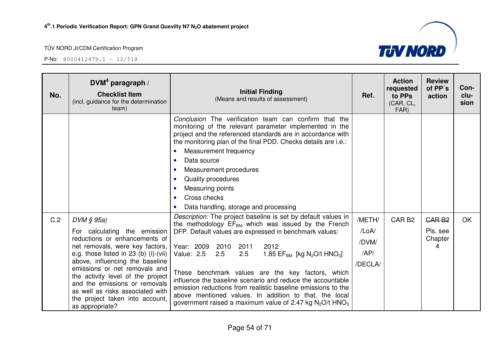![](_page_53_Picture_3.jpeg)

| No. | DVM <sup>4</sup> paragraph /<br><b>Checklist Item</b><br>(incl. guidance for the determination<br>team)                                                                                                                                                                                                                                                                                          | <b>Initial Finding</b><br>(Means and results of assessment)                                                                                                                                                                                                                                                                                                                                                                                                                                                                                                                                                                                     | Ref.                                       | <b>Action</b><br>requested<br>to PPs<br>(CAR, CL,<br>FAR) | <b>Review</b><br>of PP's<br>action            | Con-<br>clu-<br>sion |
|-----|--------------------------------------------------------------------------------------------------------------------------------------------------------------------------------------------------------------------------------------------------------------------------------------------------------------------------------------------------------------------------------------------------|-------------------------------------------------------------------------------------------------------------------------------------------------------------------------------------------------------------------------------------------------------------------------------------------------------------------------------------------------------------------------------------------------------------------------------------------------------------------------------------------------------------------------------------------------------------------------------------------------------------------------------------------------|--------------------------------------------|-----------------------------------------------------------|-----------------------------------------------|----------------------|
|     |                                                                                                                                                                                                                                                                                                                                                                                                  | Conclusion The verification team can confirm that the<br>monitoring of the relevant parameter implemented in the<br>project and the referenced standards are in accordance with<br>the monitoring plan of the final PDD. Checks details are i.e.:<br>Measurement frequency<br>$\bullet$<br>Data source<br>$\bullet$<br>Measurement procedures<br>$\bullet$<br>Quality procedures<br>$\bullet$<br>Measuring points<br>$\bullet$<br>Cross checks<br>$\bullet$<br>Data handling, storage and processing<br>$\bullet$                                                                                                                               |                                            |                                                           |                                               |                      |
| C.2 | $DVM \S 95a$<br>For calculating<br>the emission<br>reductions or enhancements of<br>net removals, were key factors,<br>e.g. those listed in 23 (b) (i)-(vii)<br>above, influencing the baseline<br>emissions or net removals and<br>the activity level of the project<br>and the emissions or removals<br>as well as risks associated with<br>the project taken into account,<br>as appropriate? | Description: The project baseline is set by default values in<br>the methodology EF <sub>BM</sub> which was issued by the French<br>DFP. Default values are expressed in benchmark values:<br>Year: 2009<br>2010<br>2011<br>2012<br>2.5<br>Value: 2.5<br>2.5<br>1.85 $EF_{BM}$ [kg N <sub>2</sub> O/t HNO <sub>3</sub> ]<br>These benchmark values are the key factors, which<br>influence the baseline scenario and reduce the accountable<br>emission reductions from realistic baseline emissions to the<br>above mentioned values. In addition to that, the local<br>government raised a maximum value of 2.47 kg $N_2O/t$ HNO <sub>3</sub> | /METH/<br>/LoA/<br>/DVM/<br>AP/<br>/DECLA/ | CAR <sub>B2</sub>                                         | GAR <sub>B2</sub><br>Pls. see<br>Chapter<br>4 | OK                   |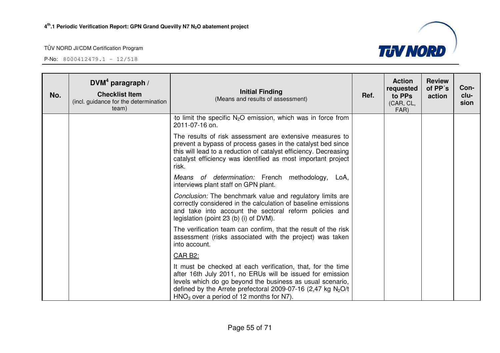![](_page_54_Picture_3.jpeg)

| No. | DVM <sup>4</sup> paragraph /<br><b>Checklist Item</b><br>(incl. guidance for the determination<br>team) | <b>Initial Finding</b><br>(Means and results of assessment)                                                                                                                                                                                                                                           | Ref. | <b>Action</b><br>requested<br>to PPs<br>(CAR, CL,<br>FAR) | <b>Review</b><br>of PP's<br>action | Con-<br>clu-<br>sion |
|-----|---------------------------------------------------------------------------------------------------------|-------------------------------------------------------------------------------------------------------------------------------------------------------------------------------------------------------------------------------------------------------------------------------------------------------|------|-----------------------------------------------------------|------------------------------------|----------------------|
|     |                                                                                                         | to limit the specific $N_2O$ emission, which was in force from<br>2011-07-16 on.                                                                                                                                                                                                                      |      |                                                           |                                    |                      |
|     |                                                                                                         | The results of risk assessment are extensive measures to<br>prevent a bypass of process gases in the catalyst bed since<br>this will lead to a reduction of catalyst efficiency. Decreasing<br>catalyst efficiency was identified as most important project<br>risk.                                  |      |                                                           |                                    |                      |
|     |                                                                                                         | Means of determination: French methodology,<br>LoA,<br>interviews plant staff on GPN plant.                                                                                                                                                                                                           |      |                                                           |                                    |                      |
|     |                                                                                                         | Conclusion: The benchmark value and regulatory limits are<br>correctly considered in the calculation of baseline emissions<br>and take into account the sectoral reform policies and<br>legislation (point $23$ (b) (i) of DVM).                                                                      |      |                                                           |                                    |                      |
|     |                                                                                                         | The verification team can confirm, that the result of the risk<br>assessment (risks associated with the project) was taken<br>into account.                                                                                                                                                           |      |                                                           |                                    |                      |
|     |                                                                                                         | CAR B2:                                                                                                                                                                                                                                                                                               |      |                                                           |                                    |                      |
|     |                                                                                                         | It must be checked at each verification, that, for the time<br>after 16th July 2011, no ERUs will be issued for emission<br>levels which do go beyond the business as usual scenario,<br>defined by the Arrete prefectoral 2009-07-16 (2,47 kg $N_2O/t$<br>$HNO3$ over a period of 12 months for N7). |      |                                                           |                                    |                      |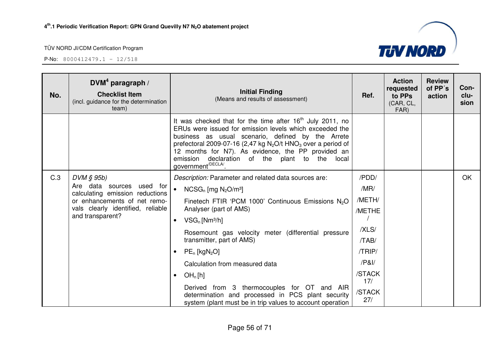![](_page_55_Picture_3.jpeg)

| No. | DVM <sup>4</sup> paragraph /<br><b>Checklist Item</b><br>(incl. guidance for the determination<br>team) | <b>Initial Finding</b><br>(Means and results of assessment)                                                                                                                                                                                                                                                                                                                                            | Ref.          | <b>Action</b><br>requested<br>to PPs<br>(CAR, CL,<br>FAR) | <b>Review</b><br>of PP's<br>action | Con-<br>clu-<br>sion |
|-----|---------------------------------------------------------------------------------------------------------|--------------------------------------------------------------------------------------------------------------------------------------------------------------------------------------------------------------------------------------------------------------------------------------------------------------------------------------------------------------------------------------------------------|---------------|-----------------------------------------------------------|------------------------------------|----------------------|
|     |                                                                                                         | It was checked that for the time after $16th$ July 2011, no<br>ERUs were issued for emission levels which exceeded the<br>business as usual scenario, defined by the Arrete<br>prefectoral 2009-07-16 (2,47 kg $N_2O/t$ HNO <sub>3</sub> over a period of<br>12 months for N7). As evidence, the PP provided an<br>emission<br>declaration of the plant to the local<br>government <sup>/DECLA</sup> . |               |                                                           |                                    |                      |
| C.3 | $DVM \S 95b$                                                                                            | Description: Parameter and related data sources are:                                                                                                                                                                                                                                                                                                                                                   | /PDD/         |                                                           |                                    | OK                   |
|     | Are data sources<br>used for<br>calculating emission reductions                                         | $\bullet$<br>$NCSG_n$ [mg $N_2O/m^3$ ]                                                                                                                                                                                                                                                                                                                                                                 | /MR/          |                                                           |                                    |                      |
|     | or enhancements of net remo-                                                                            | Finetech FTIR 'PCM 1000' Continuous Emissions N <sub>2</sub> O                                                                                                                                                                                                                                                                                                                                         | /METH/        |                                                           |                                    |                      |
|     | vals clearly identified, reliable<br>and transparent?                                                   | Analyser (part of AMS)                                                                                                                                                                                                                                                                                                                                                                                 | /METHE        |                                                           |                                    |                      |
|     |                                                                                                         | $VSG_n$ [Nm <sup>3</sup> /h]<br>$\bullet$                                                                                                                                                                                                                                                                                                                                                              |               |                                                           |                                    |                      |
|     |                                                                                                         | Rosemount gas velocity meter (differential pressure                                                                                                                                                                                                                                                                                                                                                    | /XLS/         |                                                           |                                    |                      |
|     |                                                                                                         | transmitter, part of AMS)                                                                                                                                                                                                                                                                                                                                                                              | /TAB/         |                                                           |                                    |                      |
|     |                                                                                                         | $PE_n$ [kgN <sub>2</sub> O]<br>$\bullet$                                                                                                                                                                                                                                                                                                                                                               | /TRIP/        |                                                           |                                    |                      |
|     |                                                                                                         | Calculation from measured data                                                                                                                                                                                                                                                                                                                                                                         | /PAI/         |                                                           |                                    |                      |
|     |                                                                                                         | OH <sub>n</sub> [h]<br>$\bullet$                                                                                                                                                                                                                                                                                                                                                                       | /STACK<br>17/ |                                                           |                                    |                      |
|     |                                                                                                         | Derived from 3 thermocouples for OT and AIR<br>determination and processed in PCS plant security<br>system (plant must be in trip values to account operation                                                                                                                                                                                                                                          | /STACK<br>27/ |                                                           |                                    |                      |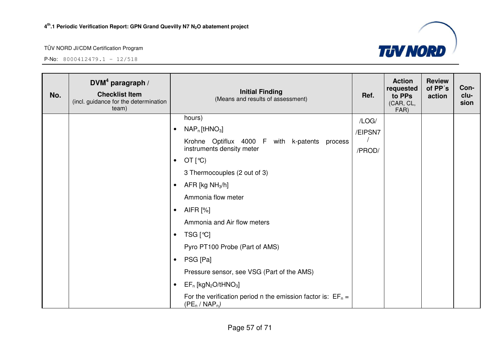![](_page_56_Picture_3.jpeg)

| No. | DVM <sup>4</sup> paragraph /<br><b>Checklist Item</b><br>(incl. guidance for the determination<br>team) | <b>Initial Finding</b><br>(Means and results of assessment)                        | Ref.    | <b>Action</b><br>requested<br>to PPs<br>(CAR, CL,<br>FAR) | <b>Review</b><br>of PP's<br>action | Con-<br>clu-<br>sion |
|-----|---------------------------------------------------------------------------------------------------------|------------------------------------------------------------------------------------|---------|-----------------------------------------------------------|------------------------------------|----------------------|
|     |                                                                                                         | hours)                                                                             | /LOG/   |                                                           |                                    |                      |
|     |                                                                                                         | $NAP_n$ [tHNO <sub>3</sub> ]<br>$\bullet$                                          | /EIPSN7 |                                                           |                                    |                      |
|     |                                                                                                         | Krohne Optiflux 4000 F with k-patents process                                      |         |                                                           |                                    |                      |
|     |                                                                                                         | instruments density meter                                                          | /PROD/  |                                                           |                                    |                      |
|     |                                                                                                         | OT $[°C)$<br>$\bullet$                                                             |         |                                                           |                                    |                      |
|     |                                                                                                         | 3 Thermocouples (2 out of 3)                                                       |         |                                                           |                                    |                      |
|     |                                                                                                         | AFR [kg $NH3/h$ ]<br>$\bullet$                                                     |         |                                                           |                                    |                      |
|     |                                                                                                         | Ammonia flow meter                                                                 |         |                                                           |                                    |                      |
|     |                                                                                                         | AIFR [%]<br>$\bullet$                                                              |         |                                                           |                                    |                      |
|     |                                                                                                         | Ammonia and Air flow meters                                                        |         |                                                           |                                    |                      |
|     |                                                                                                         | TSG [℃]<br>$\bullet$                                                               |         |                                                           |                                    |                      |
|     |                                                                                                         | Pyro PT100 Probe (Part of AMS)                                                     |         |                                                           |                                    |                      |
|     |                                                                                                         | PSG [Pa]<br>$\bullet$                                                              |         |                                                           |                                    |                      |
|     |                                                                                                         | Pressure sensor, see VSG (Part of the AMS)                                         |         |                                                           |                                    |                      |
|     |                                                                                                         | $EF_n$ [kgN <sub>2</sub> O/tHNO <sub>3</sub> ]<br>$\bullet$                        |         |                                                           |                                    |                      |
|     |                                                                                                         | For the verification period n the emission factor is: $EF_n =$<br>$(PE_n / NAP_n)$ |         |                                                           |                                    |                      |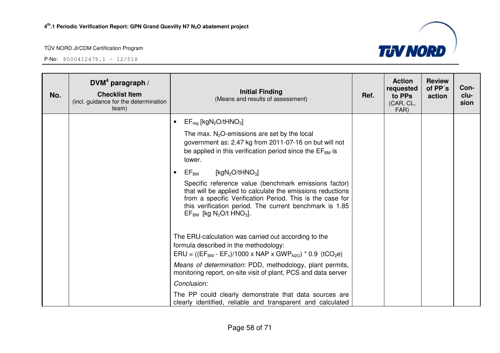![](_page_57_Picture_3.jpeg)

| No. | DVM <sup>4</sup> paragraph /<br><b>Checklist Item</b><br>(incl. guidance for the determination<br>team) | <b>Initial Finding</b><br>(Means and results of assessment)                                                                                                                                                                                                                                         | Ref. | <b>Action</b><br>requested<br>to PPs<br>(CAR, CL,<br>FAR) | <b>Review</b><br>of PP's<br>action | Con-<br>clu-<br>sion |
|-----|---------------------------------------------------------------------------------------------------------|-----------------------------------------------------------------------------------------------------------------------------------------------------------------------------------------------------------------------------------------------------------------------------------------------------|------|-----------------------------------------------------------|------------------------------------|----------------------|
|     |                                                                                                         | $EF_{reg}$ [kgN <sub>2</sub> O/tHNO <sub>3</sub> ]                                                                                                                                                                                                                                                  |      |                                                           |                                    |                      |
|     |                                                                                                         | The max. $N_2O$ -emissions are set by the local<br>government as: 2.47 kg from 2011-07-16 on but will not<br>be applied in this verification period since the $EF_{BM}$ is<br>lower.                                                                                                                |      |                                                           |                                    |                      |
|     |                                                                                                         | [kgN <sub>2</sub> O/tHNO <sub>3</sub> ]<br>$EF_{BM}$<br>$\bullet$                                                                                                                                                                                                                                   |      |                                                           |                                    |                      |
|     |                                                                                                         | Specific reference value (benchmark emissions factor)<br>that will be applied to calculate the emissions reductions<br>from a specific Verification Period. This is the case for<br>this verification period. The current benchmark is 1.85<br>$EF_{BM}$ [kg N <sub>2</sub> O/t HNO <sub>3</sub> ]. |      |                                                           |                                    |                      |
|     |                                                                                                         | The ERU-calculation was carried out according to the<br>formula described in the methodology:<br>$ERU = ((EF_{BM} - EF_n)/1000 \times NAP \times GWP_{N20}) * 0.9$ (tCO <sub>2</sub> e)                                                                                                             |      |                                                           |                                    |                      |
|     |                                                                                                         | Means of determination: PDD, methodology, plant permits,<br>monitoring report, on-site visit of plant, PCS and data server                                                                                                                                                                          |      |                                                           |                                    |                      |
|     |                                                                                                         | Conclusion:                                                                                                                                                                                                                                                                                         |      |                                                           |                                    |                      |
|     |                                                                                                         | The PP could clearly demonstrate that data sources are<br>clearly identified, reliable and transparent and calculated                                                                                                                                                                               |      |                                                           |                                    |                      |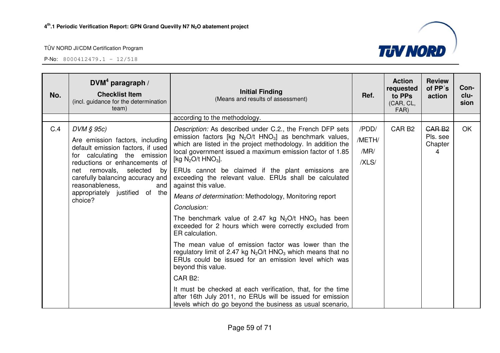![](_page_58_Picture_3.jpeg)

| No. | DVM <sup>4</sup> paragraph /<br><b>Checklist Item</b><br>(incl. guidance for the determination<br>team)                                                                                                                                                                                       | <b>Initial Finding</b><br>(Means and results of assessment)                                                                                                                                                                                                                                                                                                                                                                                                                                                                                                                                                                                                                                                                                                                                                                                                                                                                                                        | Ref.                             | <b>Action</b><br>requested<br>to PPs<br>(CAR, CL,<br>FAR) | <b>Review</b><br>of PP's<br>action       | Con-<br>clu-<br>sion |
|-----|-----------------------------------------------------------------------------------------------------------------------------------------------------------------------------------------------------------------------------------------------------------------------------------------------|--------------------------------------------------------------------------------------------------------------------------------------------------------------------------------------------------------------------------------------------------------------------------------------------------------------------------------------------------------------------------------------------------------------------------------------------------------------------------------------------------------------------------------------------------------------------------------------------------------------------------------------------------------------------------------------------------------------------------------------------------------------------------------------------------------------------------------------------------------------------------------------------------------------------------------------------------------------------|----------------------------------|-----------------------------------------------------------|------------------------------------------|----------------------|
|     |                                                                                                                                                                                                                                                                                               | according to the methodology.                                                                                                                                                                                                                                                                                                                                                                                                                                                                                                                                                                                                                                                                                                                                                                                                                                                                                                                                      |                                  |                                                           |                                          |                      |
| C.4 | $DVM \S 95c$<br>Are emission factors, including<br>default emission factors, if used<br>for calculating the emission<br>reductions or enhancements of<br>net removals, selected by<br>carefully balancing accuracy and<br>reasonableness,<br>and<br>appropriately justified of the<br>choice? | Description: As described under C.2., the French DFP sets<br>emission factors [kg $N_2O/t$ HNO <sub>3</sub> ] as benchmark values,<br>which are listed in the project methodology. In addition the<br>local government issued a maximum emission factor of 1.85<br>[kg $N_2O/t$ HNO <sub>3</sub> ].<br>ERUs cannot be claimed if the plant emissions are<br>exceeding the relevant value. ERUs shall be calculated<br>against this value.<br>Means of determination: Methodology, Monitoring report<br>Conclusion:<br>The benchmark value of 2.47 kg $N_2O/t$ HNO <sub>3</sub> has been<br>exceeded for 2 hours which were correctly excluded from<br>ER calculation.<br>The mean value of emission factor was lower than the<br>regulatory limit of 2.47 kg $N_2O/t$ HNO <sub>3</sub> which means that no<br>ERUs could be issued for an emission level which was<br>beyond this value.<br>CAR B2:<br>It must be checked at each verification, that, for the time | /PDD/<br>/METH/<br>/MR/<br>/XLS/ | CAR <sub>B2</sub>                                         | <b>CARB2</b><br>Pls. see<br>Chapter<br>4 | <b>OK</b>            |
|     |                                                                                                                                                                                                                                                                                               | after 16th July 2011, no ERUs will be issued for emission<br>levels which do go beyond the business as usual scenario,                                                                                                                                                                                                                                                                                                                                                                                                                                                                                                                                                                                                                                                                                                                                                                                                                                             |                                  |                                                           |                                          |                      |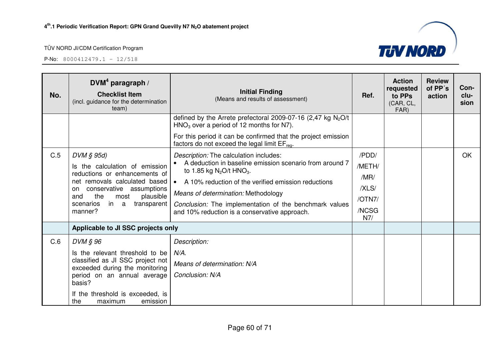P-No: 8000412479.1 – 12/518

![](_page_59_Picture_3.jpeg)

| No. | $DVM4$ paragraph /<br><b>Checklist Item</b><br>(incl. guidance for the determination<br>team) | <b>Initial Finding</b><br>(Means and results of assessment)                                                                | Ref.         | <b>Action</b><br>requested<br>to PPs<br>(CAR, CL,<br>FAR) | <b>Review</b><br>of PP's<br>action | Con-<br>clu-<br>sion |
|-----|-----------------------------------------------------------------------------------------------|----------------------------------------------------------------------------------------------------------------------------|--------------|-----------------------------------------------------------|------------------------------------|----------------------|
|     |                                                                                               | defined by the Arrete prefectoral 2009-07-16 (2,47 kg $N_2O/t$<br>$HNO3$ over a period of 12 months for N7).               |              |                                                           |                                    |                      |
|     |                                                                                               | For this period it can be confirmed that the project emission<br>factors do not exceed the legal limit EF <sub>req</sub> . |              |                                                           |                                    |                      |
| C.5 | DVM § 95d)                                                                                    | Description: The calculation includes:                                                                                     | /PDD/        |                                                           |                                    | <b>OK</b>            |
|     | Is the calculation of emission                                                                | A deduction in baseline emission scenario from around 7<br>to 1.85 kg $N_2O/t$ HNO <sub>3</sub> .                          | /METH/       |                                                           |                                    |                      |
|     | reductions or enhancements of<br>net removals calculated based                                | A 10% reduction of the verified emission reductions<br>$\bullet$                                                           | /MR/         |                                                           |                                    |                      |
|     | conservative assumptions<br>on                                                                | Means of determination: Methodology                                                                                        | /XLS/        |                                                           |                                    |                      |
|     | the<br>plausible<br>most<br>and<br>transparent<br>scenarios<br>in a                           | Conclusion: The implementation of the benchmark values                                                                     | /OTN7/       |                                                           |                                    |                      |
|     | manner?                                                                                       | and 10% reduction is a conservative approach.                                                                              | /NCSG<br>N7/ |                                                           |                                    |                      |
|     | Applicable to JI SSC projects only                                                            |                                                                                                                            |              |                                                           |                                    |                      |
| C.6 | DVM § 96                                                                                      | Description:                                                                                                               |              |                                                           |                                    |                      |
|     | Is the relevant threshold to be                                                               | $N/A$ .                                                                                                                    |              |                                                           |                                    |                      |
|     | classified as JI SSC project not<br>exceeded during the monitoring                            | Means of determination: N/A                                                                                                |              |                                                           |                                    |                      |
|     | period on an annual average<br>basis?                                                         | Conclusion: N/A                                                                                                            |              |                                                           |                                    |                      |
|     | If the threshold is exceeded, is<br>the<br>maximum<br>emission                                |                                                                                                                            |              |                                                           |                                    |                      |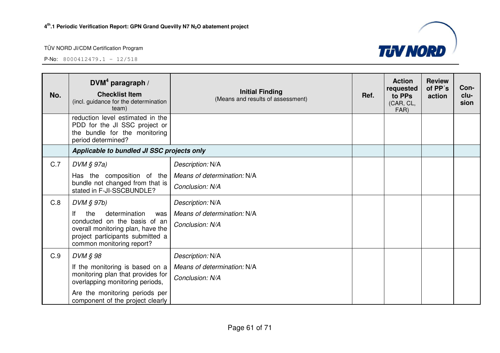![](_page_60_Picture_3.jpeg)

| No.        | DVM <sup>4</sup> paragraph /<br><b>Checklist Item</b><br>(incl. guidance for the determination<br>team)                                                                                                                                                                                                  | <b>Initial Finding</b><br>(Means and results of assessment)                                                                              | Ref. | <b>Action</b><br>requested<br>to PPs<br>(CAR, CL,<br>FAR) | <b>Review</b><br>of PP's<br>action | Con-<br>clu-<br>sion |
|------------|----------------------------------------------------------------------------------------------------------------------------------------------------------------------------------------------------------------------------------------------------------------------------------------------------------|------------------------------------------------------------------------------------------------------------------------------------------|------|-----------------------------------------------------------|------------------------------------|----------------------|
|            | reduction level estimated in the<br>PDD for the JI SSC project or<br>the bundle for the monitoring<br>period determined?                                                                                                                                                                                 |                                                                                                                                          |      |                                                           |                                    |                      |
|            | Applicable to bundled JI SSC projects only                                                                                                                                                                                                                                                               |                                                                                                                                          |      |                                                           |                                    |                      |
| C.7<br>C.8 | $DVM \S 97a)$<br>Has the composition of the<br>bundle not changed from that is<br>stated in F-JI-SSCBUNDLE?<br>$DVM$ $S$ 97b)<br>lf<br>determination<br>the<br>was<br>conducted on the basis of an<br>overall monitoring plan, have the<br>project participants submitted a<br>common monitoring report? | Description: N/A<br>Means of determination: N/A<br>Conclusion: N/A<br>Description: N/A<br>Means of determination: N/A<br>Conclusion: N/A |      |                                                           |                                    |                      |
| C.9        | DVM § 98<br>If the monitoring is based on a<br>monitoring plan that provides for<br>overlapping monitoring periods,<br>Are the monitoring periods per<br>component of the project clearly                                                                                                                | Description: N/A<br>Means of determination: N/A<br>Conclusion: N/A                                                                       |      |                                                           |                                    |                      |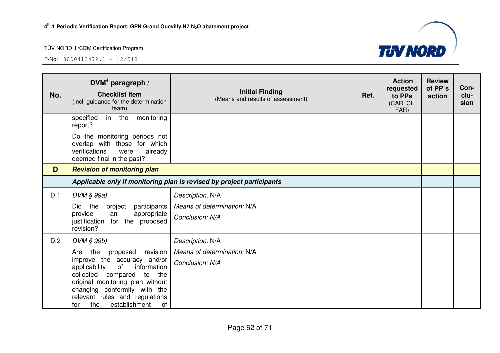![](_page_61_Picture_3.jpeg)

| No. | DVM <sup>4</sup> paragraph /<br><b>Checklist Item</b><br>(incl. guidance for the determination<br>team)                                                                                                                                                                                  | <b>Initial Finding</b><br>(Means and results of assessment)           | Ref. | <b>Action</b><br>requested<br>to PPs<br>(CAR, CL,<br>FAR) | <b>Review</b><br>of PP's<br>action | Con-<br>clu-<br>sion |
|-----|------------------------------------------------------------------------------------------------------------------------------------------------------------------------------------------------------------------------------------------------------------------------------------------|-----------------------------------------------------------------------|------|-----------------------------------------------------------|------------------------------------|----------------------|
|     | monitoring<br>specified<br>in<br>the<br>report?                                                                                                                                                                                                                                          |                                                                       |      |                                                           |                                    |                      |
|     | Do the monitoring periods not<br>overlap with those for which<br>verifications<br>were<br>already<br>deemed final in the past?                                                                                                                                                           |                                                                       |      |                                                           |                                    |                      |
| D   | <b>Revision of monitoring plan</b>                                                                                                                                                                                                                                                       |                                                                       |      |                                                           |                                    |                      |
|     |                                                                                                                                                                                                                                                                                          | Applicable only if monitoring plan is revised by project participants |      |                                                           |                                    |                      |
| D.1 | DVM § 99a)                                                                                                                                                                                                                                                                               | Description: N/A                                                      |      |                                                           |                                    |                      |
|     | Did<br>the<br>participants<br>project<br>provide<br>appropriate<br>an<br>justification for the proposed<br>revision?                                                                                                                                                                     | Means of determination: N/A<br>Conclusion: N/A                        |      |                                                           |                                    |                      |
| D.2 | DVM § 99b)                                                                                                                                                                                                                                                                               | Description: N/A                                                      |      |                                                           |                                    |                      |
|     | proposed<br>revision<br>Are<br>the<br>improve the accuracy and/or<br>of<br>information<br>applicability<br>collected<br>compared<br>to<br>the<br>original monitoring plan without<br>changing conformity with the<br>relevant rules and regulations<br>establishment<br>the<br>of<br>for | Means of determination: N/A<br>Conclusion: N/A                        |      |                                                           |                                    |                      |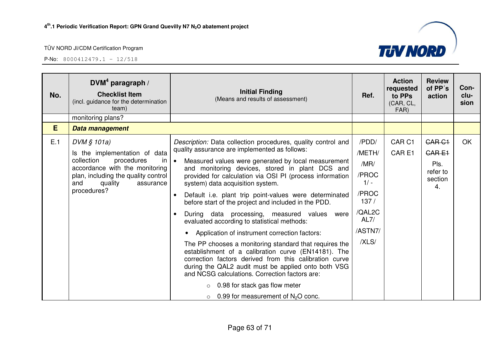![](_page_62_Picture_3.jpeg)

| No. | DVM <sup>4</sup> paragraph /<br><b>Checklist Item</b><br>(incl. guidance for the determination<br>team)                                                                                                          | <b>Initial Finding</b><br>(Means and results of assessment)                                                                                                                                                                                                                                                                                                                                                                                                                                                                                                                                                                                                                                                                                                                                                                                                                                                                                                                                                                | Ref.                                                                                              | <b>Action</b><br>requested<br>to PPs<br>(CAR, CL,<br>FAR) | <b>Review</b><br>of PP's<br>action                                     | Con-<br>clu-<br>sion |
|-----|------------------------------------------------------------------------------------------------------------------------------------------------------------------------------------------------------------------|----------------------------------------------------------------------------------------------------------------------------------------------------------------------------------------------------------------------------------------------------------------------------------------------------------------------------------------------------------------------------------------------------------------------------------------------------------------------------------------------------------------------------------------------------------------------------------------------------------------------------------------------------------------------------------------------------------------------------------------------------------------------------------------------------------------------------------------------------------------------------------------------------------------------------------------------------------------------------------------------------------------------------|---------------------------------------------------------------------------------------------------|-----------------------------------------------------------|------------------------------------------------------------------------|----------------------|
|     | monitoring plans?                                                                                                                                                                                                |                                                                                                                                                                                                                                                                                                                                                                                                                                                                                                                                                                                                                                                                                                                                                                                                                                                                                                                                                                                                                            |                                                                                                   |                                                           |                                                                        |                      |
| E   | Data management                                                                                                                                                                                                  |                                                                                                                                                                                                                                                                                                                                                                                                                                                                                                                                                                                                                                                                                                                                                                                                                                                                                                                                                                                                                            |                                                                                                   |                                                           |                                                                        |                      |
| E.1 | DVM § 101a)<br>Is the implementation of data<br>collection<br>procedures<br><sub>in</sub><br>accordance with the monitoring<br>plan, including the quality control<br>quality<br>and<br>assurance<br>procedures? | Description: Data collection procedures, quality control and<br>quality assurance are implemented as follows:<br>$\bullet$<br>Measured values were generated by local measurement<br>and monitoring devices, stored in plant DCS and<br>provided for calculation via OSI PI (process information<br>system) data acquisition system.<br>Default i.e. plant trip point-values were determinated<br>$\bullet$<br>before start of the project and included in the PDD.<br>During data processing, measured values were<br>$\bullet$<br>evaluated according to statistical methods:<br>Application of instrument correction factors:<br>The PP chooses a monitoring standard that requires the<br>establishment of a calibration curve (EN14181). The<br>correction factors derived from this calibration curve<br>during the QAL2 audit must be applied onto both VSG<br>and NCSG calculations. Correction factors are:<br>0.98 for stack gas flow meter<br>$\circ$<br>$\circ$ 0.99 for measurement of N <sub>2</sub> O conc. | /PDD/<br>/METH/<br>/MR/<br>/PROC<br>$1/ -$<br>/PROC<br>137/<br>/QAL2C<br>AL7/<br>/ASTN7/<br>/XLS/ | CAR <sub>C1</sub><br>CAR <sub>E1</sub>                    | CAR <sub>C1</sub><br><b>CARE1</b><br>Pls.<br>refer to<br>section<br>4. | OK                   |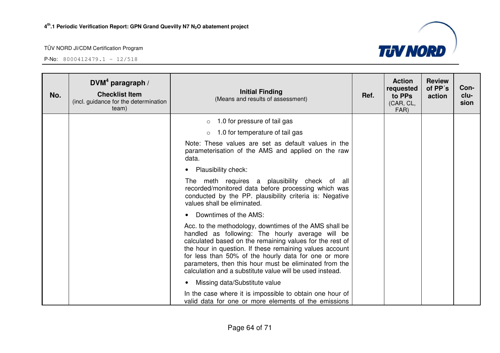![](_page_63_Picture_3.jpeg)

| No. | DVM <sup>4</sup> paragraph /<br><b>Checklist Item</b><br>(incl. guidance for the determination<br>team) | <b>Initial Finding</b><br>(Means and results of assessment)                                                                                                                                                                                                                                                                                                                                                     | Ref. | <b>Action</b><br>requested<br>to PPs<br>(CAR, CL,<br>FAR) | <b>Review</b><br>of PP's<br>action | Con-<br>clu-<br>sion |
|-----|---------------------------------------------------------------------------------------------------------|-----------------------------------------------------------------------------------------------------------------------------------------------------------------------------------------------------------------------------------------------------------------------------------------------------------------------------------------------------------------------------------------------------------------|------|-----------------------------------------------------------|------------------------------------|----------------------|
|     |                                                                                                         | 1.0 for pressure of tail gas<br>$\circ$                                                                                                                                                                                                                                                                                                                                                                         |      |                                                           |                                    |                      |
|     |                                                                                                         | 1.0 for temperature of tail gas                                                                                                                                                                                                                                                                                                                                                                                 |      |                                                           |                                    |                      |
|     |                                                                                                         | Note: These values are set as default values in the<br>parameterisation of the AMS and applied on the raw<br>data.                                                                                                                                                                                                                                                                                              |      |                                                           |                                    |                      |
|     |                                                                                                         | <b>Plausibility check:</b>                                                                                                                                                                                                                                                                                                                                                                                      |      |                                                           |                                    |                      |
|     |                                                                                                         | The meth requires a plausibility check of all<br>recorded/monitored data before processing which was<br>conducted by the PP. plausibility criteria is: Negative<br>values shall be eliminated.                                                                                                                                                                                                                  |      |                                                           |                                    |                      |
|     |                                                                                                         | Downtimes of the AMS:                                                                                                                                                                                                                                                                                                                                                                                           |      |                                                           |                                    |                      |
|     |                                                                                                         | Acc. to the methodology, downtimes of the AMS shall be<br>handled as following: The hourly average will be<br>calculated based on the remaining values for the rest of<br>the hour in question. If these remaining values account<br>for less than 50% of the hourly data for one or more<br>parameters, then this hour must be eliminated from the<br>calculation and a substitute value will be used instead. |      |                                                           |                                    |                      |
|     |                                                                                                         | Missing data/Substitute value<br>$\bullet$                                                                                                                                                                                                                                                                                                                                                                      |      |                                                           |                                    |                      |
|     |                                                                                                         | In the case where it is impossible to obtain one hour of<br>valid data for one or more elements of the emissions                                                                                                                                                                                                                                                                                                |      |                                                           |                                    |                      |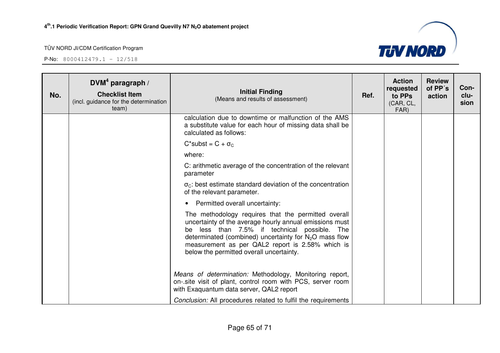![](_page_64_Picture_3.jpeg)

| No. | DVM <sup>4</sup> paragraph /<br><b>Checklist Item</b><br>(incl. guidance for the determination<br>team) | <b>Initial Finding</b><br>(Means and results of assessment)                                                                                                                                                                                                                                                                | Ref. | <b>Action</b><br>requested<br>to PPs<br>(CAR, CL,<br>FAR) | <b>Review</b><br>of PP's<br>action | Con-<br>clu-<br>sion |
|-----|---------------------------------------------------------------------------------------------------------|----------------------------------------------------------------------------------------------------------------------------------------------------------------------------------------------------------------------------------------------------------------------------------------------------------------------------|------|-----------------------------------------------------------|------------------------------------|----------------------|
|     |                                                                                                         | calculation due to downtime or malfunction of the AMS<br>a substitute value for each hour of missing data shall be<br>calculated as follows:                                                                                                                                                                               |      |                                                           |                                    |                      |
|     |                                                                                                         | $C^*$ subst = $C + \sigma_C$                                                                                                                                                                                                                                                                                               |      |                                                           |                                    |                      |
|     |                                                                                                         | where:                                                                                                                                                                                                                                                                                                                     |      |                                                           |                                    |                      |
|     |                                                                                                         | C: arithmetic average of the concentration of the relevant<br>parameter                                                                                                                                                                                                                                                    |      |                                                           |                                    |                      |
|     |                                                                                                         | $\sigma_{\rm C}$ : best estimate standard deviation of the concentration<br>of the relevant parameter.                                                                                                                                                                                                                     |      |                                                           |                                    |                      |
|     |                                                                                                         | Permitted overall uncertainty:                                                                                                                                                                                                                                                                                             |      |                                                           |                                    |                      |
|     |                                                                                                         | The methodology requires that the permitted overall<br>uncertainty of the average hourly annual emissions must<br>be less than 7.5% if technical possible. The<br>determinated (combined) uncertainty for $N_2O$ mass flow<br>measurement as per QAL2 report is 2.58% which is<br>below the permitted overall uncertainty. |      |                                                           |                                    |                      |
|     |                                                                                                         | Means of determination: Methodology, Monitoring report,<br>on-.site visit of plant, control room with PCS, server room<br>with Exaquantum data server, QAL2 report                                                                                                                                                         |      |                                                           |                                    |                      |
|     |                                                                                                         | Conclusion: All procedures related to fulfil the requirements                                                                                                                                                                                                                                                              |      |                                                           |                                    |                      |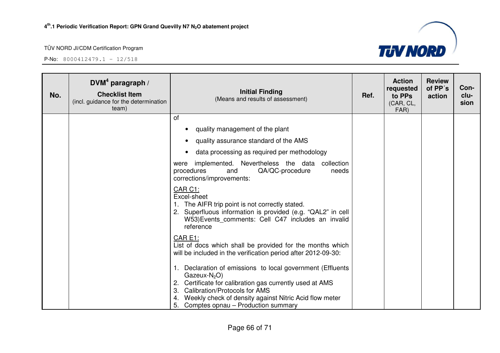![](_page_65_Picture_3.jpeg)

| No. | DVM <sup>4</sup> paragraph /<br><b>Checklist Item</b><br>(incl. guidance for the determination<br>team) | <b>Initial Finding</b><br>(Means and results of assessment)                                                                                                                                                                                                                             | Ref. | <b>Action</b><br>requested<br>to PPs<br>(CAR, CL,<br>FAR) | <b>Review</b><br>of PP's<br>action | Con-<br>clu-<br>sion |
|-----|---------------------------------------------------------------------------------------------------------|-----------------------------------------------------------------------------------------------------------------------------------------------------------------------------------------------------------------------------------------------------------------------------------------|------|-----------------------------------------------------------|------------------------------------|----------------------|
|     |                                                                                                         | of                                                                                                                                                                                                                                                                                      |      |                                                           |                                    |                      |
|     |                                                                                                         | quality management of the plant                                                                                                                                                                                                                                                         |      |                                                           |                                    |                      |
|     |                                                                                                         | quality assurance standard of the AMS                                                                                                                                                                                                                                                   |      |                                                           |                                    |                      |
|     |                                                                                                         | data processing as required per methodology<br>$\bullet$                                                                                                                                                                                                                                |      |                                                           |                                    |                      |
|     |                                                                                                         | implemented. Nevertheless the data collection<br>were<br>procedures<br>QA/QC-procedure<br>and<br>needs<br>corrections/improvements:                                                                                                                                                     |      |                                                           |                                    |                      |
|     |                                                                                                         | CAR C1:<br>Excel-sheet<br>1. The AIFR trip point is not correctly stated.<br>2. Superfluous information is provided (e.g. "QAL2" in cell<br>W53) Events comments: Cell C47 includes an invalid<br>reference                                                                             |      |                                                           |                                    |                      |
|     |                                                                                                         | CAR E1:<br>List of docs which shall be provided for the months which<br>will be included in the verification period after 2012-09-30:                                                                                                                                                   |      |                                                           |                                    |                      |
|     |                                                                                                         | Declaration of emissions to local government (Effluents<br>Gazeux- $N_2O$ )<br>Certificate for calibration gas currently used at AMS<br>2.<br>Calibration/Protocols for AMS<br>3.<br>Weekly check of density against Nitric Acid flow meter<br>5.<br>Comptes opnau – Production summary |      |                                                           |                                    |                      |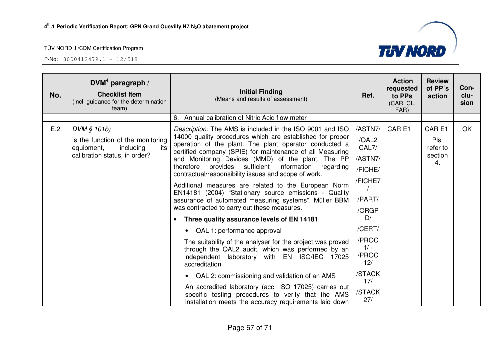| No. | DVM <sup>4</sup> paragraph /<br><b>Checklist Item</b><br>(incl. guidance for the determination<br>team) | <b>Initial Finding</b><br>(Means and results of assessment)                                                                                                                      | Ref.                   | <b>Action</b><br>requested<br>to PPs<br>(CAR, CL,<br>FAR) | <b>Review</b><br>of PP's<br>action | Con-<br>clu-<br>sion |
|-----|---------------------------------------------------------------------------------------------------------|----------------------------------------------------------------------------------------------------------------------------------------------------------------------------------|------------------------|-----------------------------------------------------------|------------------------------------|----------------------|
|     |                                                                                                         | 6. Annual calibration of Nitric Acid flow meter                                                                                                                                  |                        |                                                           |                                    |                      |
| E.2 | DVM § 101b)                                                                                             | Description: The AMS is included in the ISO 9001 and ISO                                                                                                                         | /ASTN7/                | CAR <sub>E1</sub>                                         | <b>CARE1</b>                       | <b>OK</b>            |
|     | Is the function of the monitoring<br>its<br>including<br>equipment,                                     | 14000 quality procedures which are established for proper<br>operation of the plant. The plant operator conducted a<br>certified company (SPIE) for maintenance of all Measuring | /QAL2<br>CAL7/         |                                                           | Pls.<br>refer to                   |                      |
|     | calibration status, in order?                                                                           | and Monitoring Devices (MMD) of the plant. The PP                                                                                                                                | /ASTN7/                |                                                           | section<br>4.                      |                      |
|     |                                                                                                         | therefore provides<br>sufficient<br>information<br>regarding<br>contractual/responsibility issues and scope of work.                                                             | /FICHE/                |                                                           |                                    |                      |
|     |                                                                                                         | Additional measures are related to the European Norm<br>EN14181 (2004) "Stationary source emissions - Quality                                                                    | /FICHE7                |                                                           |                                    |                      |
|     |                                                                                                         | assurance of automated measuring systems". Müller BBM                                                                                                                            | /PART/                 |                                                           |                                    |                      |
|     |                                                                                                         | was contracted to carry out these measures.                                                                                                                                      | /ORGP                  |                                                           |                                    |                      |
|     |                                                                                                         | Three quality assurance levels of EN 14181:                                                                                                                                      | D/                     |                                                           |                                    |                      |
|     |                                                                                                         | QAL 1: performance approval                                                                                                                                                      | /CERT/                 |                                                           |                                    |                      |
|     |                                                                                                         | The suitability of the analyser for the project was proved                                                                                                                       | /PROC                  |                                                           |                                    |                      |
|     |                                                                                                         | through the QAL2 audit, which was performed by an<br>independent laboratory with EN ISO/IEC 17025<br>accreditation                                                               | $1/ -$<br>/PROC<br>12/ |                                                           |                                    |                      |
|     |                                                                                                         | QAL 2: commissioning and validation of an AMS                                                                                                                                    | /STACK<br>17/          |                                                           |                                    |                      |
|     |                                                                                                         | An accredited laboratory (acc. ISO 17025) carries out<br>specific testing procedures to verify that the AMS<br>installation meets the accuracy requirements laid down            | /STACK<br>27/          |                                                           |                                    |                      |

![](_page_66_Picture_5.jpeg)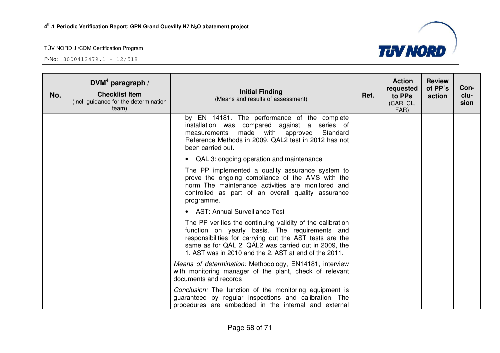![](_page_67_Picture_3.jpeg)

| No. | DVM <sup>4</sup> paragraph /<br><b>Checklist Item</b><br>(incl. guidance for the determination<br>team) | <b>Initial Finding</b><br>(Means and results of assessment)                                                                                                                                                                                                                              | Ref. | <b>Action</b><br>requested<br>to PPs<br>(CAR, CL,<br>FAR) | <b>Review</b><br>of PP's<br>action | Con-<br>clu-<br>sion |
|-----|---------------------------------------------------------------------------------------------------------|------------------------------------------------------------------------------------------------------------------------------------------------------------------------------------------------------------------------------------------------------------------------------------------|------|-----------------------------------------------------------|------------------------------------|----------------------|
|     |                                                                                                         | by EN 14181. The performance of the complete<br>installation was compared against a series of<br>measurements made with approved<br>Standard<br>Reference Methods in 2009. QAL2 test in 2012 has not<br>been carried out.                                                                |      |                                                           |                                    |                      |
|     |                                                                                                         | • QAL 3: ongoing operation and maintenance                                                                                                                                                                                                                                               |      |                                                           |                                    |                      |
|     |                                                                                                         | The PP implemented a quality assurance system to<br>prove the ongoing compliance of the AMS with the<br>norm. The maintenance activities are monitored and<br>controlled as part of an overall quality assurance<br>programme.                                                           |      |                                                           |                                    |                      |
|     |                                                                                                         | • AST: Annual Surveillance Test                                                                                                                                                                                                                                                          |      |                                                           |                                    |                      |
|     |                                                                                                         | The PP verifies the continuing validity of the calibration<br>function on yearly basis. The requirements and<br>responsibilities for carrying out the AST tests are the<br>same as for QAL 2. QAL2 was carried out in 2009, the<br>1. AST was in 2010 and the 2. AST at end of the 2011. |      |                                                           |                                    |                      |
|     |                                                                                                         | Means of determination: Methodology, EN14181, interview<br>with monitoring manager of the plant, check of relevant<br>documents and records                                                                                                                                              |      |                                                           |                                    |                      |
|     |                                                                                                         | Conclusion: The function of the monitoring equipment is<br>guaranteed by regular inspections and calibration. The<br>procedures are embedded in the internal and external                                                                                                                |      |                                                           |                                    |                      |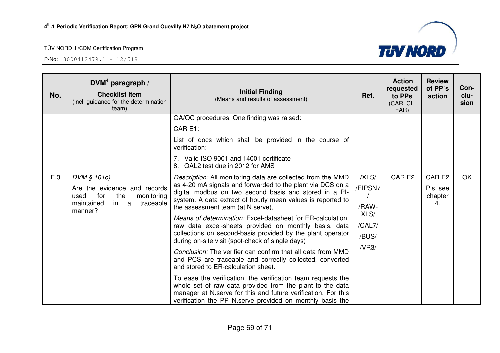![](_page_68_Picture_3.jpeg)

| No. | $DVM4$ paragraph /<br><b>Checklist Item</b><br>(incl. guidance for the determination<br>team) | <b>Initial Finding</b><br>(Means and results of assessment)                                                                                                                                                                                             | Ref.          | <b>Action</b><br>requested<br>to PPs<br>(CAR, CL,<br>FAR) | <b>Review</b><br>of PP's<br>action | Con-<br>clu-<br>sion |
|-----|-----------------------------------------------------------------------------------------------|---------------------------------------------------------------------------------------------------------------------------------------------------------------------------------------------------------------------------------------------------------|---------------|-----------------------------------------------------------|------------------------------------|----------------------|
|     |                                                                                               | QA/QC procedures. One finding was raised:                                                                                                                                                                                                               |               |                                                           |                                    |                      |
|     |                                                                                               | <u>CAR E1:</u>                                                                                                                                                                                                                                          |               |                                                           |                                    |                      |
|     |                                                                                               | List of docs which shall be provided in the course of<br>verification:                                                                                                                                                                                  |               |                                                           |                                    |                      |
|     |                                                                                               | Valid ISO 9001 and 14001 certificate<br>QAL2 test due in 2012 for AMS<br>8.                                                                                                                                                                             |               |                                                           |                                    |                      |
| E.3 | DVM § 101c)                                                                                   | Description: All monitoring data are collected from the MMD                                                                                                                                                                                             | /XLS/         | CAR E2                                                    | <b>CARE2</b>                       | <b>OK</b>            |
|     | Are the evidence and records<br>the<br>for<br>monitoring<br>used                              | as 4-20 mA signals and forwarded to the plant via DCS on a<br>digital modbus on two second basis and stored in a PI-                                                                                                                                    | /EIPSN7       |                                                           | Pls. see<br>chapter                |                      |
|     | in<br>traceable<br>maintained<br>a<br>manner?                                                 | system. A data extract of hourly mean values is reported to<br>the assessment team (at N.serve),                                                                                                                                                        | /RAW-<br>XLS/ |                                                           | 4.                                 |                      |
|     |                                                                                               | Means of determination: Excel-datasheet for ER-calculation,<br>raw data excel-sheets provided on monthly basis, data                                                                                                                                    | /CAL7/        |                                                           |                                    |                      |
|     |                                                                                               | collections on second-basis provided by the plant operator<br>during on-site visit (spot-check of single days)                                                                                                                                          | /BUS/         |                                                           |                                    |                      |
|     |                                                                                               | Conclusion: The verifier can confirm that all data from MMD<br>and PCS are traceable and correctly collected, converted<br>and stored to ER-calculation sheet.                                                                                          | /VR3/         |                                                           |                                    |                      |
|     |                                                                                               | To ease the verification, the verification team requests the<br>whole set of raw data provided from the plant to the data<br>manager at N.serve for this and future verification. For this<br>verification the PP N.serve provided on monthly basis the |               |                                                           |                                    |                      |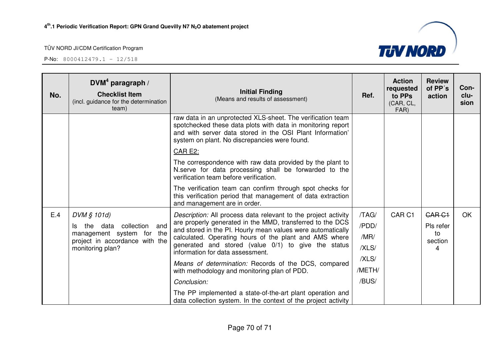![](_page_69_Picture_3.jpeg)

| No. | $DVM4$ paragraph /<br><b>Checklist Item</b><br>(incl. guidance for the determination<br>team) | <b>Initial Finding</b><br>(Means and results of assessment)                                                                                                                                                                              | Ref.   | <b>Action</b><br>requested<br>to PPs<br>(CAR, CL,<br>FAR) | <b>Review</b><br>of PP's<br>action | Con-<br>clu-<br>sion |
|-----|-----------------------------------------------------------------------------------------------|------------------------------------------------------------------------------------------------------------------------------------------------------------------------------------------------------------------------------------------|--------|-----------------------------------------------------------|------------------------------------|----------------------|
|     |                                                                                               | raw data in an unprotected XLS-sheet. The verification team<br>spotchecked these data plots with data in monitoring report<br>and with server data stored in the OSI Plant Information'<br>system on plant. No discrepancies were found. |        |                                                           |                                    |                      |
|     |                                                                                               | <b>CAR E2:</b>                                                                                                                                                                                                                           |        |                                                           |                                    |                      |
|     |                                                                                               | The correspondence with raw data provided by the plant to<br>N.serve for data processing shall be forwarded to the<br>verification team before verification.                                                                             |        |                                                           |                                    |                      |
|     |                                                                                               | The verification team can confirm through spot checks for<br>this verification period that management of data extraction<br>and management are in order.                                                                                 |        |                                                           |                                    |                      |
| E.4 | DVM § 101d)                                                                                   | Description: All process data relevant to the project activity                                                                                                                                                                           | /TAG/  | CAR <sub>C1</sub>                                         | <b>CAR C1</b>                      | OK                   |
|     | collection<br>and<br>the data<br>Is.                                                          | are properly generated in the MMD, transferred to the DCS<br>and stored in the PI. Hourly mean values were automatically                                                                                                                 | /PDD/  |                                                           | Pls refer                          |                      |
|     | management system for the<br>project in accordance with the                                   | calculated. Operating hours of the plant and AMS where                                                                                                                                                                                   | /MR/   |                                                           | to<br>section                      |                      |
|     | monitoring plan?                                                                              | generated and stored (value 0/1) to give the status<br>information for data assessment.                                                                                                                                                  | /XLS/  |                                                           | 4                                  |                      |
|     |                                                                                               | Means of determination: Records of the DCS, compared                                                                                                                                                                                     | /XLS/  |                                                           |                                    |                      |
|     |                                                                                               | with methodology and monitoring plan of PDD.                                                                                                                                                                                             | /METH/ |                                                           |                                    |                      |
|     |                                                                                               | Conclusion:                                                                                                                                                                                                                              | /BUS/  |                                                           |                                    |                      |
|     |                                                                                               | The PP implemented a state-of-the-art plant operation and<br>data collection system. In the context of the project activity                                                                                                              |        |                                                           |                                    |                      |